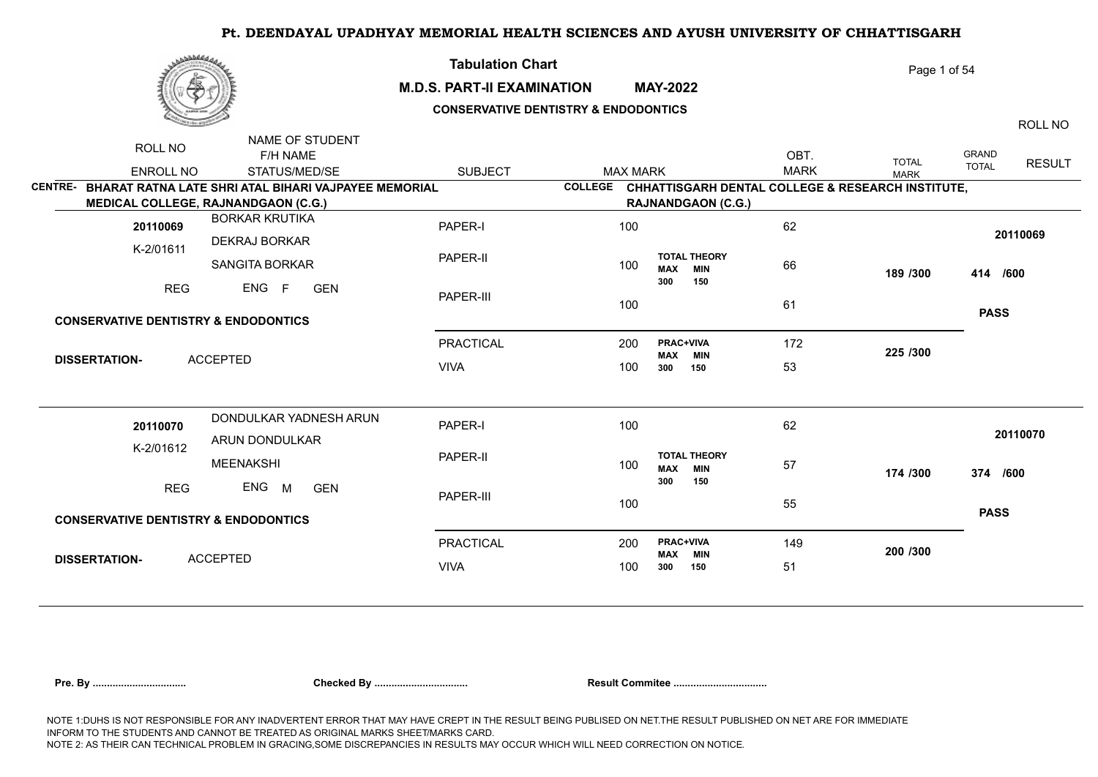|--|

## **M.D.S. PART-II EXAMINATION MAY-2022**

**Tabulation Chart** 

## **CONSERVATIVE DENTISTRY & ENDODONTICS**

ROLL NO

Page 1 of 54

|                |                                                 | NAME OF STUDENT                                      |                  |                                    |                                                               |             |              |              |               |
|----------------|-------------------------------------------------|------------------------------------------------------|------------------|------------------------------------|---------------------------------------------------------------|-------------|--------------|--------------|---------------|
|                | ROLL NO                                         | F/H NAME                                             |                  |                                    |                                                               | OBT.        | <b>TOTAL</b> | <b>GRAND</b> | <b>RESULT</b> |
|                | <b>ENROLL NO</b>                                | STATUS/MED/SE                                        | <b>SUBJECT</b>   | <b>MAX MARK</b>                    |                                                               | <b>MARK</b> | <b>MARK</b>  | <b>TOTAL</b> |               |
| <b>CENTRE-</b> |                                                 | BHARAT RATNA LATE SHRI ATAL BIHARI VAJPAYEE MEMORIAL |                  |                                    | COLLEGE CHHATTISGARH DENTAL COLLEGE & RESEARCH INSTITUTE,     |             |              |              |               |
|                |                                                 | <b>MEDICAL COLLEGE, RAJNANDGAON (C.G.)</b>           |                  |                                    | <b>RAJNANDGAON (C.G.)</b>                                     |             |              |              |               |
|                | 20110069                                        | <b>BORKAR KRUTIKA</b>                                | PAPER-I          | 100                                |                                                               | 62          |              | 20110069     |               |
|                | K-2/01611                                       | DEKRAJ BORKAR<br><b>SANGITA BORKAR</b>               | PAPER-II         | 100                                | <b>TOTAL THEORY</b><br><b>MAX</b><br><b>MIN</b>               | 66          | 189 /300     | 414 /600     |               |
|                | <b>REG</b>                                      | ENG F<br><b>GEN</b>                                  | PAPER-III        | 100                                | 300<br>150                                                    | 61          |              |              |               |
|                | <b>CONSERVATIVE DENTISTRY &amp; ENDODONTICS</b> |                                                      |                  |                                    |                                                               |             |              | <b>PASS</b>  |               |
|                |                                                 | <b>PRACTICAL</b>                                     | 200              | <b>PRAC+VIVA</b><br><b>MAX MIN</b> | 172                                                           | 225 /300    |              |              |               |
|                | <b>DISSERTATION-</b>                            | <b>ACCEPTED</b>                                      | <b>VIVA</b>      | 100                                | 300<br>150                                                    | 53          |              |              |               |
|                |                                                 | DONDULKAR YADNESH ARUN                               |                  |                                    |                                                               |             |              |              |               |
|                | 20110070<br>K-2/01612                           | ARUN DONDULKAR                                       | PAPER-I          | 100                                |                                                               | 62          |              | 20110070     |               |
|                |                                                 | MEENAKSHI                                            | PAPER-II         | 100                                | <b>TOTAL THEORY</b><br><b>MAX</b><br><b>MIN</b><br>300<br>150 | 57          | 174 /300     | 374 /600     |               |
|                | <b>REG</b>                                      | ENG M<br><b>GEN</b>                                  | PAPER-III        | 100                                |                                                               | 55          |              |              |               |
|                | <b>CONSERVATIVE DENTISTRY &amp; ENDODONTICS</b> |                                                      |                  |                                    |                                                               |             |              | <b>PASS</b>  |               |
|                | <b>DISSERTATION-</b>                            |                                                      | <b>PRACTICAL</b> | 200                                | <b>PRAC+VIVA</b><br><b>MAX MIN</b>                            | 149         | 200 /300     |              |               |
|                |                                                 | <b>ACCEPTED</b>                                      | <b>VIVA</b>      | 100                                | 150<br>300                                                    | 51          |              |              |               |
|                |                                                 |                                                      |                  |                                    |                                                               |             |              |              |               |

|  |  | Pre. Bv |
|--|--|---------|
|  |  |         |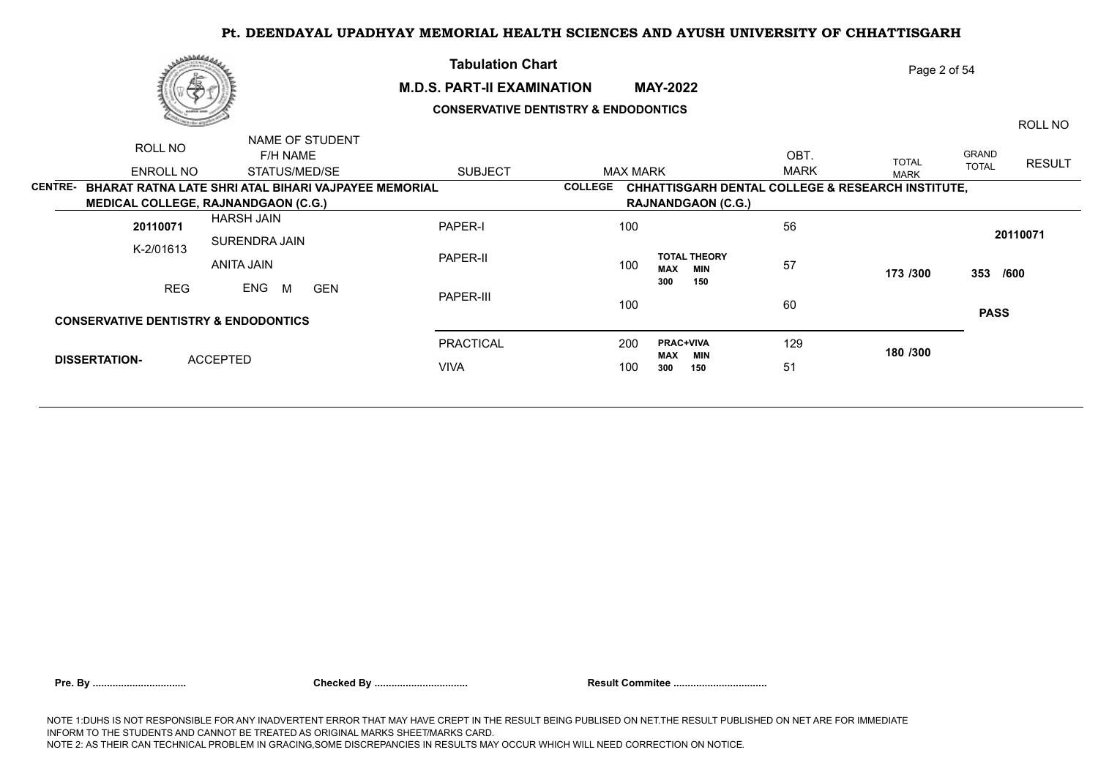

## **M.D.S. PART-II EXAMINATION MAY-2022 CONSERVATIVE DENTISTRY & ENDODONTICS**

**Tabulation Chart** 

Page 2 of 54

ROLL NO

|                      | ROLL NO                                         | NAME OF STUDENT                                      |                  |                                                 |                                                              |              |                        |  |
|----------------------|-------------------------------------------------|------------------------------------------------------|------------------|-------------------------------------------------|--------------------------------------------------------------|--------------|------------------------|--|
|                      |                                                 | F/H NAME                                             |                  |                                                 | OBT.                                                         | <b>TOTAL</b> | GRAND<br><b>RESULT</b> |  |
|                      | ENROLL NO                                       | STATUS/MED/SE                                        | <b>SUBJECT</b>   | <b>MAX MARK</b>                                 | <b>MARK</b>                                                  | <b>MARK</b>  | <b>TOTAL</b>           |  |
| <b>CENTRE-</b>       |                                                 | BHARAT RATNA LATE SHRI ATAL BIHARI VAJPAYEE MEMORIAL |                  | <b>COLLEGE</b>                                  | <b>CHHATTISGARH DENTAL COLLEGE &amp; RESEARCH INSTITUTE,</b> |              |                        |  |
|                      |                                                 | <b>MEDICAL COLLEGE, RAJNANDGAON (C.G.)</b>           |                  | <b>RAJNANDGAON (C.G.)</b>                       |                                                              |              |                        |  |
|                      | 20110071                                        | <b>HARSH JAIN</b>                                    | PAPER-I          | 100                                             | 56                                                           |              | 20110071               |  |
|                      | K-2/01613                                       | SURENDRA JAIN                                        |                  |                                                 |                                                              |              |                        |  |
|                      |                                                 | ANITA JAIN                                           | PAPER-II         | <b>TOTAL THEORY</b><br>100<br><b>MAX</b><br>MIN | 57                                                           | 173 /300     | 353 /600               |  |
|                      | <b>REG</b>                                      | ENG<br><b>GEN</b><br>M                               |                  | 150<br>300                                      |                                                              |              |                        |  |
|                      |                                                 |                                                      | PAPER-III        | 100                                             | 60                                                           |              | <b>PASS</b>            |  |
|                      | <b>CONSERVATIVE DENTISTRY &amp; ENDODONTICS</b> |                                                      |                  |                                                 |                                                              |              |                        |  |
|                      |                                                 |                                                      | <b>PRACTICAL</b> | <b>PRAC+VIVA</b><br>200                         | 129                                                          | 180 /300     |                        |  |
| <b>DISSERTATION-</b> |                                                 | <b>ACCEPTED</b>                                      | <b>VIVA</b>      | <b>MAX</b><br>MIN<br>100<br>300<br>150          | 51                                                           |              |                        |  |
|                      |                                                 |                                                      |                  |                                                 |                                                              |              |                        |  |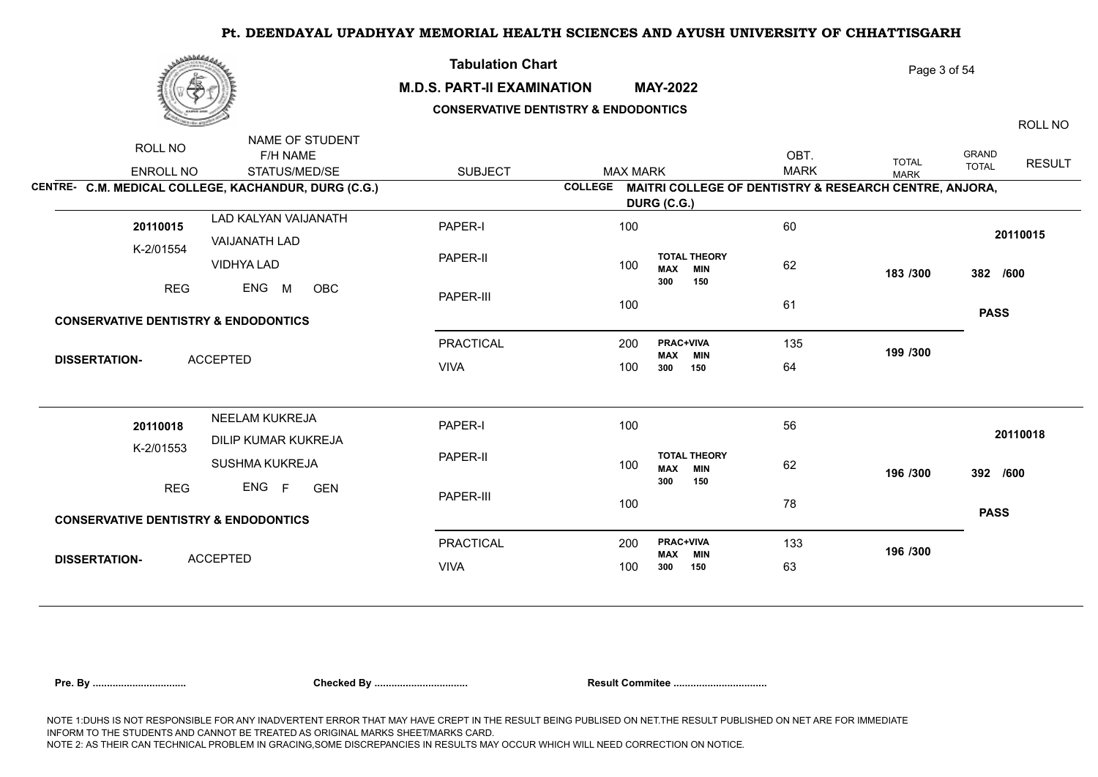

NAME OF STUDENTS OF STUDENTS

## **M.D.S. PART-II EXAMINATION MAY-2022**

**Tabulation Chart** 

## **CONSERVATIVE DENTISTRY & ENDODONTICS**

ROLL NO

Page 3 of 54

| NAME OF STUDENT<br>ROLL NO                           |                |                 |                                                 |                                                                |              |                                               |
|------------------------------------------------------|----------------|-----------------|-------------------------------------------------|----------------------------------------------------------------|--------------|-----------------------------------------------|
| F/H NAME                                             |                |                 |                                                 | OBT.                                                           | <b>TOTAL</b> | <b>GRAND</b><br><b>RESULT</b><br><b>TOTAL</b> |
| <b>ENROLL NO</b><br>STATUS/MED/SE                    | <b>SUBJECT</b> | <b>MAX MARK</b> |                                                 | <b>MARK</b>                                                    | <b>MARK</b>  |                                               |
| CENTRE- C.M. MEDICAL COLLEGE, KACHANDUR, DURG (C.G.) |                |                 |                                                 | COLLEGE MAITRI COLLEGE OF DENTISTRY & RESEARCH CENTRE, ANJORA, |              |                                               |
|                                                      |                | DURG (C.G.)     |                                                 |                                                                |              |                                               |
| LAD KALYAN VAIJANATH<br>20110015                     | PAPER-I        | 100             |                                                 | 60                                                             |              | 20110015                                      |
| <b>VAIJANATH LAD</b><br>K-2/01554                    |                |                 |                                                 |                                                                |              |                                               |
| VIDHYA LAD                                           | PAPER-II       | 100             | <b>TOTAL THEORY</b><br><b>MAX MIN</b>           | 62                                                             | 183 /300     | 382 /600                                      |
| ENG<br><b>REG</b><br>M<br>OBC                        |                |                 | 150<br>300                                      |                                                                |              |                                               |
|                                                      | PAPER-III      | 100             |                                                 | 61                                                             |              | <b>PASS</b>                                   |
| <b>CONSERVATIVE DENTISTRY &amp; ENDODONTICS</b>      |                |                 |                                                 |                                                                |              |                                               |
|                                                      | PRACTICAL      | 200             | <b>PRAC+VIVA</b><br><b>MAX MIN</b>              | 135                                                            | 199 /300     |                                               |
| <b>ACCEPTED</b><br><b>DISSERTATION-</b>              | <b>VIVA</b>    | 100             | 150<br>300                                      | 64                                                             |              |                                               |
|                                                      |                |                 |                                                 |                                                                |              |                                               |
| NEELAM KUKREJA<br>20110018                           | PAPER-I        | 100             |                                                 | 56                                                             |              |                                               |
| DILIP KUMAR KUKREJA                                  |                |                 |                                                 |                                                                |              | 20110018                                      |
| K-2/01553<br>SUSHMA KUKREJA                          | PAPER-II       | 100             | <b>TOTAL THEORY</b><br><b>MAX</b><br><b>MIN</b> | 62                                                             | 196 /300     | 392 /600                                      |
| ENG F<br><b>REG</b><br><b>GEN</b>                    |                |                 | 300<br>150                                      |                                                                |              |                                               |
|                                                      | PAPER-III      | 100             |                                                 | 78                                                             |              | <b>PASS</b>                                   |
| <b>CONSERVATIVE DENTISTRY &amp; ENDODONTICS</b>      |                |                 |                                                 |                                                                |              |                                               |
|                                                      | PRACTICAL      | 200             | <b>PRAC+VIVA</b><br>MAX<br><b>MIN</b>           | 133                                                            | 196 /300     |                                               |
| <b>ACCEPTED</b><br><b>DISSERTATION-</b>              | <b>VIVA</b>    | 100             | 150<br>300                                      | 63                                                             |              |                                               |
|                                                      |                |                 |                                                 |                                                                |              |                                               |

| Pre. Bv |  |
|---------|--|
|         |  |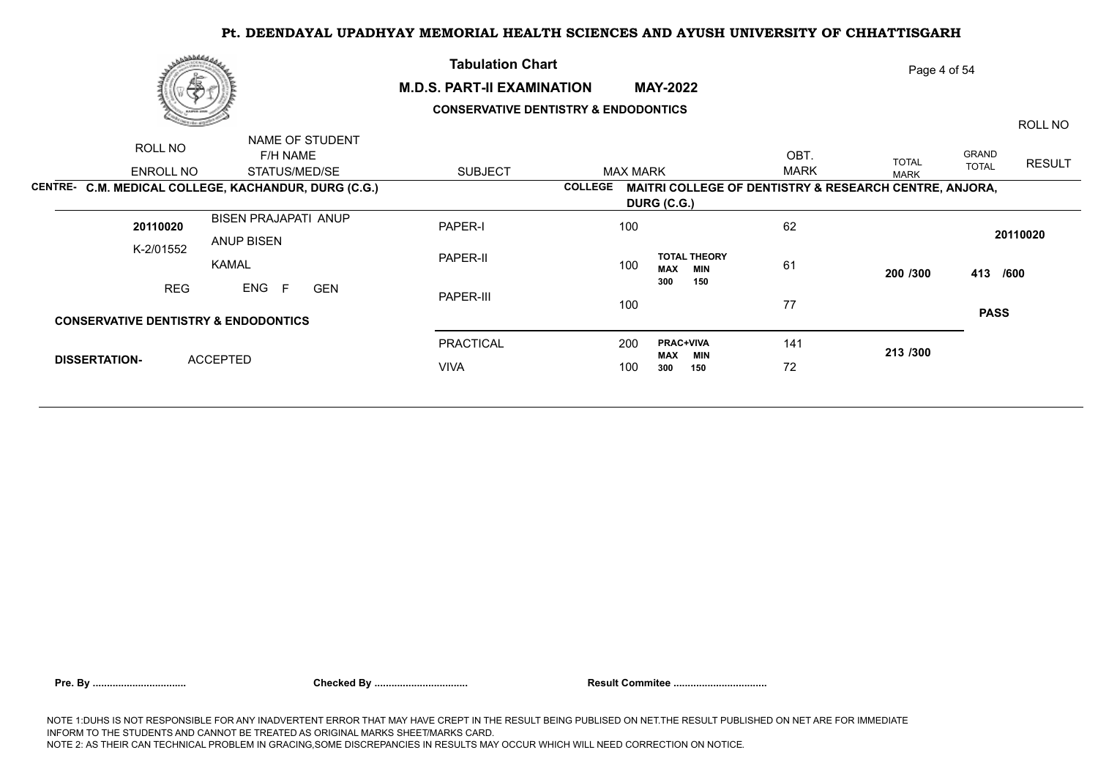

NAME OF STUDENT

## **M.D.S. PART-II EXAMINATION MAY-2022**

**Tabulation Chart** 

## **CONSERVATIVE DENTISTRY & ENDODONTICS**

ROLL NO

Page 4 of 54

|                      | ROLL NO<br>ENROLL NO | NAME OF STUDENT<br>F/H NAME<br>STATUS/MED/SE                              | <b>SUBJECT</b>   | <b>MAX MARK</b> |                                                                                  | OBT.<br><b>MARK</b> | <b>TOTAL</b> | GRAND<br><b>TOTAL</b> | <b>RESULT</b> |
|----------------------|----------------------|---------------------------------------------------------------------------|------------------|-----------------|----------------------------------------------------------------------------------|---------------------|--------------|-----------------------|---------------|
|                      |                      | CENTRE- C.M. MEDICAL COLLEGE, KACHANDUR, DURG (C.G.)                      |                  | <b>COLLEGE</b>  | <b>MAITRI COLLEGE OF DENTISTRY &amp; RESEARCH CENTRE, ANJORA,</b><br>DURG (C.G.) |                     | <b>MARK</b>  |                       |               |
|                      | 20110020             | <b>BISEN PRAJAPATI ANUP</b><br><b>ANUP BISEN</b>                          | PAPER-I          | 100             |                                                                                  | 62                  |              |                       | 20110020      |
| K-2/01552            |                      | <b>KAMAL</b>                                                              | PAPER-II         | 100             | <b>TOTAL THEORY</b><br><b>MAX</b><br><b>MIN</b>                                  | 61                  | 200 /300     | 413 /600              |               |
|                      | <b>REG</b>           | ENG<br><b>GEN</b><br>F<br><b>CONSERVATIVE DENTISTRY &amp; ENDODONTICS</b> | PAPER-III        | 100             | 300<br>150                                                                       | 77                  |              | <b>PASS</b>           |               |
|                      |                      |                                                                           | <b>PRACTICAL</b> | 200             | <b>PRAC+VIVA</b>                                                                 | 141                 |              |                       |               |
| <b>DISSERTATION-</b> |                      | <b>ACCEPTED</b>                                                           | <b>VIVA</b>      | 100             | MIN<br>MAX<br>300<br>150                                                         | 72                  | 213/300      |                       |               |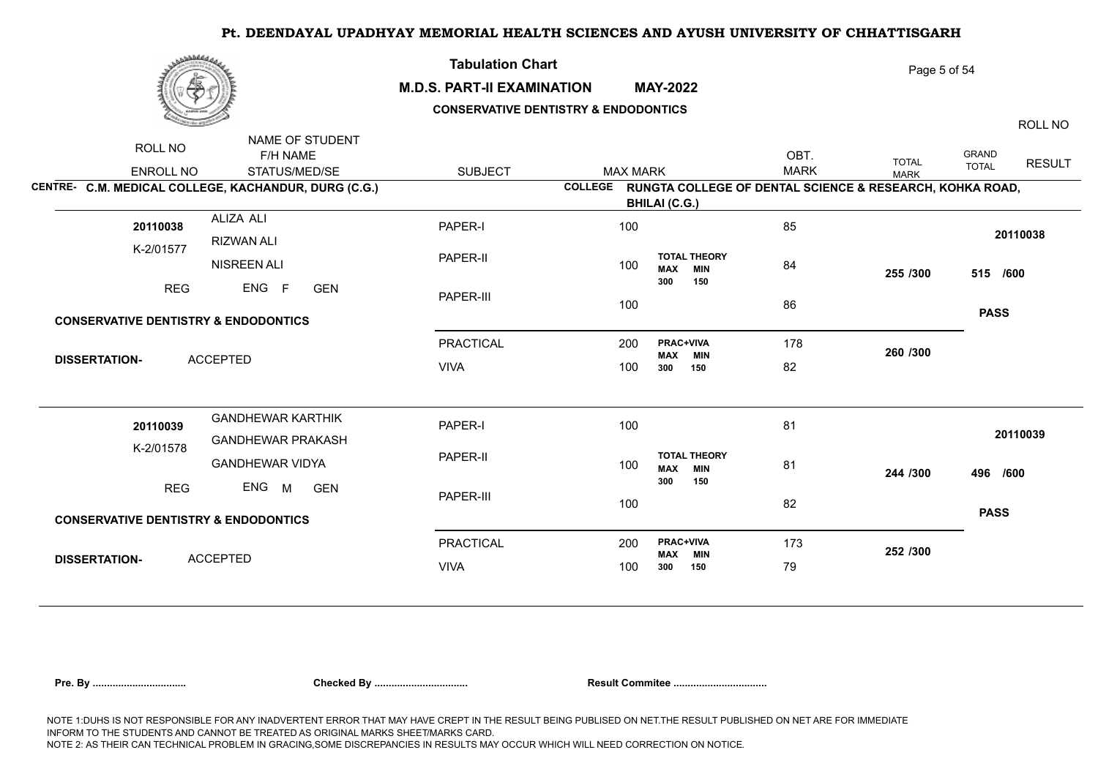

## **M.D.S. PART-II EXAMINATION MAY-2022**

**Tabulation Chart** 

## **CONSERVATIVE DENTISTRY & ENDODONTICS**

ROLL NO

Page 5 of 54

|                                                 | NAME OF STUDENT                                      |                  |                 |                                                                  |             |              |              |               |
|-------------------------------------------------|------------------------------------------------------|------------------|-----------------|------------------------------------------------------------------|-------------|--------------|--------------|---------------|
| ROLL NO                                         | F/H NAME                                             |                  |                 |                                                                  | OBT.        | <b>TOTAL</b> | GRAND        | <b>RESULT</b> |
| <b>ENROLL NO</b>                                | STATUS/MED/SE                                        | <b>SUBJECT</b>   | <b>MAX MARK</b> |                                                                  | <b>MARK</b> | <b>MARK</b>  | <b>TOTAL</b> |               |
|                                                 | CENTRE- C.M. MEDICAL COLLEGE, KACHANDUR, DURG (C.G.) |                  |                 | COLLEGE RUNGTA COLLEGE OF DENTAL SCIENCE & RESEARCH, KOHKA ROAD, |             |              |              |               |
|                                                 |                                                      |                  |                 | <b>BHILAI (C.G.)</b>                                             |             |              |              |               |
| 20110038                                        | ALIZA ALI                                            | PAPER-I          | 100             |                                                                  | 85          |              |              |               |
| K-2/01577                                       | RIZWAN ALI                                           |                  |                 |                                                                  |             |              | 20110038     |               |
|                                                 | <b>NISREEN ALI</b>                                   | PAPER-II         | 100             | <b>TOTAL THEORY</b><br><b>MAX MIN</b>                            | 84          | 255 /300     | 515 /600     |               |
| <b>REG</b>                                      | ENG F<br><b>GEN</b>                                  |                  |                 | 300<br>150                                                       |             |              |              |               |
|                                                 |                                                      | PAPER-III        | 100             |                                                                  | 86          |              | <b>PASS</b>  |               |
| <b>CONSERVATIVE DENTISTRY &amp; ENDODONTICS</b> |                                                      |                  |                 |                                                                  |             |              |              |               |
|                                                 |                                                      | <b>PRACTICAL</b> | 200             | PRAC+VIVA<br><b>MAX MIN</b>                                      | 178         | 260 /300     |              |               |
| <b>DISSERTATION-</b>                            | <b>ACCEPTED</b>                                      | <b>VIVA</b>      | 100             | 300<br>150                                                       | 82          |              |              |               |
|                                                 |                                                      |                  |                 |                                                                  |             |              |              |               |
| 20110039                                        | <b>GANDHEWAR KARTHIK</b>                             | PAPER-I          | 100             |                                                                  | 81          |              |              |               |
| K-2/01578                                       | <b>GANDHEWAR PRAKASH</b>                             |                  |                 |                                                                  |             |              | 20110039     |               |
|                                                 | <b>GANDHEWAR VIDYA</b>                               | PAPER-II         | 100             | <b>TOTAL THEORY</b><br><b>MAX MIN</b>                            | 81          | 244 /300     | 496 /600     |               |
| <b>REG</b>                                      | ENG M<br><b>GEN</b>                                  | PAPER-III        |                 | 300<br>150                                                       |             |              |              |               |
| <b>CONSERVATIVE DENTISTRY &amp; ENDODONTICS</b> |                                                      |                  | 100             |                                                                  | 82          |              | <b>PASS</b>  |               |
|                                                 |                                                      |                  |                 |                                                                  |             |              |              |               |
| <b>DISSERTATION-</b>                            |                                                      | PRACTICAL        | 200             | PRAC+VIVA<br><b>MAX MIN</b>                                      | 173         | 252 /300     |              |               |
|                                                 | <b>ACCEPTED</b>                                      | <b>VIVA</b>      | 100             | 300<br>150                                                       | 79          |              |              |               |
|                                                 |                                                      |                  |                 |                                                                  |             |              |              |               |

| Pre. Bv |  |  |  |
|---------|--|--|--|
|         |  |  |  |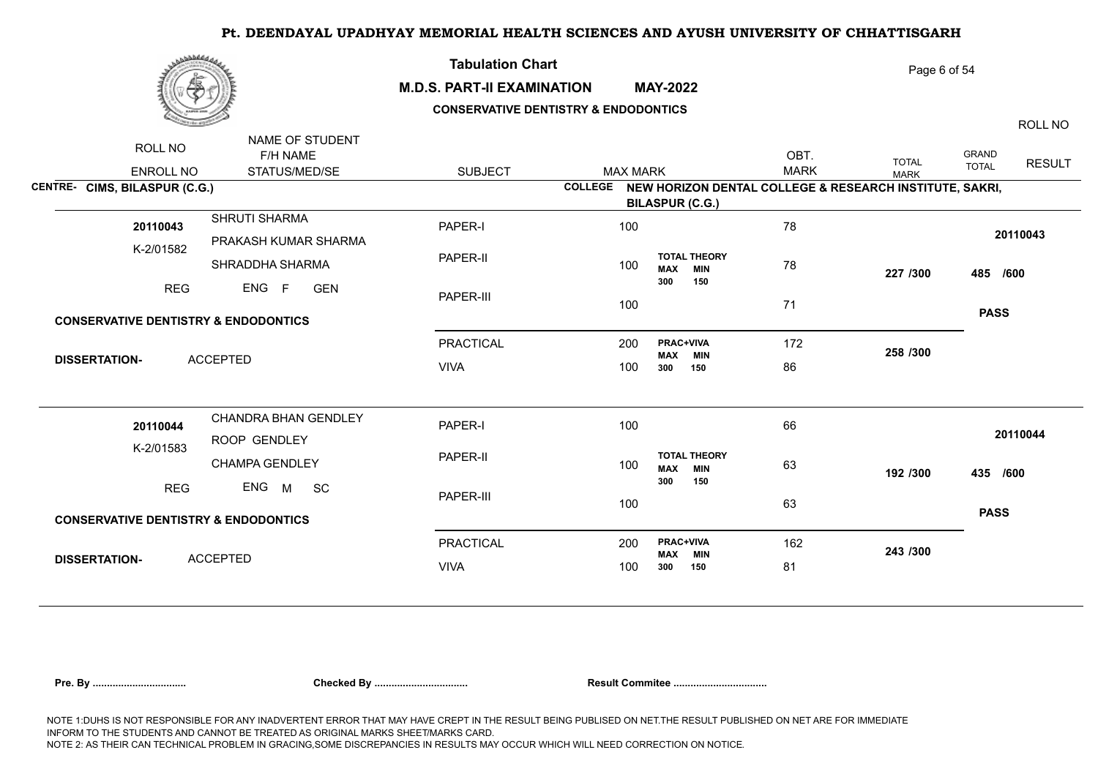

NAME OF STUDENTS AND DESCRIPTIONS

### **M.D.S. PART-II EXAMINATION MAY-2022**

**Tabulation Chart** 

## **CONSERVATIVE DENTISTRY & ENDODONTICS**

ROLL NO

Page 6 of 54

| ROLL NO                                         | NAME OF STUDENT       |                  |                 |                                                         |             |              |                                               |
|-------------------------------------------------|-----------------------|------------------|-----------------|---------------------------------------------------------|-------------|--------------|-----------------------------------------------|
|                                                 | F/H NAME              |                  |                 |                                                         | OBT.        | <b>TOTAL</b> | <b>GRAND</b><br><b>RESULT</b><br><b>TOTAL</b> |
| <b>ENROLL NO</b>                                | STATUS/MED/SE         | <b>SUBJECT</b>   | <b>MAX MARK</b> |                                                         | <b>MARK</b> | <b>MARK</b>  |                                               |
| CENTRE- CIMS, BILASPUR (C.G.)                   |                       |                  | <b>COLLEGE</b>  | NEW HORIZON DENTAL COLLEGE & RESEARCH INSTITUTE, SAKRI, |             |              |                                               |
|                                                 |                       |                  |                 | <b>BILASPUR (C.G.)</b>                                  |             |              |                                               |
| 20110043                                        | SHRUTI SHARMA         | PAPER-I          | 100             |                                                         | 78          |              |                                               |
| K-2/01582                                       | PRAKASH KUMAR SHARMA  |                  |                 |                                                         |             |              | 20110043                                      |
|                                                 | SHRADDHA SHARMA       | PAPER-II         | 100             | <b>TOTAL THEORY</b>                                     | 78          |              |                                               |
|                                                 |                       |                  |                 | <b>MAX</b><br><b>MIN</b><br>300<br>150                  |             | 227 /300     | 485 /600                                      |
| <b>REG</b>                                      | ENG F<br>GEN          | PAPER-III        |                 |                                                         |             |              |                                               |
|                                                 |                       |                  | 100             |                                                         | 71          |              | <b>PASS</b>                                   |
| <b>CONSERVATIVE DENTISTRY &amp; ENDODONTICS</b> |                       |                  |                 |                                                         |             |              |                                               |
|                                                 |                       | <b>PRACTICAL</b> | 200             | <b>PRAC+VIVA</b>                                        | 172         |              |                                               |
| <b>DISSERTATION-</b>                            | <b>ACCEPTED</b>       |                  |                 | <b>MAX MIN</b>                                          |             | 258 /300     |                                               |
|                                                 |                       | <b>VIVA</b>      | 100             | 300<br>150                                              | 86          |              |                                               |
|                                                 |                       |                  |                 |                                                         |             |              |                                               |
|                                                 | CHANDRA BHAN GENDLEY  |                  |                 |                                                         |             |              |                                               |
| 20110044                                        |                       | PAPER-I          | 100             |                                                         | 66          |              | 20110044                                      |
| K-2/01583                                       | ROOP GENDLEY          |                  |                 | <b>TOTAL THEORY</b>                                     |             |              |                                               |
|                                                 | <b>CHAMPA GENDLEY</b> | PAPER-II         | 100             | <b>MAX</b><br><b>MIN</b>                                | 63          | 192 /300     | 435 /600                                      |
| <b>REG</b>                                      | ENG M<br><b>SC</b>    |                  |                 | 300<br>150                                              |             |              |                                               |
|                                                 |                       | PAPER-III        | 100             |                                                         | 63          |              |                                               |
| <b>CONSERVATIVE DENTISTRY &amp; ENDODONTICS</b> |                       |                  |                 |                                                         |             |              | <b>PASS</b>                                   |
|                                                 |                       |                  |                 |                                                         |             |              |                                               |
|                                                 |                       | <b>PRACTICAL</b> | 200             | <b>PRAC+VIVA</b><br><b>MAX MIN</b>                      | 162         | 243 /300     |                                               |
| <b>DISSERTATION-</b>                            | <b>ACCEPTED</b>       | <b>VIVA</b>      | 100             | 150<br>300                                              | 81          |              |                                               |
|                                                 |                       |                  |                 |                                                         |             |              |                                               |

|  | re. Bv |
|--|--------|
|--|--------|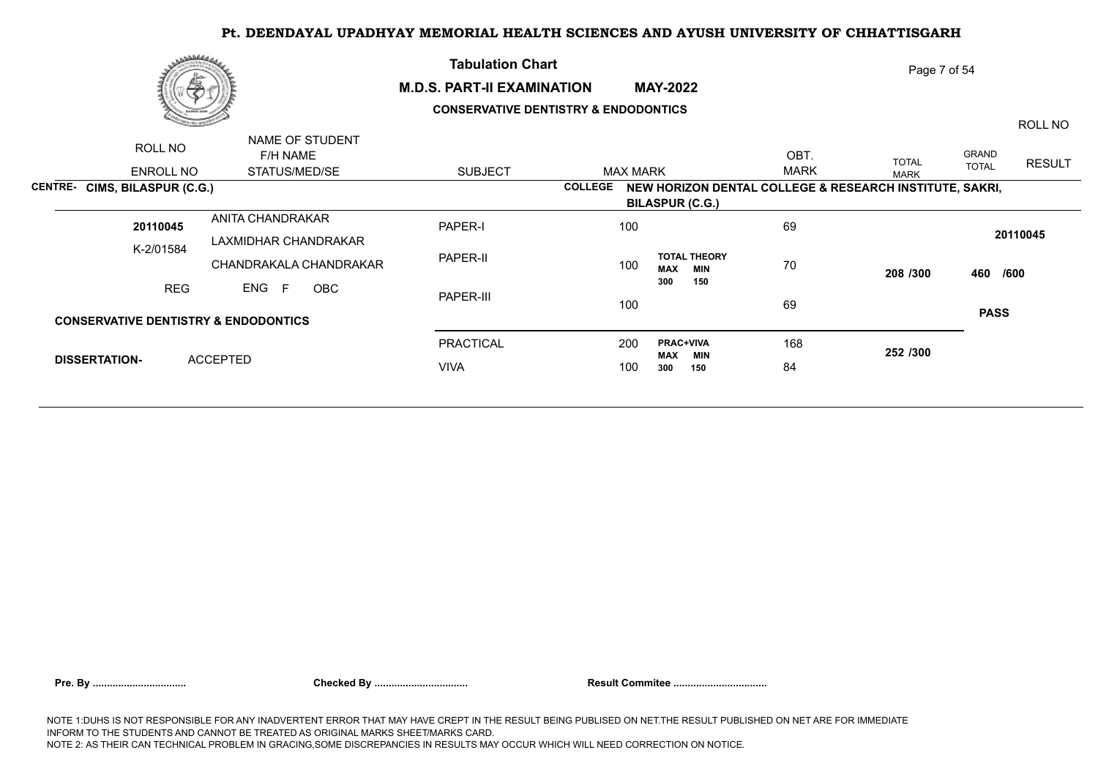

### **M.D.S. PART-II EXAMINATION MAY-2022**

**Tabulation Chart** 

## **CONSERVATIVE DENTISTRY & ENDODONTICS**

ROLL NO

Page 7 of 54

| ROLL NO                                         | NAME OF STUDENT        |                |                                                 |                                                         |              |                               |
|-------------------------------------------------|------------------------|----------------|-------------------------------------------------|---------------------------------------------------------|--------------|-------------------------------|
|                                                 | F/H NAME               |                |                                                 | OBT.                                                    | <b>TOTAL</b> | <b>GRAND</b><br><b>RESULT</b> |
| ENROLL NO                                       | STATUS/MED/SE          | <b>SUBJECT</b> | <b>MAX MARK</b>                                 | <b>MARK</b>                                             | <b>MARK</b>  | <b>TOTAL</b>                  |
| <b>CENTRE- CIMS, BILASPUR (C.G.)</b>            |                        |                | <b>COLLEGE</b>                                  | NEW HORIZON DENTAL COLLEGE & RESEARCH INSTITUTE, SAKRI, |              |                               |
|                                                 |                        |                | <b>BILASPUR (C.G.)</b>                          |                                                         |              |                               |
| 20110045                                        | ANITA CHANDRAKAR       | PAPER-I        | 100                                             | 69                                                      |              |                               |
| K-2/01584                                       | LAXMIDHAR CHANDRAKAR   |                |                                                 |                                                         |              | 20110045                      |
|                                                 | CHANDRAKALA CHANDRAKAR | PAPER-II       | <b>TOTAL THEORY</b><br>100<br><b>MAX</b><br>MIN | 70                                                      | 208 /300     | 460 /600                      |
| REG                                             | ENG F<br>OBC           |                | 300<br>150                                      |                                                         |              |                               |
|                                                 |                        | PAPER-III      | 100                                             | 69                                                      |              |                               |
| <b>CONSERVATIVE DENTISTRY &amp; ENDODONTICS</b> |                        |                |                                                 |                                                         |              | <b>PASS</b>                   |
|                                                 |                        | PRACTICAL      | 200<br><b>PRAC+VIVA</b>                         | 168                                                     | 252 /300     |                               |
| <b>DISSERTATION-</b>                            | <b>ACCEPTED</b>        | <b>VIVA</b>    | MAX<br><b>MIN</b><br>100<br>150<br>300          | 84                                                      |              |                               |
|                                                 |                        |                |                                                 |                                                         |              |                               |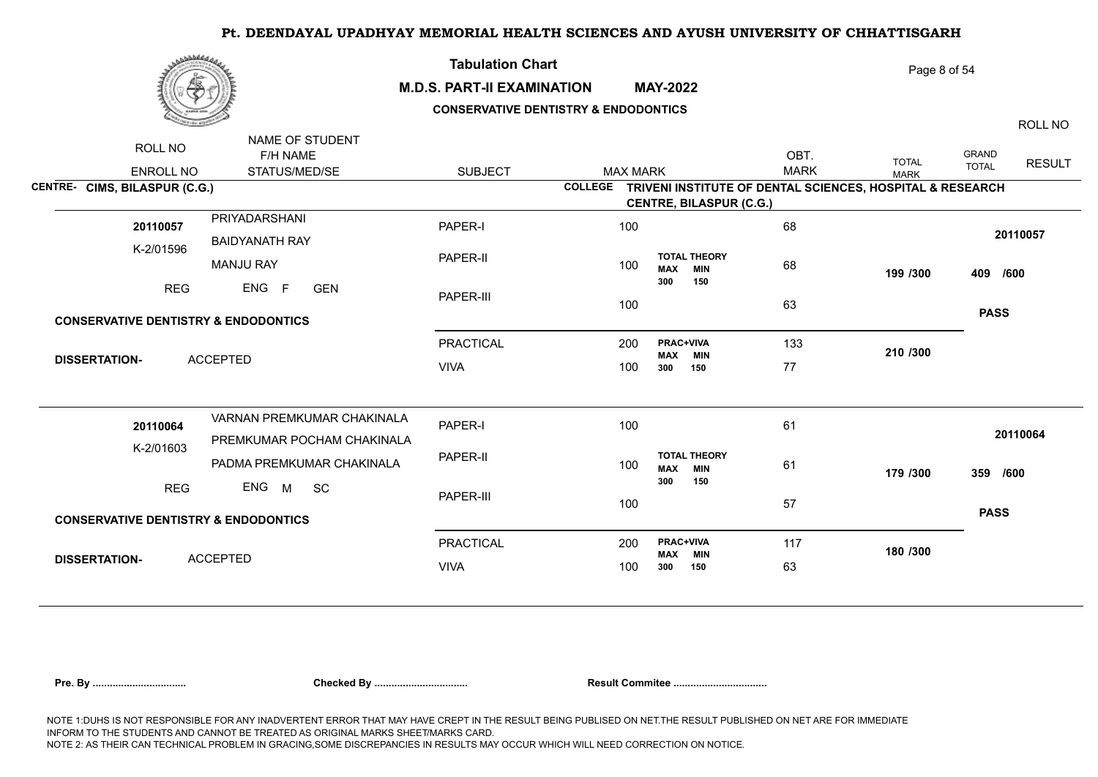

### **M.D.S. PART-II EXAMINATION MAY-2022**

**Tabulation Chart** 

## **CONSERVATIVE DENTISTRY & ENDODONTICS**

Page 8 of 54

ROLL NO

ENROLL NO STATUS/MED/SE SUBJECT ROLL NO F/H NAME NAME OF STUDENT GRAND TOTAL RESULT OBT. MAX MARK IOIAL TOTAL TOTAL MARK **CENTRE- CIMS, BILASPUR (C.G.) COLLEGE TRIVENI INSTITUTE OF DENTAL SCIENCES, HOSPITAL & RESEARCH CENTRE, BILASPUR (C.G.)** K-2/01596 PRIYADARSHANI BAIDYANATH RAY MANJU RAY REG ENG F GEN PAPER-I PAPER-II PAPER-III PRACTICAL 200 VIVA 68 68 and the set of the set of the set of the set of the set of the set of the set of the set of the set of the <br>The set of the set of the set of the set of the set of the set of the set of the set of the set of the set of 63 133 77 **199 /300 409 /600 210 /300 PASS <sup>20110057</sup>** <sup>100</sup> 200 **PRAC+VIVA** 100 300 **MAX MIN**<br>300 150 77 **300 150 TOTAL THEORY**  100 **max min** 68 **300 150** GEN **CONSERVATIVE DENTISTRY & ENDODONTICS DISSERTATION-** ACCEPTED **20110057** 100 K-2/01603 VARNAN PREMKUMAR CHAKINALA PREMKUMAR POCHAM CHAKINALA PADMA PREMKUMAR CHAKINALA REG ENG M SC PAPER-I PAPER-II PAPER-III PRACTICAL 200 VIVA 61 61 57 117 63 **179 /300 359 /600 180 /300 PASS <sup>20110064</sup>** <sup>100</sup> 200 **PRAC+VIVA** 100 300 **MAX MIN 300 150 TOTAL THEORY**  100 **MAX MIN** 61 **300 150** SC **CONSERVATIVE DENTISTRY & ENDODONTICS DISSERTATION-** ACCEPTED **20110064** 100

| Pre. By |
|---------|
|         |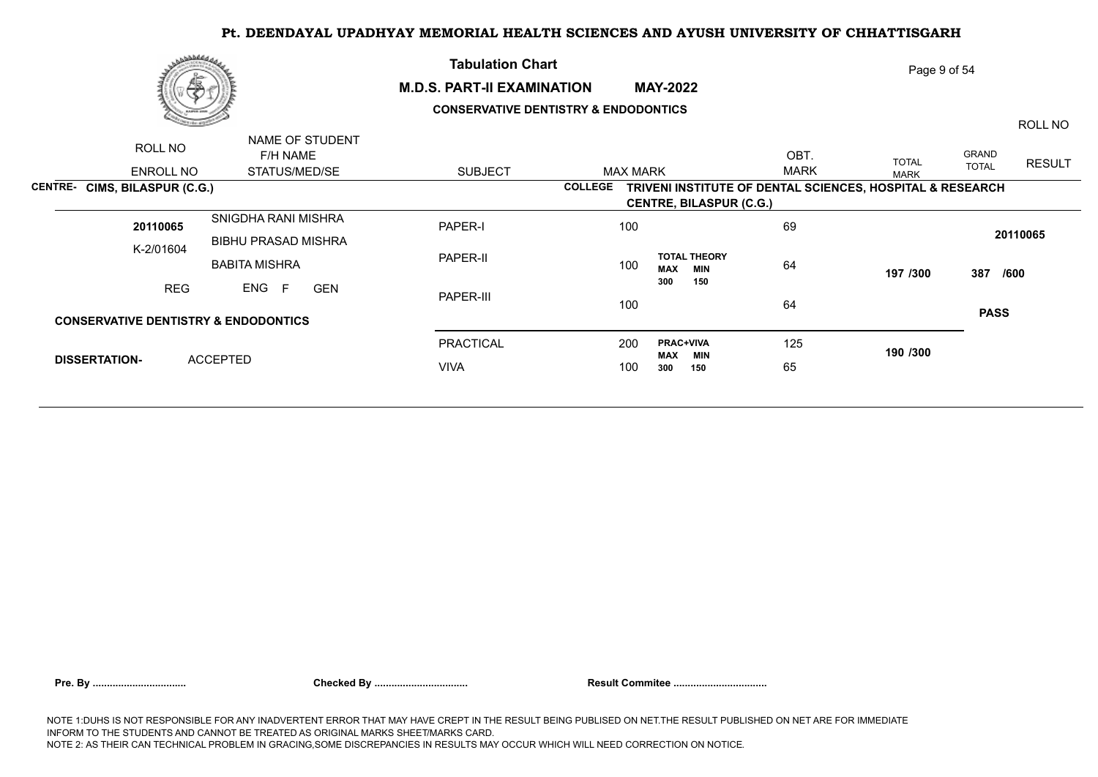

### **M.D.S. PART-II EXAMINATION MAY-2022**

**Tabulation Chart** 

## **CONSERVATIVE DENTISTRY & ENDODONTICS**

ROLL NO

Page 9 of 54

| ROLL NO                                         | NAME OF STUDENT<br>F/H NAME |                |                 |                                    | OBT         | <b>TOTAL</b>                                              | GRAND<br><b>RESULT</b> |
|-------------------------------------------------|-----------------------------|----------------|-----------------|------------------------------------|-------------|-----------------------------------------------------------|------------------------|
| <b>ENROLL NO</b>                                | STATUS/MED/SE               | <b>SUBJECT</b> | <b>MAX MARK</b> |                                    | <b>MARK</b> | <b>MARK</b>                                               | <b>TOTAL</b>           |
| <b>CIMS, BILASPUR (C.G.)</b><br><b>CENTRE-</b>  |                             |                | <b>COLLEGE</b>  |                                    |             | TRIVENI INSTITUTE OF DENTAL SCIENCES, HOSPITAL & RESEARCH |                        |
|                                                 |                             |                |                 | <b>CENTRE, BILASPUR (C.G.)</b>     |             |                                                           |                        |
| 20110065                                        | SNIGDHA RANI MISHRA         | <b>PAPER-I</b> | 100             |                                    | 69          |                                                           |                        |
| K-2/01604                                       | <b>BIBHU PRASAD MISHRA</b>  |                |                 |                                    |             |                                                           | 20110065               |
|                                                 | <b>BABITA MISHRA</b>        | PAPER-II       | 100             | <b>TOTAL THEORY</b><br>MAX<br>MIN  | 64          | 197 /300                                                  | 387<br>/600            |
| <b>REG</b>                                      | ENG F<br><b>GEN</b>         |                |                 | 150<br>300                         |             |                                                           |                        |
|                                                 |                             | PAPER-III      | 100             |                                    | 64          |                                                           |                        |
| <b>CONSERVATIVE DENTISTRY &amp; ENDODONTICS</b> |                             |                |                 |                                    |             |                                                           | <b>PASS</b>            |
|                                                 |                             | PRACTICAL      | 200             | <b>PRAC+VIVA</b><br><b>MAX MIN</b> | 125         | 190 /300                                                  |                        |
| <b>DISSERTATION-</b>                            | <b>ACCEPTED</b>             | <b>VIVA</b>    | 100             | 300<br>150                         | 65          |                                                           |                        |
|                                                 |                             |                |                 |                                    |             |                                                           |                        |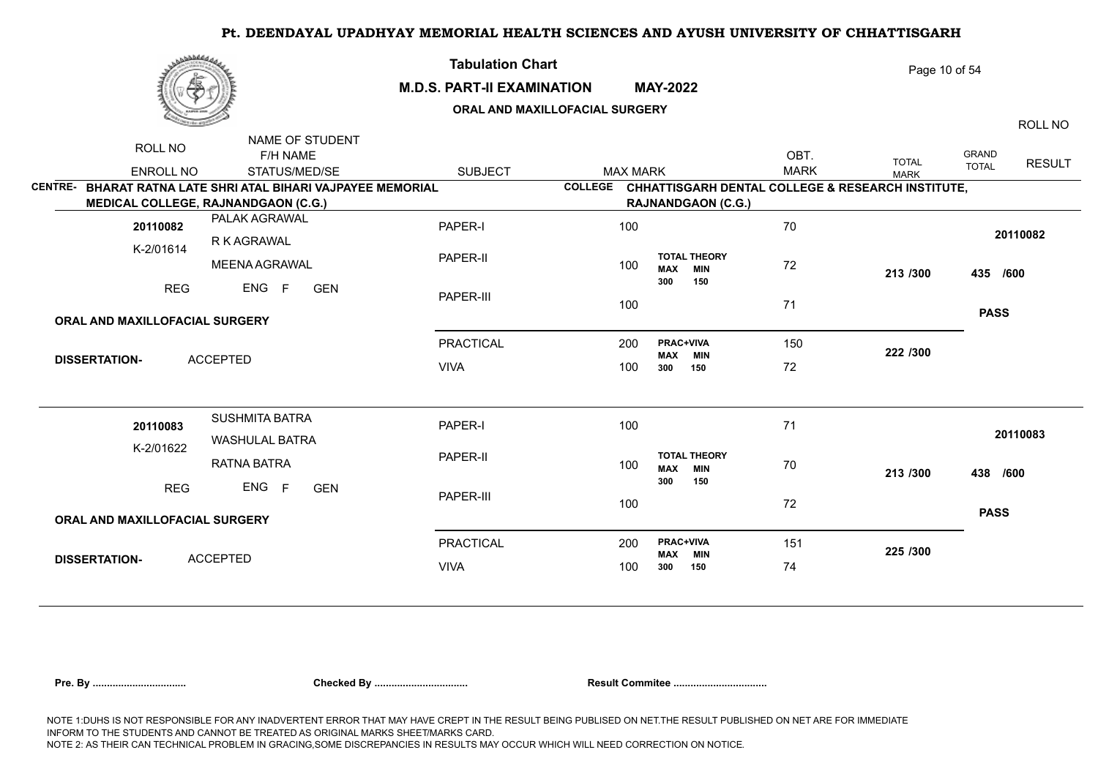|                                       | <b>Nobbedda,</b>                                             | <b>Tabulation Chart</b><br><b>M.D.S. PART-II EXAMINATION</b><br>ORAL AND MAXILLOFACIAL SURGERY |                |                 | <b>MAY-2022</b>                |                                   |                     | Page 10 of 54                                     |                              | ROLL NO       |
|---------------------------------------|--------------------------------------------------------------|------------------------------------------------------------------------------------------------|----------------|-----------------|--------------------------------|-----------------------------------|---------------------|---------------------------------------------------|------------------------------|---------------|
| ROLL NO<br><b>ENROLL NO</b>           | NAME OF STUDENT<br>F/H NAME<br>STATUS/MED/SE                 | <b>SUBJECT</b>                                                                                 |                | <b>MAX MARK</b> |                                |                                   | OBT.<br><b>MARK</b> | <b>TOTAL</b><br><b>MARK</b>                       | <b>GRAND</b><br><b>TOTAL</b> | <b>RESULT</b> |
|                                       | CENTRE- BHARAT RATNA LATE SHRI ATAL BIHARI VAJPAYEE MEMORIAL |                                                                                                | <b>COLLEGE</b> |                 |                                |                                   |                     | CHHATTISGARH DENTAL COLLEGE & RESEARCH INSTITUTE, |                              |               |
|                                       | <b>MEDICAL COLLEGE, RAJNANDGAON (C.G.)</b>                   |                                                                                                |                |                 |                                | <b>RAJNANDGAON (C.G.)</b>         |                     |                                                   |                              |               |
| 20110082                              | PALAK AGRAWAL                                                | PAPER-I                                                                                        |                | 100             |                                |                                   | 70                  |                                                   |                              |               |
| K-2/01614                             | R K AGRAWAL                                                  |                                                                                                |                |                 |                                |                                   |                     |                                                   |                              | 20110082      |
|                                       | MEENA AGRAWAL                                                | PAPER-II                                                                                       |                | 100             | <b>MAX</b>                     | <b>TOTAL THEORY</b><br><b>MIN</b> | 72                  | 213 /300                                          | 435 /600                     |               |
| <b>REG</b>                            | ENG<br>F<br><b>GEN</b>                                       | PAPER-III                                                                                      |                | 100             | 300                            | 150                               | 71                  |                                                   |                              |               |
| ORAL AND MAXILLOFACIAL SURGERY        |                                                              |                                                                                                |                |                 |                                |                                   |                     |                                                   | <b>PASS</b>                  |               |
|                                       |                                                              | <b>PRACTICAL</b>                                                                               |                | 200             | <b>PRAC+VIVA</b><br><b>MAX</b> | <b>MIN</b>                        | 150                 | 222 /300                                          |                              |               |
| <b>DISSERTATION-</b>                  | <b>ACCEPTED</b>                                              | <b>VIVA</b>                                                                                    |                | 100             | 300                            | 150                               | 72                  |                                                   |                              |               |
|                                       |                                                              |                                                                                                |                |                 |                                |                                   |                     |                                                   |                              |               |
| 20110083                              | <b>SUSHMITA BATRA</b><br><b>WASHULAL BATRA</b>               | PAPER-I                                                                                        |                | 100             |                                |                                   | 71                  |                                                   |                              | 20110083      |
| K-2/01622                             | <b>RATNA BATRA</b>                                           | PAPER-II                                                                                       |                | 100             | <b>MAX</b>                     | <b>TOTAL THEORY</b><br><b>MIN</b> | 70                  | 213 /300                                          | 438 /600                     |               |
| <b>REG</b>                            | ENG<br>F<br><b>GEN</b>                                       | PAPER-III                                                                                      |                | 100             | 300                            | 150                               | 72                  |                                                   |                              |               |
| <b>ORAL AND MAXILLOFACIAL SURGERY</b> |                                                              |                                                                                                |                |                 |                                |                                   |                     |                                                   | <b>PASS</b>                  |               |
| <b>DISSERTATION-</b>                  | <b>ACCEPTED</b>                                              | <b>PRACTICAL</b>                                                                               |                | 200             | <b>PRAC+VIVA</b><br><b>MAX</b> | <b>MIN</b>                        | 151                 | 225 /300                                          |                              |               |
|                                       |                                                              | <b>VIVA</b>                                                                                    |                | 100             | 300                            | 150                               | 74                  |                                                   |                              |               |
|                                       |                                                              |                                                                                                |                |                 |                                |                                   |                     |                                                   |                              |               |

|  |  | Pre. By |
|--|--|---------|
|  |  |         |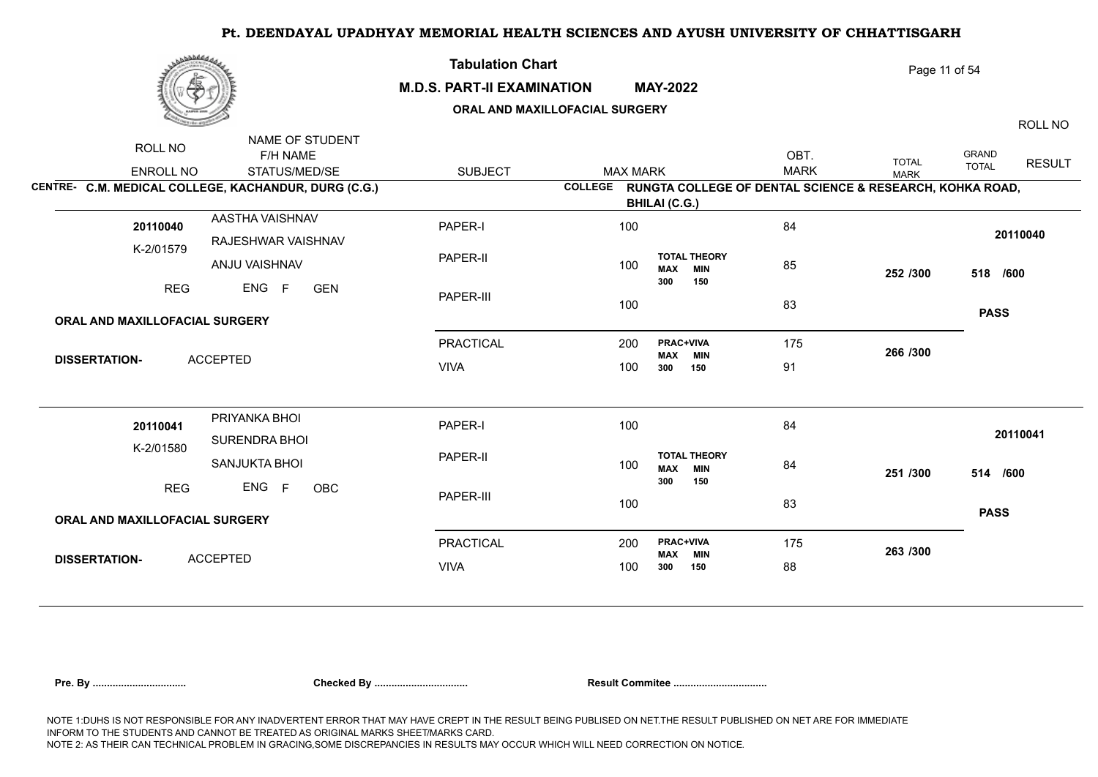| برىقىقىدى                                                                                                                    | <b>Tabulation Chart</b><br><b>M.D.S. PART-II EXAMINATION</b> | ORAL AND MAXILLOFACIAL SURGERY | <b>MAY-2022</b>                                                  |                     | Page 11 of 54               | ROLL NO                                |
|------------------------------------------------------------------------------------------------------------------------------|--------------------------------------------------------------|--------------------------------|------------------------------------------------------------------|---------------------|-----------------------------|----------------------------------------|
| NAME OF STUDENT<br>ROLL NO<br>F/H NAME<br>ENROLL NO<br>STATUS/MED/SE<br>CENTRE- C.M. MEDICAL COLLEGE, KACHANDUR, DURG (C.G.) | <b>SUBJECT</b>                                               | <b>MAX MARK</b>                | COLLEGE RUNGTA COLLEGE OF DENTAL SCIENCE & RESEARCH, KOHKA ROAD, | OBT.<br><b>MARK</b> | <b>TOTAL</b><br><b>MARK</b> | GRAND<br><b>RESULT</b><br><b>TOTAL</b> |
|                                                                                                                              |                                                              |                                | <b>BHILAI (C.G.)</b>                                             |                     |                             |                                        |
| AASTHA VAISHNAV<br>20110040<br>RAJESHWAR VAISHNAV                                                                            | PAPER-I                                                      | 100                            |                                                                  | 84                  |                             | 20110040                               |
| K-2/01579<br>ANJU VAISHNAV                                                                                                   | PAPER-II                                                     | 100                            | <b>TOTAL THEORY</b><br><b>MAX</b><br><b>MIN</b><br>300<br>150    | 85                  | 252 /300                    | 518 /600                               |
| <b>REG</b><br>ENG F<br><b>GEN</b>                                                                                            | PAPER-III                                                    | 100                            |                                                                  | 83                  |                             | <b>PASS</b>                            |
| ORAL AND MAXILLOFACIAL SURGERY                                                                                               |                                                              |                                |                                                                  |                     |                             |                                        |
| <b>ACCEPTED</b><br><b>DISSERTATION-</b>                                                                                      | PRACTICAL                                                    | 200                            | PRAC+VIVA<br><b>MAX</b><br><b>MIN</b>                            | 175                 | 266 /300                    |                                        |
|                                                                                                                              | <b>VIVA</b>                                                  | 100                            | 300<br>150                                                       | 91                  |                             |                                        |
| PRIYANKA BHOI<br>20110041<br>SURENDRA BHOI                                                                                   | PAPER-I                                                      | 100                            |                                                                  | 84                  |                             | 20110041                               |
| K-2/01580<br>SANJUKTA BHOI                                                                                                   | PAPER-II                                                     | 100                            | <b>TOTAL THEORY</b><br><b>MIN</b><br><b>MAX</b>                  | 84                  | 251 /300                    | 514 /600                               |
| ENG F<br><b>REG</b><br>OBC                                                                                                   | PAPER-III                                                    | 100                            | 300<br>150                                                       | 83                  |                             | <b>PASS</b>                            |
| ORAL AND MAXILLOFACIAL SURGERY                                                                                               |                                                              |                                |                                                                  |                     |                             |                                        |
| <b>ACCEPTED</b><br><b>DISSERTATION-</b>                                                                                      | <b>PRACTICAL</b>                                             | 200                            | PRAC+VIVA<br><b>MIN</b><br><b>MAX</b>                            | 175                 | 263 /300                    |                                        |
|                                                                                                                              | <b>VIVA</b>                                                  | 100                            | 300<br>150                                                       | 88                  |                             |                                        |
|                                                                                                                              |                                                              |                                |                                                                  |                     |                             |                                        |

|  |  | Pre. Bv |  |
|--|--|---------|--|
|  |  |         |  |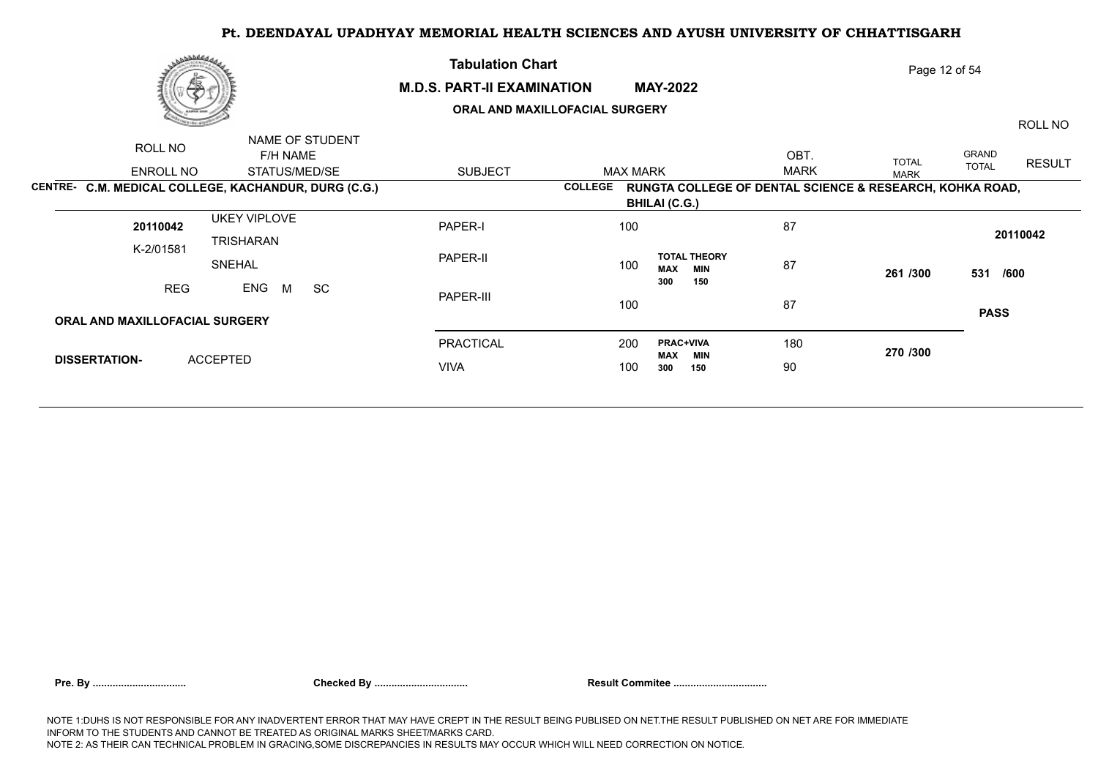## **M.D.S. PART-II EXAMINATION MAY-2022**

**Tabulation Chart** 

## **ORAL AND MAXILLOFACIAL SURGERY**

ROLL NO

Page 12 of 54

| ROLL NO                        | NAME OF STUDENT                                      |                |                 |                                                                  |             |              |              |               |
|--------------------------------|------------------------------------------------------|----------------|-----------------|------------------------------------------------------------------|-------------|--------------|--------------|---------------|
|                                | F/H NAME                                             |                |                 |                                                                  | OBT.        | <b>TOTAL</b> | GRAND        | <b>RESULT</b> |
| ENROLL NO                      | STATUS/MED/SE                                        | <b>SUBJECT</b> | <b>MAX MARK</b> |                                                                  | <b>MARK</b> | <b>MARK</b>  | <b>TOTAL</b> |               |
|                                | CENTRE- C.M. MEDICAL COLLEGE, KACHANDUR, DURG (C.G.) |                |                 | COLLEGE RUNGTA COLLEGE OF DENTAL SCIENCE & RESEARCH, KOHKA ROAD, |             |              |              |               |
|                                |                                                      |                |                 | <b>BHILAI (C.G.)</b>                                             |             |              |              |               |
| 20110042                       | <b>UKEY VIPLOVE</b>                                  | PAPER-I        | 100             |                                                                  | 87          |              |              |               |
| K-2/01581                      | TRISHARAN                                            |                |                 |                                                                  |             |              | 20110042     |               |
|                                | SNEHAL                                               | PAPER-II       | 100             | <b>TOTAL THEORY</b><br><b>MAX</b><br>MIN                         | 87          | 261 /300     | 531 /600     |               |
| <b>REG</b>                     | ENG M<br><b>SC</b>                                   |                |                 | 300<br>150                                                       |             |              |              |               |
|                                |                                                      | PAPER-III      | 100             |                                                                  | 87          |              | <b>PASS</b>  |               |
| ORAL AND MAXILLOFACIAL SURGERY |                                                      |                |                 |                                                                  |             |              |              |               |
|                                |                                                      | PRACTICAL      | 200             | <b>PRAC+VIVA</b><br><b>MAX</b><br>MIN                            | 180         | 270 /300     |              |               |
| <b>DISSERTATION-</b>           | <b>ACCEPTED</b>                                      | <b>VIVA</b>    | 100             | 300<br>150                                                       | 90          |              |              |               |
|                                |                                                      |                |                 |                                                                  |             |              |              |               |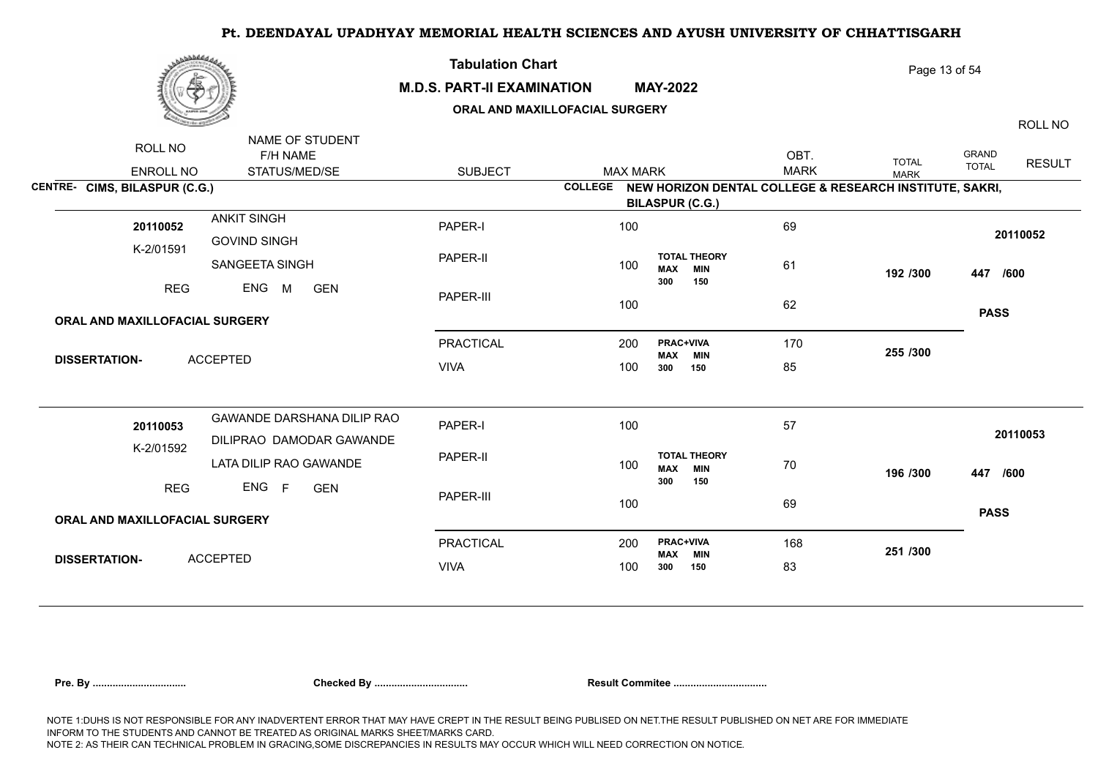

### **M.D.S. PART-II EXAMINATION MAY-2022**

**Tabulation Chart** 

## **ORAL AND MAXILLOFACIAL SURGERY**

Page 13 of 54

ROLL NO

|                                       | NAME OF STUDENT            |                  |                 |                                                                 |             |              |                        |
|---------------------------------------|----------------------------|------------------|-----------------|-----------------------------------------------------------------|-------------|--------------|------------------------|
| ROLL NO                               | F/H NAME                   |                  |                 |                                                                 | OBT.        | <b>TOTAL</b> | GRAND<br><b>RESULT</b> |
| <b>ENROLL NO</b>                      | STATUS/MED/SE              | <b>SUBJECT</b>   | <b>MAX MARK</b> |                                                                 | <b>MARK</b> | <b>MARK</b>  | <b>TOTAL</b>           |
| CENTRE- CIMS, BILASPUR (C.G.)         |                            |                  |                 | COLLEGE NEW HORIZON DENTAL COLLEGE & RESEARCH INSTITUTE, SAKRI, |             |              |                        |
|                                       |                            |                  |                 | <b>BILASPUR (C.G.)</b>                                          |             |              |                        |
| 20110052                              | <b>ANKIT SINGH</b>         | PAPER-I          | 100             |                                                                 | 69          |              |                        |
| K-2/01591                             | <b>GOVIND SINGH</b>        |                  |                 |                                                                 |             |              | 20110052               |
|                                       | SANGEETA SINGH             | PAPER-II         | 100             | <b>TOTAL THEORY</b><br><b>MAX</b><br><b>MIN</b>                 | 61          | 192 /300     | 447 /600               |
| <b>REG</b>                            | ENG M<br><b>GEN</b>        |                  |                 | 300<br>150                                                      |             |              |                        |
|                                       |                            | PAPER-III        | 100             |                                                                 | 62          |              |                        |
| ORAL AND MAXILLOFACIAL SURGERY        |                            |                  |                 |                                                                 |             |              | <b>PASS</b>            |
|                                       |                            | <b>PRACTICAL</b> | 200             | <b>PRAC+VIVA</b><br><b>MAX MIN</b>                              | 170         | 255 /300     |                        |
| <b>DISSERTATION-</b>                  | <b>ACCEPTED</b>            | <b>VIVA</b>      | 100             | 300<br>150                                                      | 85          |              |                        |
|                                       |                            |                  |                 |                                                                 |             |              |                        |
| 20110053                              | GAWANDE DARSHANA DILIP RAO | PAPER-I          | 100             |                                                                 | 57          |              |                        |
|                                       | DILIPRAO DAMODAR GAWANDE   |                  |                 |                                                                 |             |              | 20110053               |
| K-2/01592                             | LATA DILIP RAO GAWANDE     | PAPER-II         | 100             | <b>TOTAL THEORY</b><br><b>MAX</b><br><b>MIN</b>                 | 70          | 196 /300     | 447 /600               |
| <b>REG</b>                            | ENG F<br><b>GEN</b>        |                  |                 | 300<br>150                                                      |             |              |                        |
|                                       |                            | PAPER-III        | 100             |                                                                 | 69          |              | <b>PASS</b>            |
| <b>ORAL AND MAXILLOFACIAL SURGERY</b> |                            |                  |                 |                                                                 |             |              |                        |
|                                       |                            | <b>PRACTICAL</b> | 200             | <b>PRAC+VIVA</b><br><b>MAX MIN</b>                              | 168         | 251 /300     |                        |
| <b>DISSERTATION-</b>                  | <b>ACCEPTED</b>            | <b>VIVA</b>      | 100             | 300<br>150                                                      | 83          |              |                        |
|                                       |                            |                  |                 |                                                                 |             |              |                        |

| Pre. Bv |  |  |  |
|---------|--|--|--|
|         |  |  |  |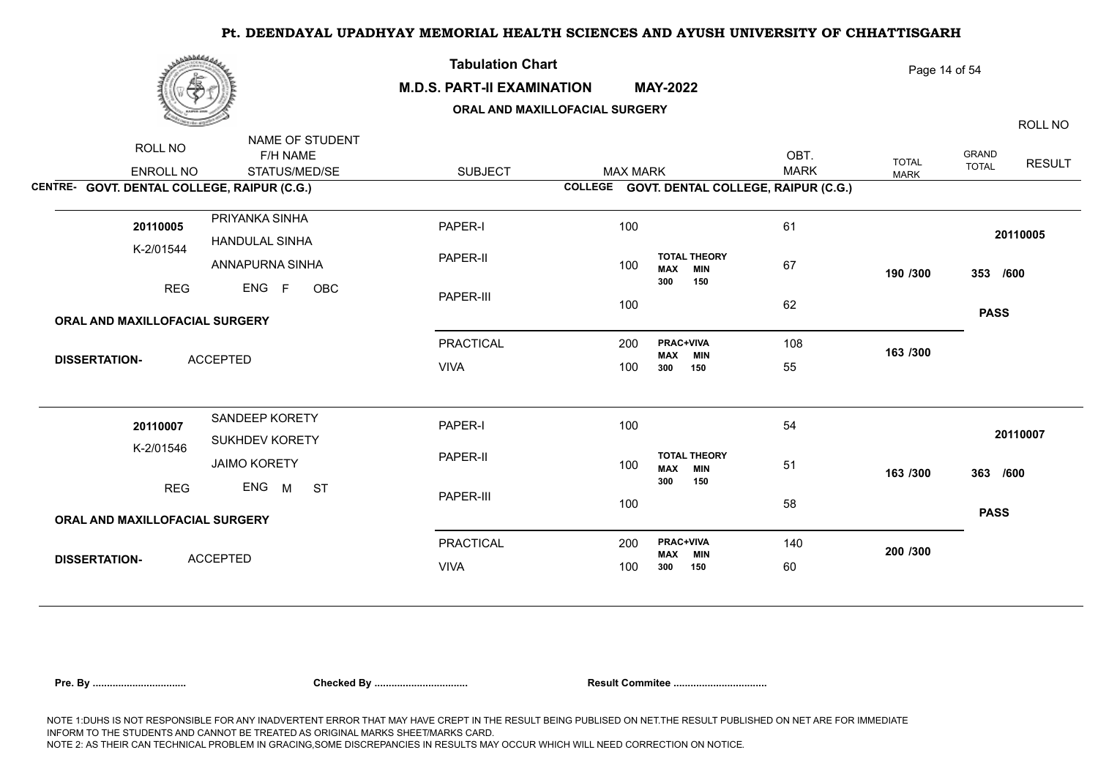| مهما المعادي                                                        |                                              | <b>Tabulation Chart</b><br><b>M.D.S. PART-II EXAMINATION</b><br>ORAL AND MAXILLOFACIAL SURGERY |                 | <b>MAY-2022</b>                                               |                     | Page 14 of 54               |                              | ROLL NO       |
|---------------------------------------------------------------------|----------------------------------------------|------------------------------------------------------------------------------------------------|-----------------|---------------------------------------------------------------|---------------------|-----------------------------|------------------------------|---------------|
| ROLL NO<br>ENROLL NO<br>CENTRE- GOVT. DENTAL COLLEGE, RAIPUR (C.G.) | NAME OF STUDENT<br>F/H NAME<br>STATUS/MED/SE | <b>SUBJECT</b>                                                                                 | <b>MAX MARK</b> | COLLEGE GOVT. DENTAL COLLEGE, RAIPUR (C.G.)                   | OBT.<br><b>MARK</b> | <b>TOTAL</b><br><b>MARK</b> | <b>GRAND</b><br><b>TOTAL</b> | <b>RESULT</b> |
| 20110005<br>K-2/01544                                               | PRIYANKA SINHA<br><b>HANDULAL SINHA</b>      | PAPER-I<br>PAPER-II                                                                            | 100             | <b>TOTAL THEORY</b>                                           | 61                  |                             |                              | 20110005      |
| <b>REG</b>                                                          | ANNAPURNA SINHA<br>ENG F<br>OBC              | PAPER-III                                                                                      | 100<br>100      | <b>MIN</b><br><b>MAX</b><br>300<br>150                        | 67<br>62            | 190 /300                    | 353 /600                     |               |
| ORAL AND MAXILLOFACIAL SURGERY                                      |                                              |                                                                                                |                 |                                                               |                     |                             | <b>PASS</b>                  |               |
| <b>ACCEPTED</b><br><b>DISSERTATION-</b>                             |                                              | <b>PRACTICAL</b><br><b>VIVA</b>                                                                | 200<br>100      | <b>PRAC+VIVA</b><br>MAX<br><b>MIN</b><br>300<br>150           | 108<br>55           | 163 /300                    |                              |               |
| 20110007<br>K-2/01546                                               | SANDEEP KORETY<br>SUKHDEV KORETY             | PAPER-I                                                                                        | 100             |                                                               | 54                  |                             |                              | 20110007      |
| <b>REG</b>                                                          | <b>JAIMO KORETY</b><br>ENG<br>M<br><b>ST</b> | PAPER-II                                                                                       | 100             | <b>TOTAL THEORY</b><br><b>MIN</b><br><b>MAX</b><br>300<br>150 | 51                  | 163 /300                    | 363 /600                     |               |
| ORAL AND MAXILLOFACIAL SURGERY                                      |                                              | PAPER-III                                                                                      | 100             |                                                               | 58                  |                             | <b>PASS</b>                  |               |
| <b>ACCEPTED</b><br><b>DISSERTATION-</b>                             |                                              | <b>PRACTICAL</b><br><b>VIVA</b>                                                                | 200<br>100      | <b>PRAC+VIVA</b><br><b>MIN</b><br><b>MAX</b><br>150<br>300    | 140<br>60           | 200 /300                    |                              |               |
|                                                                     |                                              |                                                                                                |                 |                                                               |                     |                             |                              |               |

| .u. dv |
|--------|
|--------|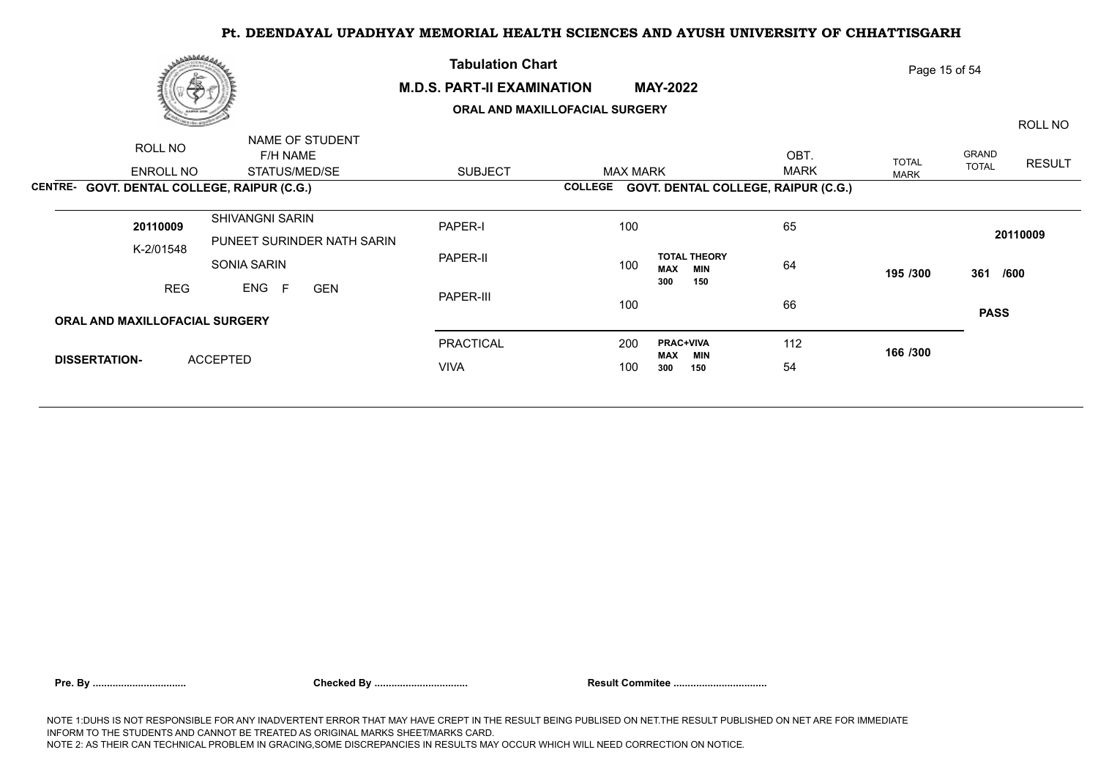|                      | رى <i>ھافلىقى</i><br>æ         |                                             | <b>Tabulation Chart</b><br><b>M.D.S. PART-II EXAMINATION</b> | Page 15 of 54   |                                                 |             |              |              |               |
|----------------------|--------------------------------|---------------------------------------------|--------------------------------------------------------------|-----------------|-------------------------------------------------|-------------|--------------|--------------|---------------|
|                      |                                |                                             | ORAL AND MAXILLOFACIAL SURGERY                               |                 |                                                 | ROLL NO     |              |              |               |
|                      | ROLL NO                        | NAME OF STUDENT<br>F/H NAME                 |                                                              |                 |                                                 | OBT.        | <b>TOTAL</b> | GRAND        | <b>RESULT</b> |
|                      | ENROLL NO                      | STATUS/MED/SE                               | <b>SUBJECT</b>                                               | <b>MAX MARK</b> |                                                 | <b>MARK</b> | <b>MARK</b>  | <b>TOTAL</b> |               |
|                      |                                | CENTRE- GOVT. DENTAL COLLEGE, RAIPUR (C.G.) |                                                              | <b>COLLEGE</b>  | <b>GOVT. DENTAL COLLEGE, RAIPUR (C.G.)</b>      |             |              |              |               |
|                      | 20110009                       | SHIVANGNI SARIN                             | PAPER-I                                                      | 100             |                                                 | 65          |              |              | 20110009      |
|                      | K-2/01548                      | PUNEET SURINDER NATH SARIN<br>SONIA SARIN   | PAPER-II                                                     | 100             | <b>TOTAL THEORY</b><br><b>MAX</b><br><b>MIN</b> | 64          | 195 /300     |              |               |
| <b>REG</b>           |                                | ENG F<br><b>GEN</b>                         | PAPER-III                                                    | 100             | 300<br>150                                      | 66          |              | 361 /600     |               |
|                      | ORAL AND MAXILLOFACIAL SURGERY |                                             |                                                              |                 |                                                 |             |              | <b>PASS</b>  |               |
|                      |                                |                                             | PRACTICAL                                                    | 200             | <b>PRAC+VIVA</b><br>MAX<br>MIN                  | 112         | 166 /300     |              |               |
| <b>DISSERTATION-</b> |                                | <b>ACCEPTED</b>                             | <b>VIVA</b>                                                  |                 | 300<br>150                                      | 54          |              |              |               |
|                      |                                |                                             |                                                              |                 |                                                 |             |              |              |               |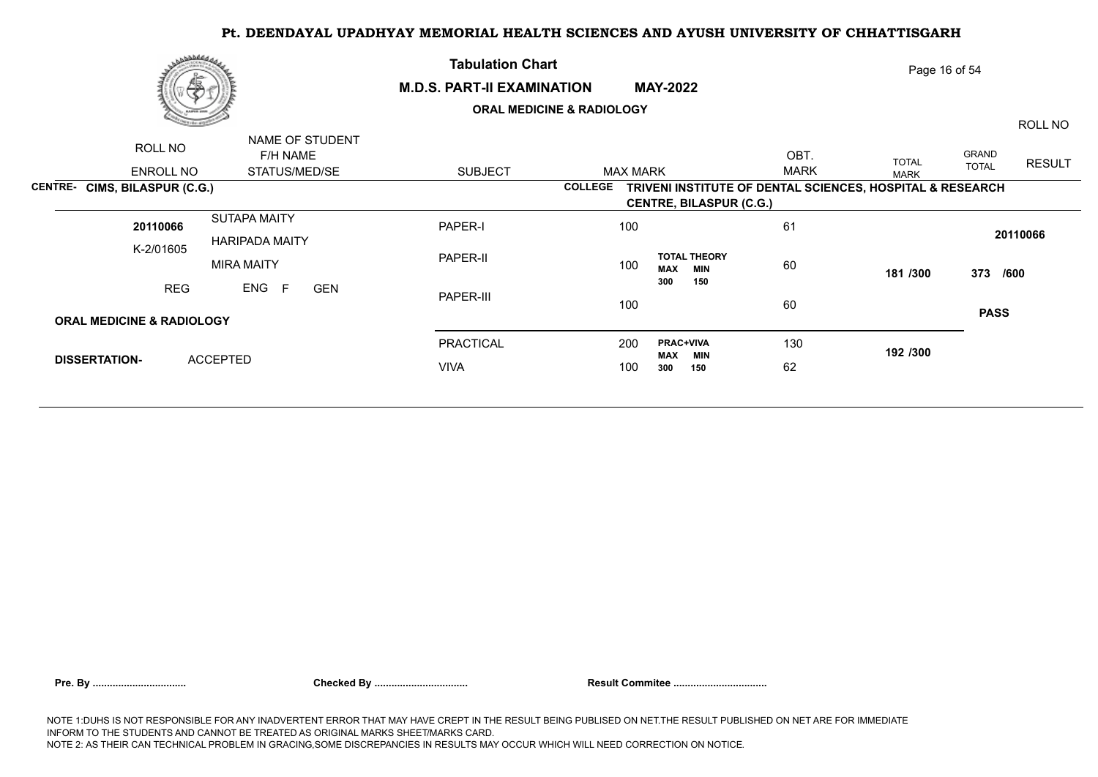|                      | مەھلىلىقى                            |                             | <b>Tabulation Chart</b>                                                     | Page 16 of 54                  |                                                 |             |              |                      |               |  |  |  |  |
|----------------------|--------------------------------------|-----------------------------|-----------------------------------------------------------------------------|--------------------------------|-------------------------------------------------|-------------|--------------|----------------------|---------------|--|--|--|--|
|                      | 偽                                    |                             | <b>M.D.S. PART-II EXAMINATION</b><br><b>MAY-2022</b>                        |                                |                                                 |             |              |                      |               |  |  |  |  |
|                      |                                      |                             | <b>ORAL MEDICINE &amp; RADIOLOGY</b>                                        |                                |                                                 |             |              |                      | ROLL NO       |  |  |  |  |
|                      | ROLL NO                              | NAME OF STUDENT<br>F/H NAME |                                                                             |                                |                                                 | OBT.        | <b>TOTAL</b> | GRAND                | <b>RESULT</b> |  |  |  |  |
|                      | ENROLL NO                            | STATUS/MED/SE               | <b>SUBJECT</b>                                                              | <b>MAX MARK</b>                |                                                 | <b>MARK</b> | <b>MARK</b>  | <b>TOTAL</b>         |               |  |  |  |  |
|                      | <b>CENTRE- CIMS, BILASPUR (C.G.)</b> |                             | TRIVENI INSTITUTE OF DENTAL SCIENCES, HOSPITAL & RESEARCH<br><b>COLLEGE</b> |                                |                                                 |             |              |                      |               |  |  |  |  |
|                      |                                      |                             |                                                                             | <b>CENTRE, BILASPUR (C.G.)</b> |                                                 |             |              |                      |               |  |  |  |  |
|                      | 20110066                             | <b>SUTAPA MAITY</b>         | PAPER-I                                                                     | 100                            |                                                 | 61          |              | 20110066<br>373 /600 |               |  |  |  |  |
|                      | K-2/01605                            | <b>HARIPADA MAITY</b>       |                                                                             |                                |                                                 |             |              |                      |               |  |  |  |  |
|                      |                                      | <b>MIRA MAITY</b>           | PAPER-II                                                                    | 100                            | <b>TOTAL THEORY</b><br><b>MAX</b><br><b>MIN</b> | 60          | 181 /300     |                      |               |  |  |  |  |
|                      | <b>REG</b>                           | ENG<br>F<br><b>GEN</b>      | PAPER-III                                                                   |                                | 300<br>150                                      |             |              |                      |               |  |  |  |  |
|                      |                                      |                             | 100                                                                         |                                | 60                                              |             | <b>PASS</b>  |                      |               |  |  |  |  |
|                      | <b>ORAL MEDICINE &amp; RADIOLOGY</b> |                             |                                                                             |                                |                                                 |             |              |                      |               |  |  |  |  |
|                      |                                      |                             | <b>PRACTICAL</b>                                                            | 200                            | <b>PRAC+VIVA</b><br>MAX<br>MIN                  | 130         | 192 /300     |                      |               |  |  |  |  |
| <b>DISSERTATION-</b> |                                      | <b>ACCEPTED</b>             | <b>VIVA</b>                                                                 | 100                            | 300<br>150                                      | 62          |              |                      |               |  |  |  |  |
|                      |                                      |                             |                                                                             |                                |                                                 |             |              |                      |               |  |  |  |  |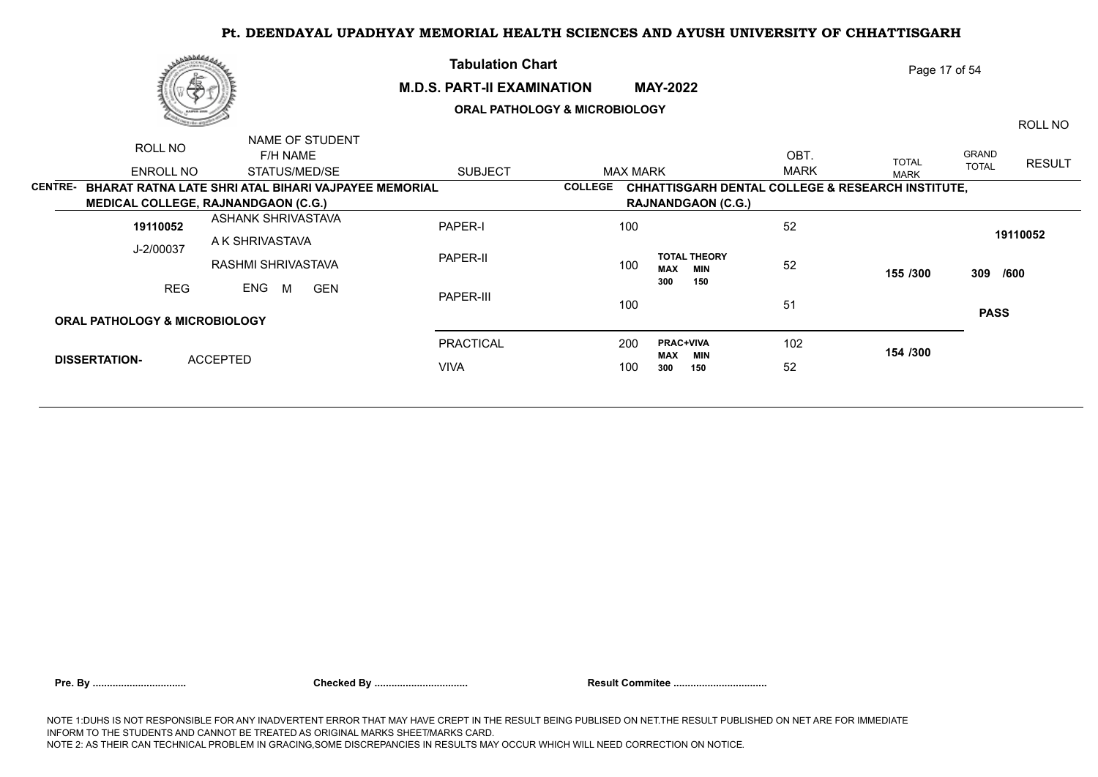|                | رىھەققىدىن<br>Ŧ                                      |                        |                             |                                          | <b>Tabulation Chart</b><br><b>M.D.S. PART-II EXAMINATION</b><br><b>MAY-2022</b> |                 |                                                              |             | Page 17 of 54 |                       |               |  |  |
|----------------|------------------------------------------------------|------------------------|-----------------------------|------------------------------------------|---------------------------------------------------------------------------------|-----------------|--------------------------------------------------------------|-------------|---------------|-----------------------|---------------|--|--|
|                |                                                      |                        |                             | <b>ORAL PATHOLOGY &amp; MICROBIOLOGY</b> |                                                                                 |                 |                                                              |             |               | ROLL NO               |               |  |  |
|                | ROLL NO                                              |                        | NAME OF STUDENT<br>F/H NAME |                                          |                                                                                 |                 |                                                              | OBT.        | <b>TOTAL</b>  | GRAND<br><b>TOTAL</b> | <b>RESULT</b> |  |  |
|                | ENROLL NO                                            |                        | STATUS/MED/SE               | <b>SUBJECT</b>                           |                                                                                 | <b>MAX MARK</b> |                                                              | <b>MARK</b> | <b>MARK</b>   |                       |               |  |  |
| <b>CENTRE-</b> | BHARAT RATNA LATE SHRI ATAL BIHARI VAJPAYEE MEMORIAL |                        |                             |                                          | <b>COLLEGE</b>                                                                  |                 | <b>CHHATTISGARH DENTAL COLLEGE &amp; RESEARCH INSTITUTE,</b> |             |               |                       |               |  |  |
|                | MEDICAL COLLEGE, RAJNANDGAON (C.G.)                  |                        |                             |                                          |                                                                                 |                 | <b>RAJNANDGAON (C.G.)</b>                                    |             |               |                       |               |  |  |
|                | 19110052                                             |                        | ASHANK SHRIVASTAVA          | PAPER-I                                  |                                                                                 | 100             |                                                              | 52          |               |                       |               |  |  |
|                | J-2/00037                                            | A K SHRIVASTAVA        |                             |                                          | PAPER-II<br>100                                                                 |                 |                                                              | 52          |               | 19110052<br>309 /600  |               |  |  |
|                |                                                      |                        | RASHMI SHRIVASTAVA          |                                          |                                                                                 |                 | <b>TOTAL THEORY</b><br><b>MAX</b><br><b>MIN</b>              |             | 155 /300      |                       |               |  |  |
|                | <b>REG</b>                                           | ENG<br>M<br><b>GEN</b> |                             | PAPER-III                                |                                                                                 |                 | 300<br>150                                                   |             |               |                       |               |  |  |
|                |                                                      |                        |                             | 100                                      |                                                                                 | 51              |                                                              | <b>PASS</b> |               |                       |               |  |  |
|                | <b>ORAL PATHOLOGY &amp; MICROBIOLOGY</b>             |                        |                             |                                          |                                                                                 |                 |                                                              |             |               |                       |               |  |  |
|                |                                                      | <b>ACCEPTED</b>        |                             | <b>PRACTICAL</b>                         |                                                                                 | 200             | <b>PRAC+VIVA</b>                                             | 102         | 154 /300      |                       |               |  |  |
|                | <b>DISSERTATION-</b>                                 |                        |                             | <b>VIVA</b>                              |                                                                                 | 100             | MAX<br>MIN<br>300<br>150                                     | 52          |               |                       |               |  |  |
|                |                                                      |                        |                             |                                          |                                                                                 |                 |                                                              |             |               |                       |               |  |  |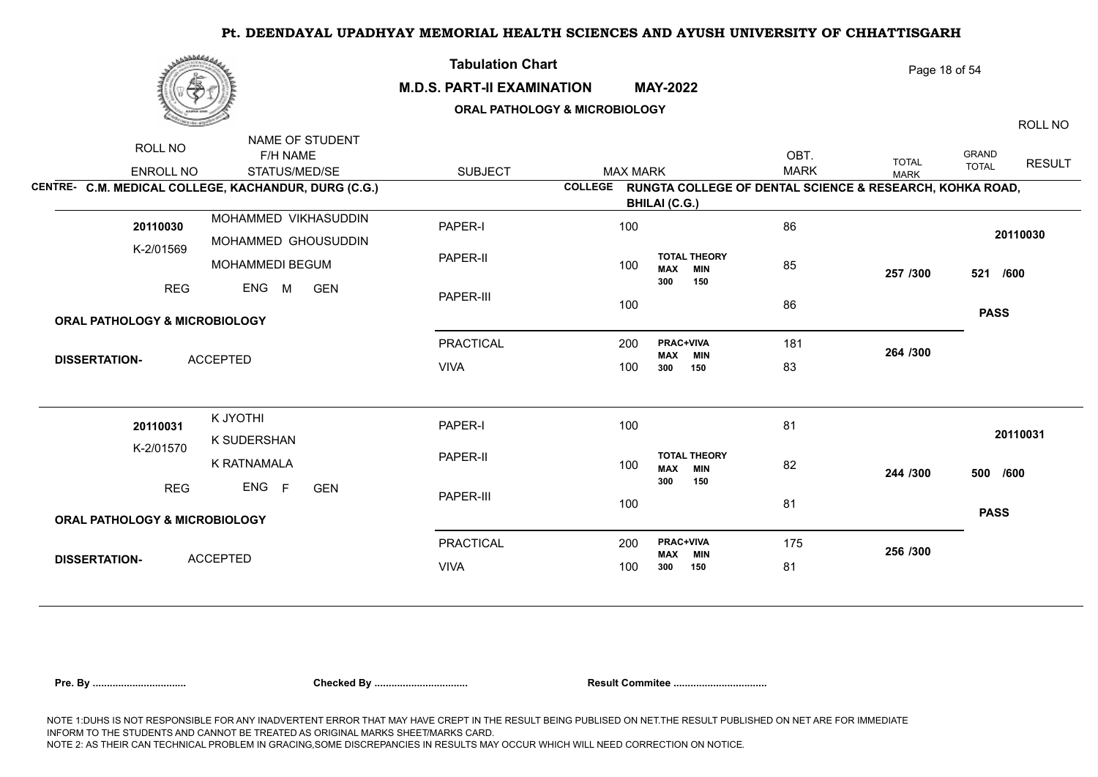| برهانا فاخترى                                        |                                              | <b>Tabulation Chart</b><br><b>M.D.S. PART-II EXAMINATION</b><br><b>ORAL PATHOLOGY &amp; MICROBIOLOGY</b> | <b>MAY-2022</b> | Page 18 of 54<br>ROLL NO                                                         |                     |                             |                       |               |
|------------------------------------------------------|----------------------------------------------|----------------------------------------------------------------------------------------------------------|-----------------|----------------------------------------------------------------------------------|---------------------|-----------------------------|-----------------------|---------------|
| ROLL NO<br>ENROLL NO                                 | NAME OF STUDENT<br>F/H NAME<br>STATUS/MED/SE | <b>SUBJECT</b>                                                                                           | <b>MAX MARK</b> |                                                                                  | OBT.<br><b>MARK</b> | <b>TOTAL</b><br><b>MARK</b> | GRAND<br><b>TOTAL</b> | <b>RESULT</b> |
| CENTRE- C.M. MEDICAL COLLEGE, KACHANDUR, DURG (C.G.) |                                              |                                                                                                          | <b>COLLEGE</b>  | RUNGTA COLLEGE OF DENTAL SCIENCE & RESEARCH, KOHKA ROAD,<br><b>BHILAI (C.G.)</b> |                     |                             |                       |               |
| 20110030                                             | MOHAMMED VIKHASUDDIN<br>MOHAMMED GHOUSUDDIN  | PAPER-I                                                                                                  | 100             |                                                                                  | 86                  |                             | 20110030              |               |
| K-2/01569                                            | MOHAMMEDI BEGUM                              | PAPER-II                                                                                                 | 100             | <b>TOTAL THEORY</b><br><b>MIN</b><br><b>MAX</b>                                  | 85                  | 257 /300                    | 521 /600              |               |
| ENG M<br><b>REG</b><br><b>GEN</b>                    |                                              | PAPER-III                                                                                                | 100             | 300<br>150                                                                       | 86                  |                             |                       |               |
| <b>ORAL PATHOLOGY &amp; MICROBIOLOGY</b>             |                                              |                                                                                                          |                 |                                                                                  |                     |                             | <b>PASS</b>           |               |
|                                                      |                                              | <b>PRACTICAL</b>                                                                                         | 200             | PRAC+VIVA                                                                        | 181                 | 264 /300                    |                       |               |
| <b>ACCEPTED</b><br><b>DISSERTATION-</b>              |                                              | <b>VIVA</b>                                                                                              | 100             | <b>MAX</b><br><b>MIN</b><br>300<br>150                                           | 83                  |                             |                       |               |
| 20110031                                             | K JYOTHI<br>K SUDERSHAN                      | PAPER-I                                                                                                  | 100             |                                                                                  | 81                  |                             | 20110031              |               |
| K-2/01570                                            | K RATNAMALA                                  | PAPER-II                                                                                                 | 100             | <b>TOTAL THEORY</b><br><b>MIN</b><br><b>MAX</b>                                  | 82                  | 244 /300                    | 500 /600              |               |
| <b>REG</b>                                           | ENG F<br><b>GEN</b>                          | PAPER-III                                                                                                | 100             | 300<br>150                                                                       | 81                  |                             | <b>PASS</b>           |               |
| <b>ORAL PATHOLOGY &amp; MICROBIOLOGY</b>             |                                              |                                                                                                          |                 |                                                                                  |                     |                             |                       |               |
| <b>ACCEPTED</b><br><b>DISSERTATION-</b>              |                                              | <b>PRACTICAL</b>                                                                                         | 200             | <b>PRAC+VIVA</b><br><b>MIN</b><br><b>MAX</b>                                     | 175                 | 256 /300                    |                       |               |
|                                                      |                                              | <b>VIVA</b>                                                                                              | 100             | 300<br>150                                                                       | 81                  |                             |                       |               |
|                                                      |                                              |                                                                                                          |                 |                                                                                  |                     |                             |                       |               |

| 'n |  |  |
|----|--|--|
|----|--|--|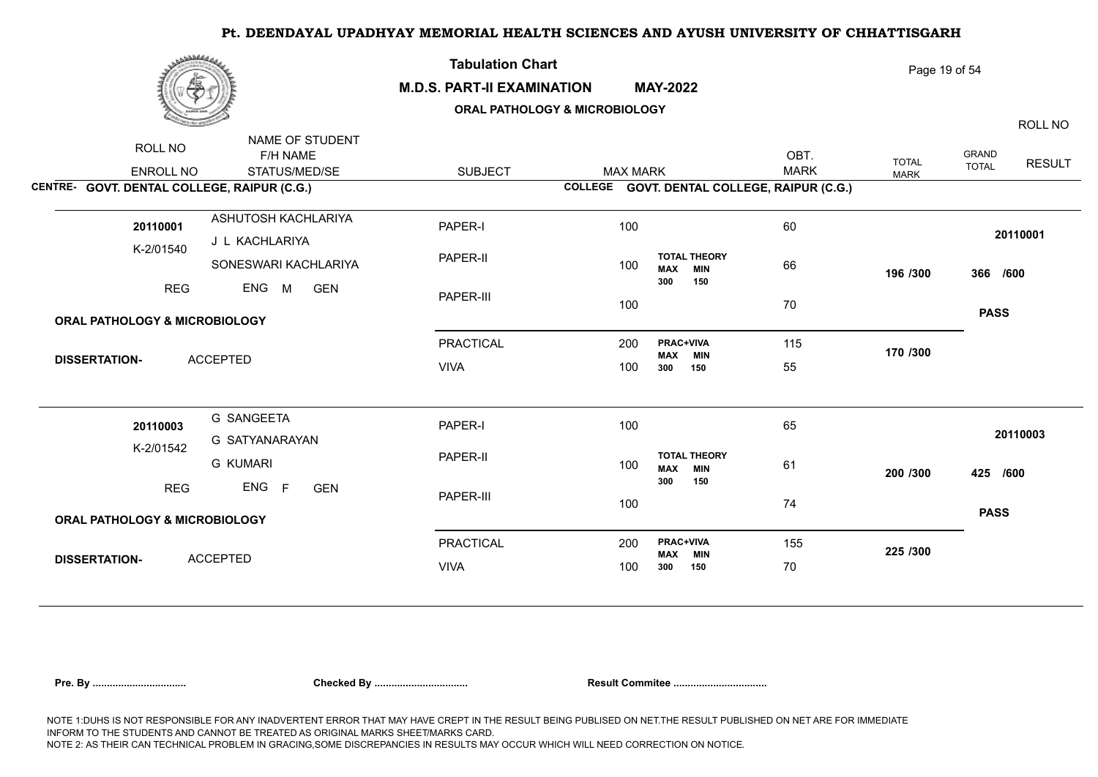| برهانا فاخترى                                                       |                                                       | <b>Tabulation Chart</b><br><b>M.D.S. PART-II EXAMINATION</b><br>ORAL PATHOLOGY & MICROBIOLOGY | <b>MAY-2022</b> | Page 19 of 54<br>ROLL NO                                      |                     |                             |                              |               |
|---------------------------------------------------------------------|-------------------------------------------------------|-----------------------------------------------------------------------------------------------|-----------------|---------------------------------------------------------------|---------------------|-----------------------------|------------------------------|---------------|
| ROLL NO<br>ENROLL NO<br>CENTRE- GOVT. DENTAL COLLEGE, RAIPUR (C.G.) | NAME OF STUDENT<br>F/H NAME<br>STATUS/MED/SE          | <b>SUBJECT</b>                                                                                | <b>MAX MARK</b> | COLLEGE GOVT. DENTAL COLLEGE, RAIPUR (C.G.)                   | OBT.<br><b>MARK</b> | <b>TOTAL</b><br><b>MARK</b> | <b>GRAND</b><br><b>TOTAL</b> | <b>RESULT</b> |
| 20110001<br>K-2/01540                                               | ASHUTOSH KACHLARIYA<br>J L KACHLARIYA                 | PAPER-I<br>PAPER-II                                                                           | 100             | <b>TOTAL THEORY</b>                                           | 60                  |                             | 20110001                     |               |
| <b>REG</b>                                                          | SONESWARI KACHLARIYA<br>ENG<br><b>M</b><br><b>GEN</b> | PAPER-III                                                                                     | 100<br>100      | <b>MIN</b><br><b>MAX</b><br>300<br>150                        | 66<br>70            | 196 /300                    | 366 /600<br><b>PASS</b>      |               |
| <b>ORAL PATHOLOGY &amp; MICROBIOLOGY</b>                            |                                                       |                                                                                               |                 |                                                               |                     |                             |                              |               |
|                                                                     |                                                       | <b>PRACTICAL</b>                                                                              | 200             | <b>PRAC+VIVA</b><br><b>MIN</b><br><b>MAX</b>                  | 115                 | 170 /300                    |                              |               |
| <b>DISSERTATION-</b>                                                | <b>ACCEPTED</b>                                       | <b>VIVA</b>                                                                                   | 100             | 300<br>150                                                    | 55                  |                             |                              |               |
| 20110003                                                            | <b>G SANGEETA</b><br>G SATYANARAYAN                   | PAPER-I                                                                                       | 100             |                                                               | 65                  |                             | 20110003                     |               |
| K-2/01542                                                           | <b>G KUMARI</b>                                       | PAPER-II                                                                                      | 100             | <b>TOTAL THEORY</b><br><b>MIN</b><br><b>MAX</b><br>300<br>150 | 61                  | 200 /300                    | 425 /600                     |               |
| <b>REG</b>                                                          | ENG<br>F<br><b>GEN</b>                                | PAPER-III                                                                                     | 100             |                                                               | 74                  |                             | <b>PASS</b>                  |               |
| <b>ORAL PATHOLOGY &amp; MICROBIOLOGY</b>                            |                                                       |                                                                                               |                 |                                                               |                     |                             |                              |               |
|                                                                     |                                                       | <b>PRACTICAL</b>                                                                              | 200             | <b>PRAC+VIVA</b><br><b>MAX</b><br><b>MIN</b>                  | 155                 | 225 /300                    |                              |               |
| <b>DISSERTATION-</b>                                                | <b>ACCEPTED</b>                                       | <b>VIVA</b>                                                                                   | 100             | 300<br>150                                                    | 70                  |                             |                              |               |
|                                                                     |                                                       |                                                                                               |                 |                                                               |                     |                             |                              |               |

|  | Pre. Bv |
|--|---------|
|--|---------|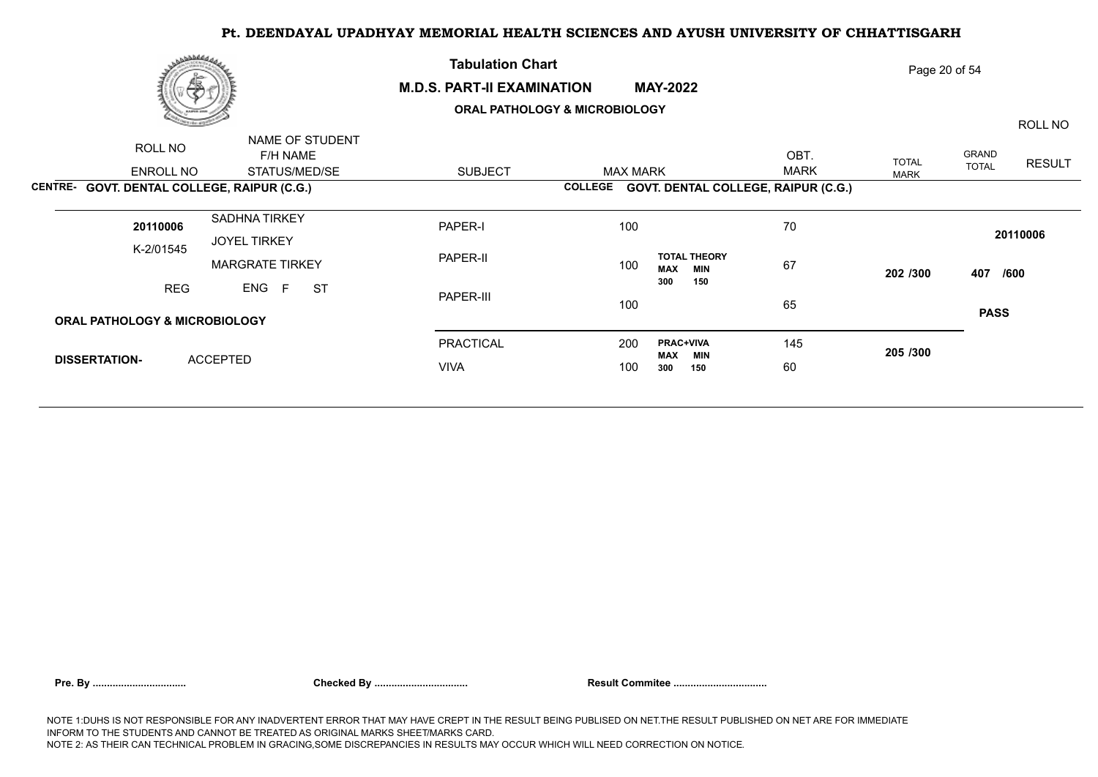|                      | رى <i>ھافلىقى</i><br>æ                   |                                               | <b>Tabulation Chart</b><br><b>M.D.S. PART-II EXAMINATION</b> | Page 20 of 54   |                                                 |             |              |              |               |
|----------------------|------------------------------------------|-----------------------------------------------|--------------------------------------------------------------|-----------------|-------------------------------------------------|-------------|--------------|--------------|---------------|
|                      |                                          |                                               | <b>ORAL PATHOLOGY &amp; MICROBIOLOGY</b>                     |                 |                                                 |             |              | ROLL NO      |               |
|                      | ROLL NO                                  | NAME OF STUDENT<br>F/H NAME                   |                                                              |                 |                                                 | OBT.        | <b>TOTAL</b> | GRAND        | <b>RESULT</b> |
|                      | ENROLL NO                                | STATUS/MED/SE                                 | <b>SUBJECT</b>                                               | <b>MAX MARK</b> |                                                 | <b>MARK</b> | <b>MARK</b>  | <b>TOTAL</b> |               |
|                      |                                          | CENTRE- GOVT. DENTAL COLLEGE, RAIPUR (C.G.)   |                                                              |                 | COLLEGE GOVT. DENTAL COLLEGE, RAIPUR (C.G.)     |             |              |              |               |
|                      | 20110006                                 | <b>SADHNA TIRKEY</b>                          | PAPER-I                                                      | 100             |                                                 | 70          |              |              | 20110006      |
|                      | K-2/01545                                | <b>JOYEL TIRKEY</b><br><b>MARGRATE TIRKEY</b> | PAPER-II                                                     | 100             | <b>TOTAL THEORY</b><br><b>MAX</b><br><b>MIN</b> | 67          | 202 /300     | 407 /600     |               |
|                      | <b>REG</b>                               | ENG F<br><b>ST</b>                            | PAPER-III                                                    | 100             | 300<br>150                                      | 65          |              |              |               |
|                      | <b>ORAL PATHOLOGY &amp; MICROBIOLOGY</b> |                                               |                                                              |                 |                                                 |             |              | <b>PASS</b>  |               |
|                      |                                          |                                               | PRACTICAL                                                    | 200             | <b>PRAC+VIVA</b><br>MAX<br><b>MIN</b>           | 145         | 205 /300     |              |               |
| <b>DISSERTATION-</b> |                                          | <b>ACCEPTED</b>                               | <b>VIVA</b>                                                  |                 | 300<br>150                                      | 60          |              |              |               |
|                      |                                          |                                               |                                                              |                 |                                                 |             |              |              |               |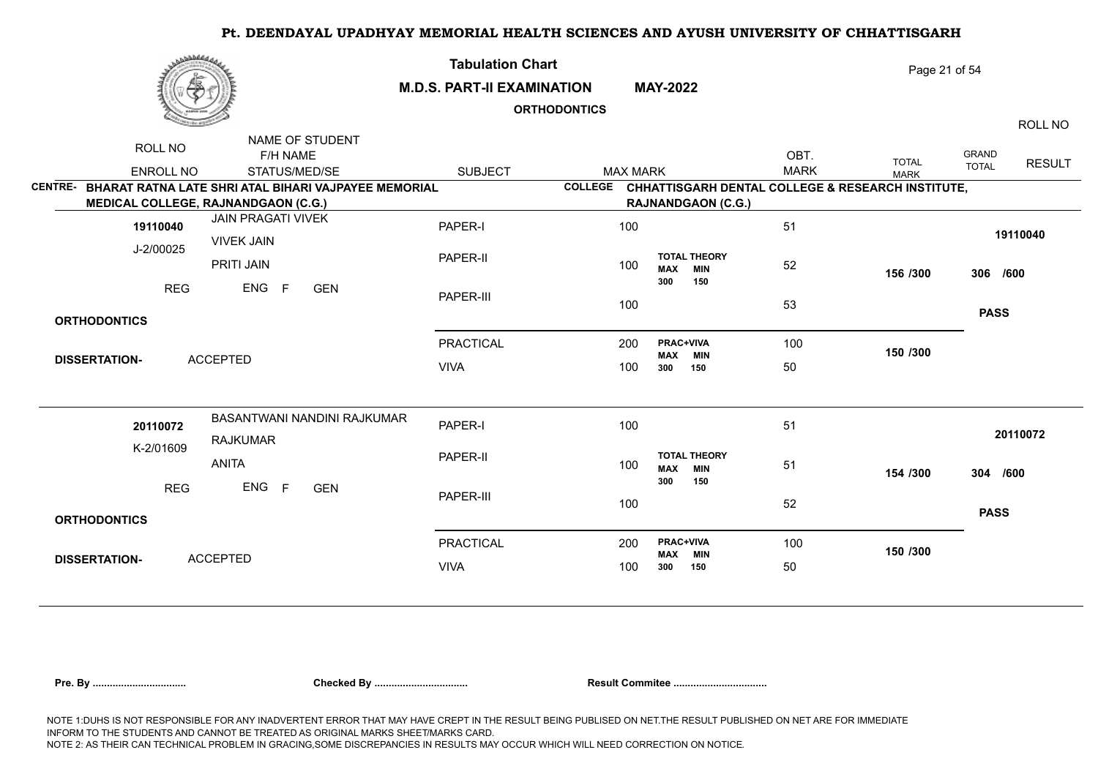| مهله فالمنادي                                                                                              |                                                | <b>Tabulation Chart</b><br><b>M.D.S. PART-II EXAMINATION</b><br><b>ORTHODONTICS</b> |                |                           | <b>MAY-2022</b>                |                                                   |                     | Page 21 of 54<br>ROLL NO    |                       |               |  |
|------------------------------------------------------------------------------------------------------------|------------------------------------------------|-------------------------------------------------------------------------------------|----------------|---------------------------|--------------------------------|---------------------------------------------------|---------------------|-----------------------------|-----------------------|---------------|--|
| ROLL NO<br><b>ENROLL NO</b>                                                                                | NAME OF STUDENT<br>F/H NAME<br>STATUS/MED/SE   | <b>SUBJECT</b>                                                                      |                | <b>MAX MARK</b>           |                                |                                                   | OBT.<br><b>MARK</b> | <b>TOTAL</b><br><b>MARK</b> | GRAND<br><b>TOTAL</b> | <b>RESULT</b> |  |
| CENTRE- BHARAT RATNA LATE SHRI ATAL BIHARI VAJPAYEE MEMORIAL<br><b>MEDICAL COLLEGE, RAJNANDGAON (C.G.)</b> |                                                |                                                                                     | <b>COLLEGE</b> | <b>RAJNANDGAON (C.G.)</b> |                                | CHHATTISGARH DENTAL COLLEGE & RESEARCH INSTITUTE, |                     |                             |                       |               |  |
| 19110040                                                                                                   | <b>JAIN PRAGATI VIVEK</b><br><b>VIVEK JAIN</b> | PAPER-I                                                                             |                | 100                       |                                |                                                   | 51                  |                             |                       | 19110040      |  |
| J-2/00025                                                                                                  | PRITI JAIN                                     | PAPER-II                                                                            |                | 100                       | <b>MAX</b>                     | <b>TOTAL THEORY</b><br><b>MIN</b>                 | 52                  | 156 /300                    | 306 /600              |               |  |
| <b>REG</b>                                                                                                 | ENG<br>F<br><b>GEN</b>                         | PAPER-III                                                                           |                | 100                       | 300                            | 150                                               | 53                  |                             |                       |               |  |
| <b>ORTHODONTICS</b>                                                                                        |                                                |                                                                                     |                |                           |                                |                                                   |                     |                             | <b>PASS</b>           |               |  |
| <b>ACCEPTED</b><br><b>DISSERTATION-</b>                                                                    |                                                | <b>PRACTICAL</b>                                                                    |                | 200                       | PRAC+VIVA<br>MAX MIN           |                                                   | 100                 | 150 /300                    |                       |               |  |
|                                                                                                            |                                                | <b>VIVA</b>                                                                         |                | 100                       | 300                            | 150                                               | 50                  |                             |                       |               |  |
| 20110072<br>K-2/01609                                                                                      | BASANTWANI NANDINI RAJKUMAR<br><b>RAJKUMAR</b> | PAPER-I                                                                             |                | 100                       |                                |                                                   | 51                  |                             |                       | 20110072      |  |
| <b>ANITA</b>                                                                                               |                                                | PAPER-II                                                                            |                | 100                       | <b>MAX</b>                     | <b>TOTAL THEORY</b><br><b>MIN</b><br>150          | 51                  | 154 /300                    | 304 /600              |               |  |
| <b>REG</b>                                                                                                 | ENG F<br><b>GEN</b>                            | PAPER-III                                                                           |                | 100                       | 300                            |                                                   | 52                  |                             | <b>PASS</b>           |               |  |
| <b>ORTHODONTICS</b>                                                                                        |                                                |                                                                                     |                |                           |                                |                                                   |                     |                             |                       |               |  |
|                                                                                                            |                                                | <b>PRACTICAL</b>                                                                    |                | 200                       | <b>PRAC+VIVA</b><br><b>MAX</b> | <b>MIN</b>                                        | 100                 | 150 /300                    |                       |               |  |
| <b>ACCEPTED</b><br><b>DISSERTATION-</b>                                                                    |                                                | <b>VIVA</b>                                                                         |                | 100                       | 300                            | 150                                               | 50                  |                             |                       |               |  |
|                                                                                                            |                                                |                                                                                     |                |                           |                                |                                                   |                     |                             |                       |               |  |

|  | Pre. By |
|--|---------|
|--|---------|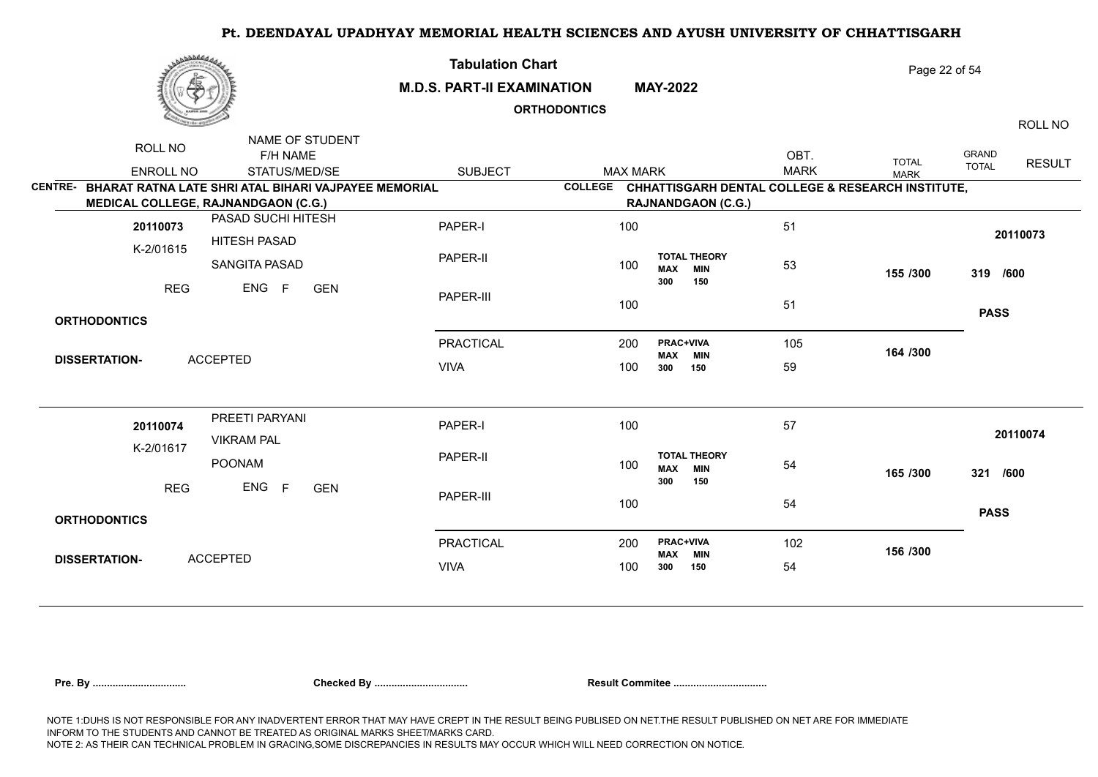|                        | بروفاطهن                    |                                                                                                            | <b>Tabulation Chart</b><br><b>M.D.S. PART-II EXAMINATION</b><br><b>ORTHODONTICS</b> |                | <b>MAY-2022</b>           |                                | Page 22 of 54<br>ROLL NO                          |                     |                             |                       |               |
|------------------------|-----------------------------|------------------------------------------------------------------------------------------------------------|-------------------------------------------------------------------------------------|----------------|---------------------------|--------------------------------|---------------------------------------------------|---------------------|-----------------------------|-----------------------|---------------|
|                        | ROLL NO<br><b>ENROLL NO</b> | NAME OF STUDENT<br>F/H NAME<br>STATUS/MED/SE                                                               | <b>SUBJECT</b>                                                                      |                | <b>MAX MARK</b>           |                                |                                                   | OBT.<br><b>MARK</b> | <b>TOTAL</b><br><b>MARK</b> | GRAND<br><b>TOTAL</b> | <b>RESULT</b> |
|                        |                             | CENTRE- BHARAT RATNA LATE SHRI ATAL BIHARI VAJPAYEE MEMORIAL<br><b>MEDICAL COLLEGE, RAJNANDGAON (C.G.)</b> |                                                                                     | <b>COLLEGE</b> | <b>RAJNANDGAON (C.G.)</b> |                                | CHHATTISGARH DENTAL COLLEGE & RESEARCH INSTITUTE, |                     |                             |                       |               |
| 20110073               |                             | PASAD SUCHI HITESH<br><b>HITESH PASAD</b>                                                                  | PAPER-I                                                                             |                | 100                       |                                |                                                   | 51                  |                             |                       | 20110073      |
|                        | K-2/01615                   | SANGITA PASAD                                                                                              | PAPER-II                                                                            |                | 100                       | <b>MAX</b>                     | <b>TOTAL THEORY</b><br><b>MIN</b>                 | 53                  | 155 /300                    | 319 /600              |               |
|                        | <b>REG</b>                  | ENG<br>F<br><b>GEN</b>                                                                                     | PAPER-III                                                                           |                | 100                       | 300                            | 150                                               | 51                  |                             |                       |               |
|                        | <b>ORTHODONTICS</b>         |                                                                                                            |                                                                                     |                |                           |                                |                                                   |                     |                             | <b>PASS</b>           |               |
|                        | <b>DISSERTATION-</b>        | <b>ACCEPTED</b>                                                                                            | <b>PRACTICAL</b>                                                                    |                | 200                       | <b>PRAC+VIVA</b><br><b>MAX</b> | <b>MIN</b>                                        | 105                 | 164 /300                    |                       |               |
|                        |                             |                                                                                                            | <b>VIVA</b>                                                                         |                | 100                       | 300                            | 150                                               | 59                  |                             |                       |               |
|                        | 20110074                    | PREETI PARYANI<br><b>VIKRAM PAL</b>                                                                        | PAPER-I                                                                             |                | 100                       |                                |                                                   | 57                  |                             |                       | 20110074      |
|                        | K-2/01617                   | POONAM                                                                                                     | PAPER-II                                                                            |                | 100                       | <b>MAX</b><br>300              | <b>TOTAL THEORY</b><br><b>MIN</b><br>150          | 54                  | 165 /300                    | 321 /600              |               |
| ENG<br><b>REG</b><br>F |                             | <b>GEN</b>                                                                                                 | PAPER-III                                                                           |                | 100                       |                                |                                                   | 54                  |                             | <b>PASS</b>           |               |
|                        | <b>ORTHODONTICS</b>         |                                                                                                            |                                                                                     |                |                           |                                |                                                   |                     |                             |                       |               |
|                        | <b>DISSERTATION-</b>        | <b>ACCEPTED</b>                                                                                            | <b>PRACTICAL</b>                                                                    |                | 200                       | <b>PRAC+VIVA</b><br><b>MAX</b> | <b>MIN</b>                                        | 102                 | 156 /300                    |                       |               |
|                        |                             |                                                                                                            | <b>VIVA</b>                                                                         |                | 100                       | 300                            | 150                                               | 54                  |                             |                       |               |
|                        |                             |                                                                                                            |                                                                                     |                |                           |                                |                                                   |                     |                             |                       |               |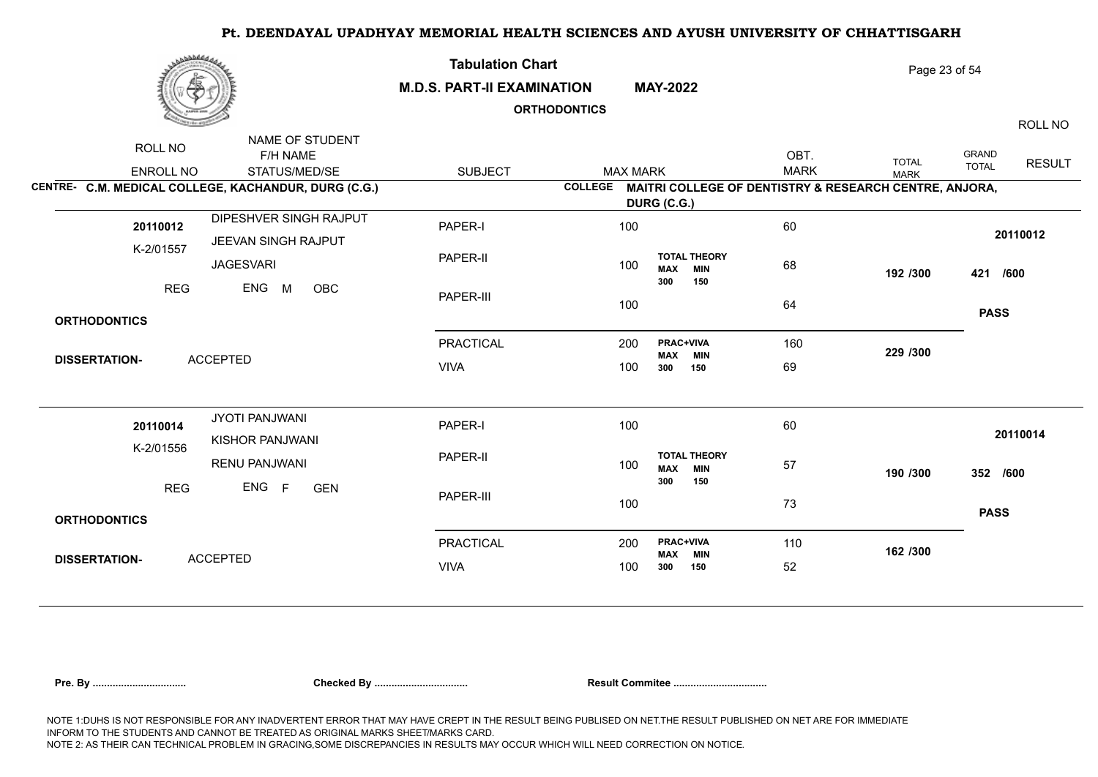| برىقىلىلى             |                                                                                                      | <b>Tabulation Chart</b><br><b>M.D.S. PART-II EXAMINATION</b><br><b>ORTHODONTICS</b> |            | <b>MAY-2022</b> |                                                               |                     | Page 23 of 54                                                                                 | ROLL NO                      |               |
|-----------------------|------------------------------------------------------------------------------------------------------|-------------------------------------------------------------------------------------|------------|-----------------|---------------------------------------------------------------|---------------------|-----------------------------------------------------------------------------------------------|------------------------------|---------------|
| ROLL NO<br>ENROLL NO  | NAME OF STUDENT<br>F/H NAME<br>STATUS/MED/SE<br>CENTRE- C.M. MEDICAL COLLEGE, KACHANDUR, DURG (C.G.) | <b>SUBJECT</b>                                                                      |            | <b>MAX MARK</b> |                                                               | OBT.<br><b>MARK</b> | <b>TOTAL</b><br><b>MARK</b><br>COLLEGE MAITRI COLLEGE OF DENTISTRY & RESEARCH CENTRE, ANJORA, | <b>GRAND</b><br><b>TOTAL</b> | <b>RESULT</b> |
| 20110012<br>K-2/01557 | DIPESHVER SINGH RAJPUT<br>JEEVAN SINGH RAJPUT                                                        | PAPER-I                                                                             | 100        | DURG (C.G.)     |                                                               | 60                  |                                                                                               | 20110012                     |               |
| <b>REG</b>            | <b>JAGESVARI</b><br>ENG<br>M<br>OBC                                                                  | PAPER-II<br>PAPER-III                                                               | 100<br>100 |                 | <b>TOTAL THEORY</b><br><b>MIN</b><br><b>MAX</b><br>300<br>150 | 68<br>64            | 192 /300                                                                                      | 421 /600                     |               |
| <b>ORTHODONTICS</b>   |                                                                                                      |                                                                                     |            |                 |                                                               |                     |                                                                                               | <b>PASS</b>                  |               |
| <b>DISSERTATION-</b>  | <b>ACCEPTED</b>                                                                                      | <b>PRACTICAL</b><br><b>VIVA</b>                                                     | 200<br>100 |                 | <b>PRAC+VIVA</b><br><b>MAX MIN</b><br>150<br>300              | 160<br>69           | 229 /300                                                                                      |                              |               |
| 20110014<br>K-2/01556 | JYOTI PANJWANI<br>KISHOR PANJWANI                                                                    | PAPER-I                                                                             | 100        |                 |                                                               | 60                  |                                                                                               | 20110014                     |               |
| <b>REG</b>            | <b>RENU PANJWANI</b><br>ENG F<br><b>GEN</b>                                                          | PAPER-II<br>PAPER-III                                                               | 100        |                 | <b>TOTAL THEORY</b><br><b>MIN</b><br><b>MAX</b><br>300<br>150 | 57                  | 190 /300                                                                                      | 352 /600                     |               |
| <b>ORTHODONTICS</b>   |                                                                                                      |                                                                                     | 100        |                 |                                                               | 73                  |                                                                                               | <b>PASS</b>                  |               |
| <b>DISSERTATION-</b>  | <b>ACCEPTED</b>                                                                                      | <b>PRACTICAL</b>                                                                    | 200        |                 | <b>PRAC+VIVA</b><br><b>MAX</b><br><b>MIN</b>                  | 110                 | 162 /300                                                                                      |                              |               |
|                       |                                                                                                      | <b>VIVA</b>                                                                         | 100        |                 | 300<br>150                                                    | 52                  |                                                                                               |                              |               |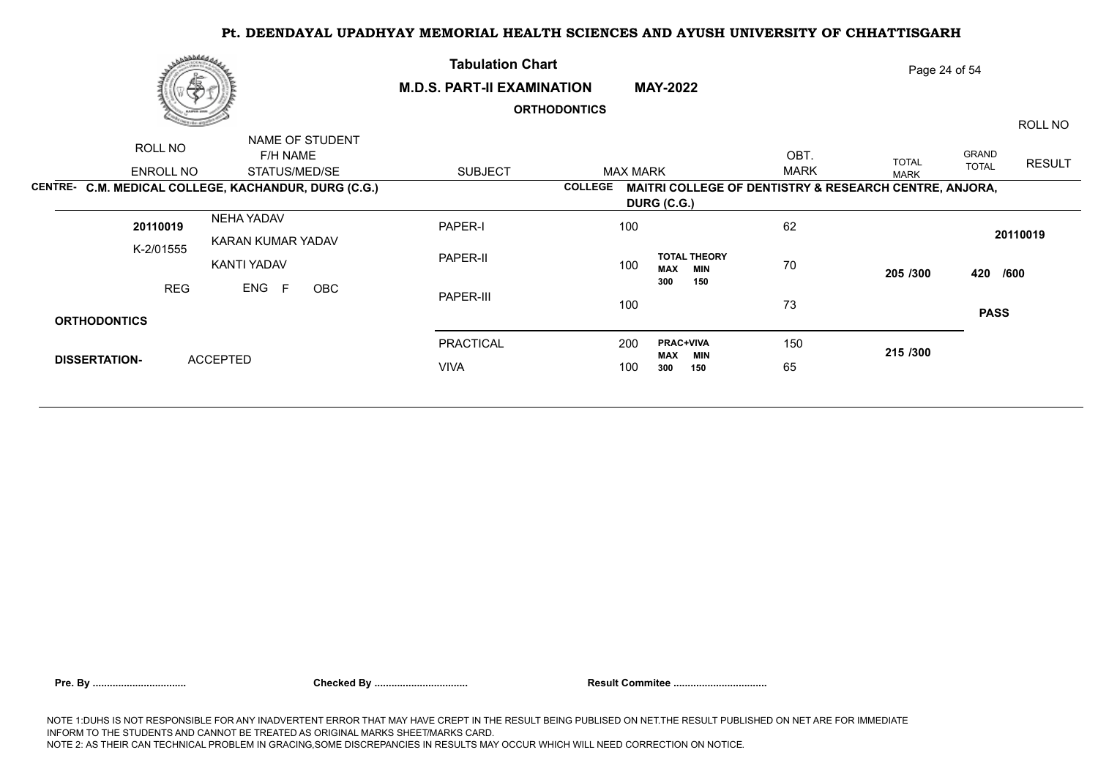|                      | مەھلىلىقى                                                             | <b>Tabulation Chart</b>           |                                   |                                                        |             | Page 24 of 54 |                       |               |
|----------------------|-----------------------------------------------------------------------|-----------------------------------|-----------------------------------|--------------------------------------------------------|-------------|---------------|-----------------------|---------------|
| 偽                    |                                                                       | <b>M.D.S. PART-II EXAMINATION</b> | <b>ORTHODONTICS</b>               | <b>MAY-2022</b>                                        |             |               |                       | ROLL NO       |
| ROLL NO              | NAME OF STUDENT<br>F/H NAME                                           |                                   |                                   |                                                        | OBT.        | <b>TOTAL</b>  | GRAND<br><b>TOTAL</b> | <b>RESULT</b> |
| ENROLL NO            | STATUS/MED/SE<br>CENTRE- C.M. MEDICAL COLLEGE, KACHANDUR, DURG (C.G.) | <b>SUBJECT</b>                    | <b>MAX MARK</b><br><b>COLLEGE</b> | MAITRI COLLEGE OF DENTISTRY & RESEARCH CENTRE, ANJORA, | <b>MARK</b> | <b>MARK</b>   |                       |               |
|                      |                                                                       |                                   |                                   | DURG (C.G.)                                            |             |               |                       |               |
| 20110019             | NEHA YADAV<br>KARAN KUMAR YADAV                                       | PAPER-I                           | 100                               |                                                        | 62          |               |                       | 20110019      |
| K-2/01555            | KANTI YADAV                                                           | PAPER-II                          | 100                               | <b>TOTAL THEORY</b><br><b>MAX</b><br><b>MIN</b>        | 70          | 205 /300      | 420 /600              |               |
| <b>REG</b>           | ENG<br>F<br>OBC                                                       | PAPER-III                         | 100                               | 300<br>150                                             | 73          |               | <b>PASS</b>           |               |
| <b>ORTHODONTICS</b>  |                                                                       |                                   |                                   |                                                        |             |               |                       |               |
| <b>DISSERTATION-</b> | <b>ACCEPTED</b>                                                       | PRACTICAL                         | 200                               | <b>PRAC+VIVA</b><br>MAX<br>MIN                         | 150         | 215 /300      |                       |               |
|                      |                                                                       | <b>VIVA</b>                       | 100                               | 300<br>150                                             | 65          |               |                       |               |
|                      |                                                                       |                                   |                                   |                                                        |             |               |                       |               |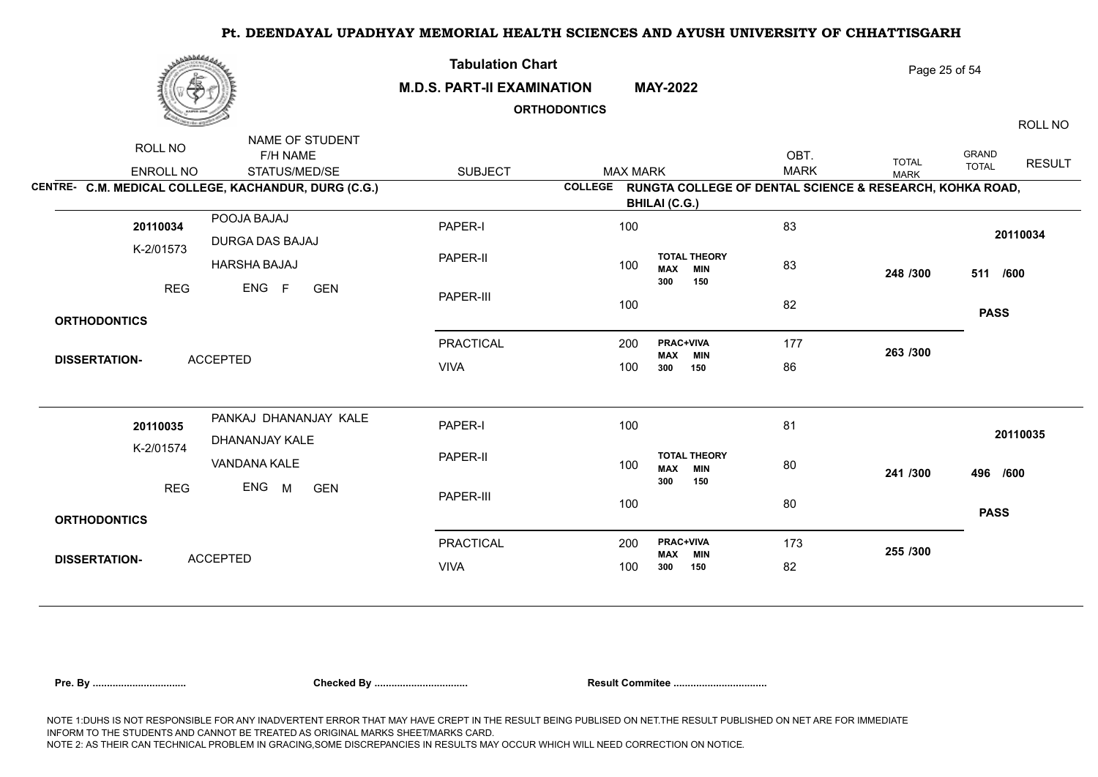| برىقىلىلى                                   |                                                                                                      | <b>Tabulation Chart</b><br><b>M.D.S. PART-II EXAMINATION</b><br><b>ORTHODONTICS</b> |                |                                         | <b>MAY-2022</b>                          | Page 25 of 54<br>ROLL NO |                                                                                         |                                               |
|---------------------------------------------|------------------------------------------------------------------------------------------------------|-------------------------------------------------------------------------------------|----------------|-----------------------------------------|------------------------------------------|--------------------------|-----------------------------------------------------------------------------------------|-----------------------------------------------|
| ROLL NO<br>ENROLL NO                        | NAME OF STUDENT<br>F/H NAME<br>STATUS/MED/SE<br>CENTRE- C.M. MEDICAL COLLEGE, KACHANDUR, DURG (C.G.) | <b>SUBJECT</b>                                                                      | <b>COLLEGE</b> | <b>MAX MARK</b><br><b>BHILAI (C.G.)</b> |                                          | OBT.<br><b>MARK</b>      | <b>TOTAL</b><br><b>MARK</b><br>RUNGTA COLLEGE OF DENTAL SCIENCE & RESEARCH, KOHKA ROAD, | <b>GRAND</b><br><b>RESULT</b><br><b>TOTAL</b> |
| 20110034<br>K-2/01573                       | POOJA BAJAJ<br>DURGA DAS BAJAJ                                                                       | PAPER-I                                                                             | 100            |                                         |                                          | 83                       |                                                                                         | 20110034                                      |
| <b>REG</b>                                  | <b>HARSHA BAJAJ</b><br>ENG<br>$-F$<br><b>GEN</b>                                                     | PAPER-II<br>PAPER-III                                                               | 100<br>100     | <b>MAX</b><br>300                       | <b>TOTAL THEORY</b><br><b>MIN</b><br>150 | 83<br>82                 | 248 /300                                                                                | 511 /600                                      |
| <b>ORTHODONTICS</b><br><b>DISSERTATION-</b> | <b>ACCEPTED</b>                                                                                      | <b>PRACTICAL</b><br><b>VIVA</b>                                                     | 200<br>100     | 300                                     | <b>PRAC+VIVA</b><br>MAX MIN<br>150       | 177<br>86                | 263 /300                                                                                | <b>PASS</b>                                   |
| 20110035<br>K-2/01574                       | PANKAJ DHANANJAY KALE<br>DHANANJAY KALE                                                              | PAPER-I<br>PAPER-II                                                                 | 100            |                                         | <b>TOTAL THEORY</b>                      | 81                       |                                                                                         | 20110035                                      |
| <b>REG</b>                                  | VANDANA KALE<br>ENG<br>M<br><b>GEN</b>                                                               | PAPER-III                                                                           | 100<br>100     | <b>MAX</b><br>300                       | <b>MIN</b><br>150                        | 80<br>80                 | 241 /300                                                                                | 496 /600<br><b>PASS</b>                       |
| <b>ORTHODONTICS</b><br><b>DISSERTATION-</b> | <b>ACCEPTED</b>                                                                                      | <b>PRACTICAL</b><br><b>VIVA</b>                                                     | 200<br>100     | MAX<br>300                              | <b>PRAC+VIVA</b><br><b>MIN</b><br>150    | 173<br>82                | 255 /300                                                                                |                                               |

|  | Pre. Bv |
|--|---------|
|--|---------|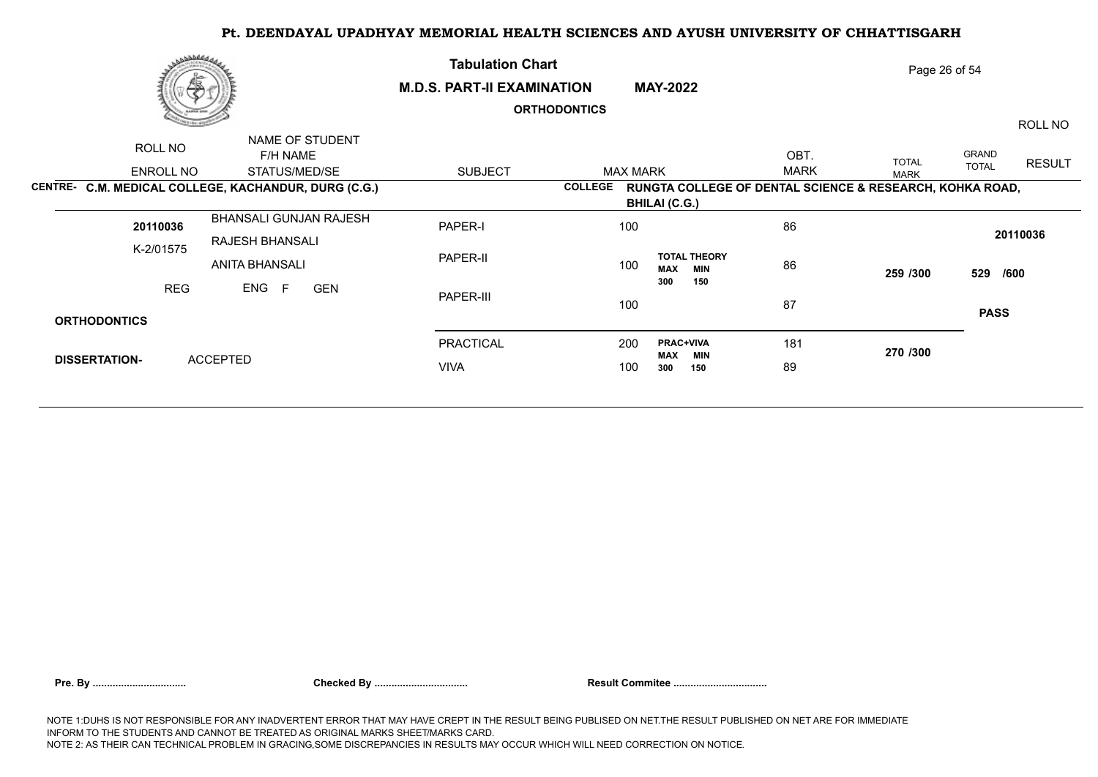|                      | <b>Nobedday</b>                                      | <b>Tabulation Chart</b>           |                     |                                                          |             | Page 26 of 54 |              |               |
|----------------------|------------------------------------------------------|-----------------------------------|---------------------|----------------------------------------------------------|-------------|---------------|--------------|---------------|
|                      | 偽                                                    | <b>M.D.S. PART-II EXAMINATION</b> |                     | <b>MAY-2022</b>                                          |             |               |              |               |
|                      |                                                      |                                   | <b>ORTHODONTICS</b> |                                                          |             |               |              | ROLL NO       |
| ROLL NO              | NAME OF STUDENT<br>F/H NAME                          |                                   |                     |                                                          | OBT.        | <b>TOTAL</b>  | GRAND        | <b>RESULT</b> |
| ENROLL NO            | STATUS/MED/SE                                        | <b>SUBJECT</b>                    | <b>MAX MARK</b>     |                                                          | <b>MARK</b> | <b>MARK</b>   | <b>TOTAL</b> |               |
|                      | CENTRE- C.M. MEDICAL COLLEGE, KACHANDUR, DURG (C.G.) |                                   | <b>COLLEGE</b>      | RUNGTA COLLEGE OF DENTAL SCIENCE & RESEARCH, KOHKA ROAD, |             |               |              |               |
|                      |                                                      |                                   |                     | <b>BHILAI (C.G.)</b>                                     |             |               |              |               |
| 20110036             | BHANSALI GUNJAN RAJESH                               | PAPER-I                           | 100                 |                                                          | 86          |               |              | 20110036      |
| K-2/01575            | RAJESH BHANSALI<br>ANITA BHANSALI                    | PAPER-II                          | 100                 | <b>TOTAL THEORY</b><br><b>MAX</b><br><b>MIN</b>          | 86          | 259 /300      | 529 /600     |               |
|                      | ENG<br><b>REG</b><br>E<br><b>GEN</b>                 | PAPER-III                         | 100                 | 150<br>300                                               | 87          |               | <b>PASS</b>  |               |
| <b>ORTHODONTICS</b>  |                                                      |                                   |                     |                                                          |             |               |              |               |
|                      |                                                      | PRACTICAL                         | 200                 | <b>PRAC+VIVA</b><br>MAX<br>MIN                           | 181         | 270 /300      |              |               |
| <b>DISSERTATION-</b> | <b>ACCEPTED</b>                                      | <b>VIVA</b>                       | 100                 | 300<br>150                                               | 89          |               |              |               |
|                      |                                                      |                                   |                     |                                                          |             |               |              |               |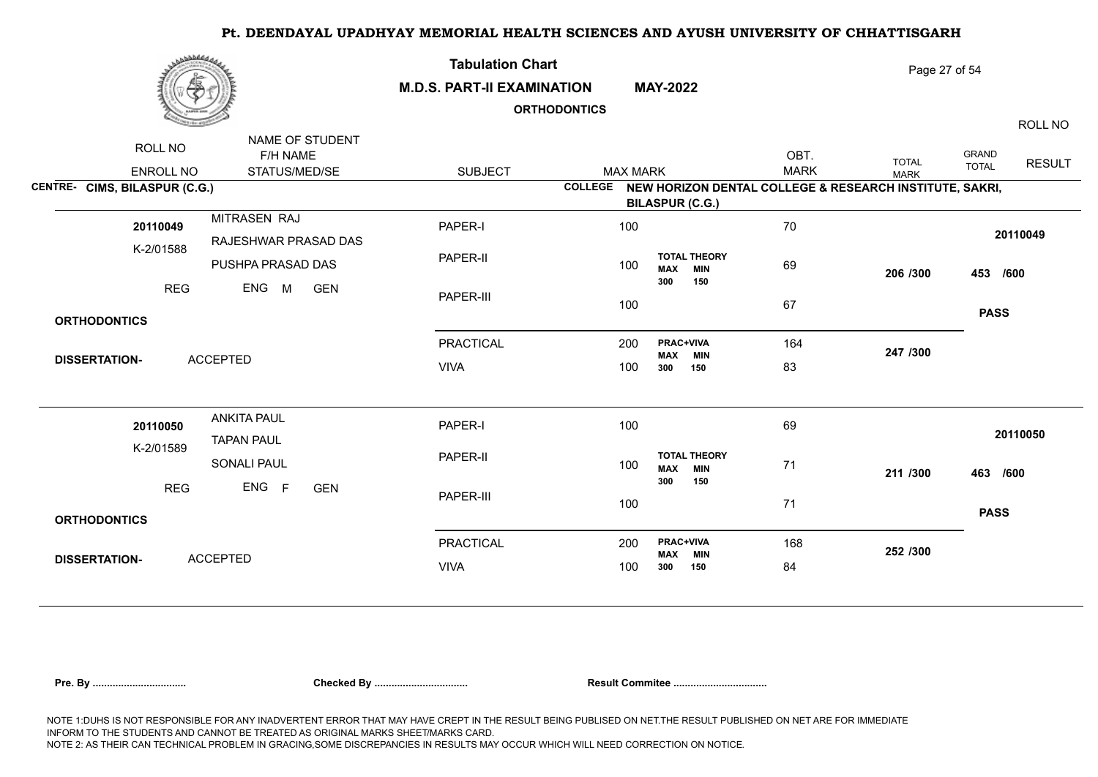| برهانا فاخترى                 |                                              | <b>Tabulation Chart</b><br><b>M.D.S. PART-II EXAMINATION</b> | <b>ORTHODONTICS</b> | <b>MAY-2022</b>                                        | Page 27 of 54<br>ROLL NO |                                                                 |                                        |  |
|-------------------------------|----------------------------------------------|--------------------------------------------------------------|---------------------|--------------------------------------------------------|--------------------------|-----------------------------------------------------------------|----------------------------------------|--|
| ROLL NO<br>ENROLL NO          | NAME OF STUDENT<br>F/H NAME<br>STATUS/MED/SE | <b>SUBJECT</b>                                               | <b>MAX MARK</b>     |                                                        | OBT.<br><b>MARK</b>      | <b>TOTAL</b><br><b>MARK</b>                                     | GRAND<br><b>RESULT</b><br><b>TOTAL</b> |  |
| CENTRE- CIMS, BILASPUR (C.G.) |                                              |                                                              |                     | <b>BILASPUR (C.G.)</b>                                 |                          | COLLEGE NEW HORIZON DENTAL COLLEGE & RESEARCH INSTITUTE, SAKRI, |                                        |  |
| 20110049                      | MITRASEN RAJ<br>RAJESHWAR PRASAD DAS         | PAPER-I                                                      | 100                 |                                                        | 70                       |                                                                 | 20110049                               |  |
| K-2/01588                     | PUSHPA PRASAD DAS                            | PAPER-II                                                     | 100                 | <b>TOTAL THEORY</b><br><b>MIN</b><br><b>MAX</b>        | 69                       | 206 /300                                                        | 453 /600                               |  |
| <b>REG</b>                    | ENG<br>M<br><b>GEN</b>                       | PAPER-III                                                    | 100                 | 300<br>150                                             | 67                       |                                                                 |                                        |  |
| <b>ORTHODONTICS</b>           |                                              |                                                              |                     |                                                        |                          |                                                                 | <b>PASS</b>                            |  |
| <b>DISSERTATION-</b>          | <b>ACCEPTED</b>                              | <b>PRACTICAL</b>                                             | 200                 | <b>PRAC+VIVA</b><br><b>MIN</b><br>MAX                  | 164                      | 247 /300                                                        |                                        |  |
|                               |                                              | <b>VIVA</b>                                                  | 100                 | 300<br>150                                             | 83                       |                                                                 |                                        |  |
| 20110050                      | <b>ANKITA PAUL</b><br><b>TAPAN PAUL</b>      | PAPER-I                                                      | 100                 |                                                        | 69                       |                                                                 | 20110050                               |  |
| K-2/01589                     | SONALI PAUL                                  | PAPER-II                                                     | 100                 | <b>TOTAL THEORY</b><br><b>MIN</b><br><b>MAX</b><br>300 | 71                       | 211 /300                                                        | 463 /600                               |  |
| <b>REG</b>                    | ENG F<br><b>GEN</b>                          | PAPER-III                                                    | 100                 | 150                                                    | 71                       |                                                                 | <b>PASS</b>                            |  |
| <b>ORTHODONTICS</b>           |                                              |                                                              |                     |                                                        |                          |                                                                 |                                        |  |
| <b>DISSERTATION-</b>          | <b>ACCEPTED</b>                              | <b>PRACTICAL</b>                                             | 200                 | <b>PRAC+VIVA</b><br><b>MAX</b><br><b>MIN</b>           | 168                      | 252 /300                                                        |                                        |  |
|                               |                                              | <b>VIVA</b>                                                  | 100                 | 300<br>150                                             | 84                       |                                                                 |                                        |  |
|                               |                                              |                                                              |                     |                                                        |                          |                                                                 |                                        |  |

| Pre. Bv |  |
|---------|--|
|---------|--|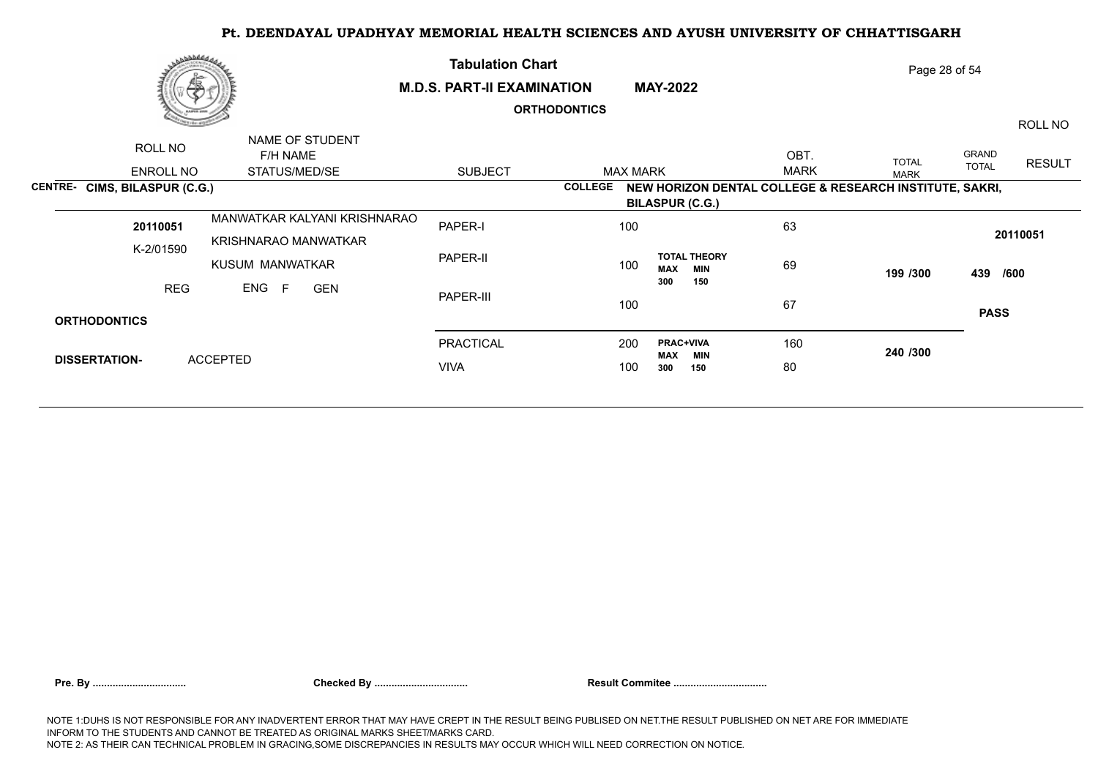| رىھەممى<br>偽                  |                                                      | <b>Tabulation Chart</b><br><b>M.D.S. PART-II EXAMINATION</b> |                     | <b>MAY-2022</b>                                                                   |                     | Page 28 of 54               |                       |               |
|-------------------------------|------------------------------------------------------|--------------------------------------------------------------|---------------------|-----------------------------------------------------------------------------------|---------------------|-----------------------------|-----------------------|---------------|
|                               |                                                      |                                                              | <b>ORTHODONTICS</b> |                                                                                   |                     |                             |                       | ROLL NO       |
| ROLL NO<br>ENROLL NO          | NAME OF STUDENT<br>F/H NAME<br>STATUS/MED/SE         | <b>SUBJECT</b>                                               | <b>MAX MARK</b>     |                                                                                   | OBT.<br><b>MARK</b> | <b>TOTAL</b><br><b>MARK</b> | GRAND<br><b>TOTAL</b> | <b>RESULT</b> |
| CENTRE- CIMS, BILASPUR (C.G.) |                                                      |                                                              | <b>COLLEGE</b>      | NEW HORIZON DENTAL COLLEGE & RESEARCH INSTITUTE, SAKRI,<br><b>BILASPUR (C.G.)</b> |                     |                             |                       |               |
| 20110051<br>K-2/01590         | MANWATKAR KALYANI KRISHNARAO<br>KRISHNARAO MANWATKAR | PAPER-I                                                      | 100                 |                                                                                   | 63                  |                             |                       | 20110051      |
|                               | KUSUM MANWATKAR                                      | PAPER-II                                                     | 100                 | <b>TOTAL THEORY</b><br><b>MAX</b><br><b>MIN</b>                                   | 69                  | 199 /300                    | 439 /600              |               |
| <b>REG</b>                    | ENG<br>F<br><b>GEN</b>                               | PAPER-III                                                    | 100                 | 300<br>150                                                                        | 67                  |                             | <b>PASS</b>           |               |
| <b>ORTHODONTICS</b>           |                                                      |                                                              |                     |                                                                                   |                     |                             |                       |               |
|                               |                                                      | <b>PRACTICAL</b>                                             | 200                 | <b>PRAC+VIVA</b><br><b>MAX</b><br>MIN                                             | 160                 | 240 /300                    |                       |               |
| <b>DISSERTATION-</b>          | <b>ACCEPTED</b>                                      | <b>VIVA</b>                                                  | 100                 | 300<br>150                                                                        | 80                  |                             |                       |               |
|                               |                                                      |                                                              |                     |                                                                                   |                     |                             |                       |               |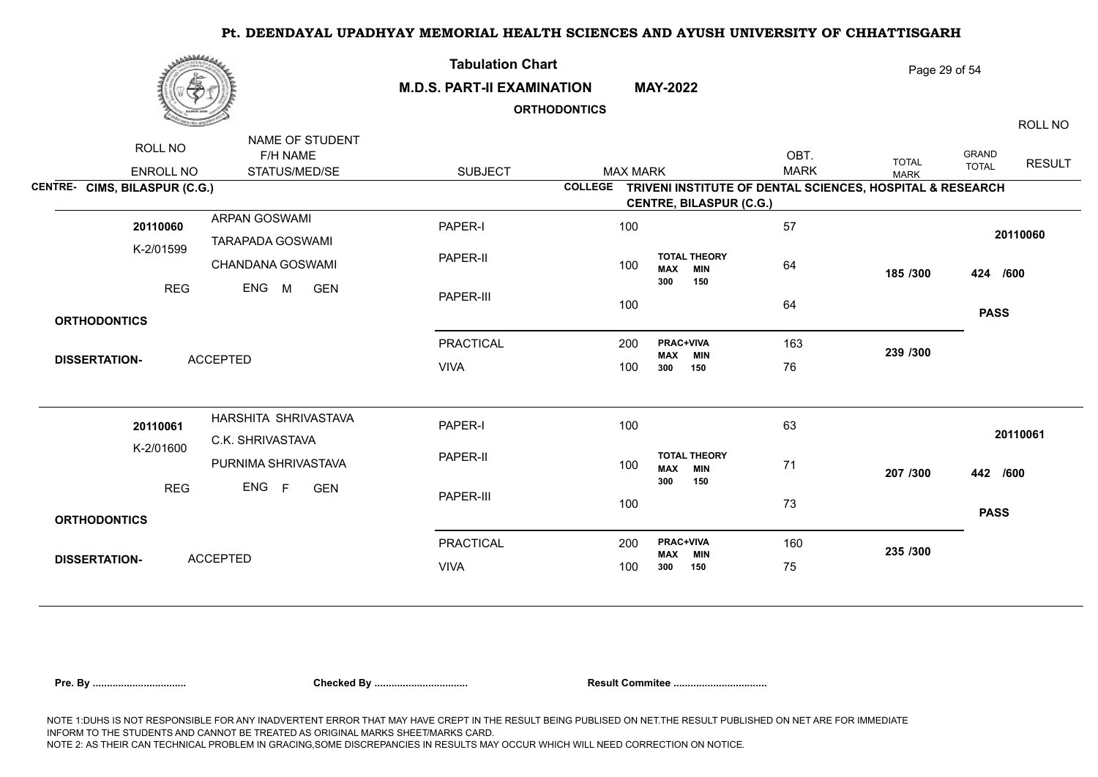| NAME OF STUDENT<br>ROLL NO<br>OBT.<br><b>GRAND</b><br><b>F/H NAME</b><br><b>TOTAL</b><br><b>RESULT</b><br><b>TOTAL</b><br><b>MARK</b><br><b>SUBJECT</b><br>ENROLL NO<br>STATUS/MED/SE<br><b>MAX MARK</b><br><b>MARK</b><br>CENTRE- CIMS, BILASPUR (C.G.)<br>TRIVENI INSTITUTE OF DENTAL SCIENCES, HOSPITAL & RESEARCH<br><b>COLLEGE</b><br><b>CENTRE, BILASPUR (C.G.)</b><br>ARPAN GOSWAMI<br>57<br>PAPER-I<br>100<br>20110060<br>20110060<br><b>TARAPADA GOSWAMI</b><br>K-2/01599<br>PAPER-II<br><b>TOTAL THEORY</b><br>CHANDANA GOSWAMI<br>64<br>100<br><b>MIN</b><br><b>MAX</b><br>185 /300<br>424 /600<br>150<br>300<br>ENG M<br><b>REG</b><br><b>GEN</b><br>PAPER-III<br>100<br>64<br><b>PASS</b><br><b>ORTHODONTICS</b><br>PRAC+VIVA<br><b>PRACTICAL</b><br>200<br>163<br>239 /300<br><b>MIN</b><br>MAX<br><b>ACCEPTED</b><br><b>DISSERTATION-</b><br><b>VIVA</b><br>76<br>100<br>150<br>300<br>HARSHITA SHRIVASTAVA<br>PAPER-I<br>100<br>63<br>20110061<br>20110061<br>C.K. SHRIVASTAVA<br>K-2/01600<br><b>TOTAL THEORY</b><br>PAPER-II<br>PURNIMA SHRIVASTAVA<br>100<br>71<br><b>MIN</b><br><b>MAX</b><br>207 /300<br>442 /600<br>300<br>150<br>ENG F<br><b>REG</b><br><b>GEN</b><br>PAPER-III<br>100<br>73<br><b>PASS</b><br><b>ORTHODONTICS</b><br><b>PRACTICAL</b><br>PRAC+VIVA<br>160<br>200<br>235 /300<br><b>MAX</b><br><b>MIN</b><br><b>ACCEPTED</b><br><b>DISSERTATION-</b><br><b>VIVA</b><br>75<br>100<br>300<br>150 | <b>Nobedda</b> |  | <b>Tabulation Chart</b><br><b>M.D.S. PART-II EXAMINATION</b><br><b>ORTHODONTICS</b> |  | <b>MAY-2022</b> | Page 29 of 54<br>ROLL NO |  |  |
|---------------------------------------------------------------------------------------------------------------------------------------------------------------------------------------------------------------------------------------------------------------------------------------------------------------------------------------------------------------------------------------------------------------------------------------------------------------------------------------------------------------------------------------------------------------------------------------------------------------------------------------------------------------------------------------------------------------------------------------------------------------------------------------------------------------------------------------------------------------------------------------------------------------------------------------------------------------------------------------------------------------------------------------------------------------------------------------------------------------------------------------------------------------------------------------------------------------------------------------------------------------------------------------------------------------------------------------------------------------------------------------------------------------------------------------|----------------|--|-------------------------------------------------------------------------------------|--|-----------------|--------------------------|--|--|
|                                                                                                                                                                                                                                                                                                                                                                                                                                                                                                                                                                                                                                                                                                                                                                                                                                                                                                                                                                                                                                                                                                                                                                                                                                                                                                                                                                                                                                       |                |  |                                                                                     |  |                 |                          |  |  |
|                                                                                                                                                                                                                                                                                                                                                                                                                                                                                                                                                                                                                                                                                                                                                                                                                                                                                                                                                                                                                                                                                                                                                                                                                                                                                                                                                                                                                                       |                |  |                                                                                     |  |                 |                          |  |  |
|                                                                                                                                                                                                                                                                                                                                                                                                                                                                                                                                                                                                                                                                                                                                                                                                                                                                                                                                                                                                                                                                                                                                                                                                                                                                                                                                                                                                                                       |                |  |                                                                                     |  |                 |                          |  |  |
|                                                                                                                                                                                                                                                                                                                                                                                                                                                                                                                                                                                                                                                                                                                                                                                                                                                                                                                                                                                                                                                                                                                                                                                                                                                                                                                                                                                                                                       |                |  |                                                                                     |  |                 |                          |  |  |
|                                                                                                                                                                                                                                                                                                                                                                                                                                                                                                                                                                                                                                                                                                                                                                                                                                                                                                                                                                                                                                                                                                                                                                                                                                                                                                                                                                                                                                       |                |  |                                                                                     |  |                 |                          |  |  |
|                                                                                                                                                                                                                                                                                                                                                                                                                                                                                                                                                                                                                                                                                                                                                                                                                                                                                                                                                                                                                                                                                                                                                                                                                                                                                                                                                                                                                                       |                |  |                                                                                     |  |                 |                          |  |  |
|                                                                                                                                                                                                                                                                                                                                                                                                                                                                                                                                                                                                                                                                                                                                                                                                                                                                                                                                                                                                                                                                                                                                                                                                                                                                                                                                                                                                                                       |                |  |                                                                                     |  |                 |                          |  |  |
|                                                                                                                                                                                                                                                                                                                                                                                                                                                                                                                                                                                                                                                                                                                                                                                                                                                                                                                                                                                                                                                                                                                                                                                                                                                                                                                                                                                                                                       |                |  |                                                                                     |  |                 |                          |  |  |
|                                                                                                                                                                                                                                                                                                                                                                                                                                                                                                                                                                                                                                                                                                                                                                                                                                                                                                                                                                                                                                                                                                                                                                                                                                                                                                                                                                                                                                       |                |  |                                                                                     |  |                 |                          |  |  |
|                                                                                                                                                                                                                                                                                                                                                                                                                                                                                                                                                                                                                                                                                                                                                                                                                                                                                                                                                                                                                                                                                                                                                                                                                                                                                                                                                                                                                                       |                |  |                                                                                     |  |                 |                          |  |  |
|                                                                                                                                                                                                                                                                                                                                                                                                                                                                                                                                                                                                                                                                                                                                                                                                                                                                                                                                                                                                                                                                                                                                                                                                                                                                                                                                                                                                                                       |                |  |                                                                                     |  |                 |                          |  |  |
|                                                                                                                                                                                                                                                                                                                                                                                                                                                                                                                                                                                                                                                                                                                                                                                                                                                                                                                                                                                                                                                                                                                                                                                                                                                                                                                                                                                                                                       |                |  |                                                                                     |  |                 |                          |  |  |
|                                                                                                                                                                                                                                                                                                                                                                                                                                                                                                                                                                                                                                                                                                                                                                                                                                                                                                                                                                                                                                                                                                                                                                                                                                                                                                                                                                                                                                       |                |  |                                                                                     |  |                 |                          |  |  |
|                                                                                                                                                                                                                                                                                                                                                                                                                                                                                                                                                                                                                                                                                                                                                                                                                                                                                                                                                                                                                                                                                                                                                                                                                                                                                                                                                                                                                                       |                |  |                                                                                     |  |                 |                          |  |  |

|  | Pre. By |
|--|---------|
|  |         |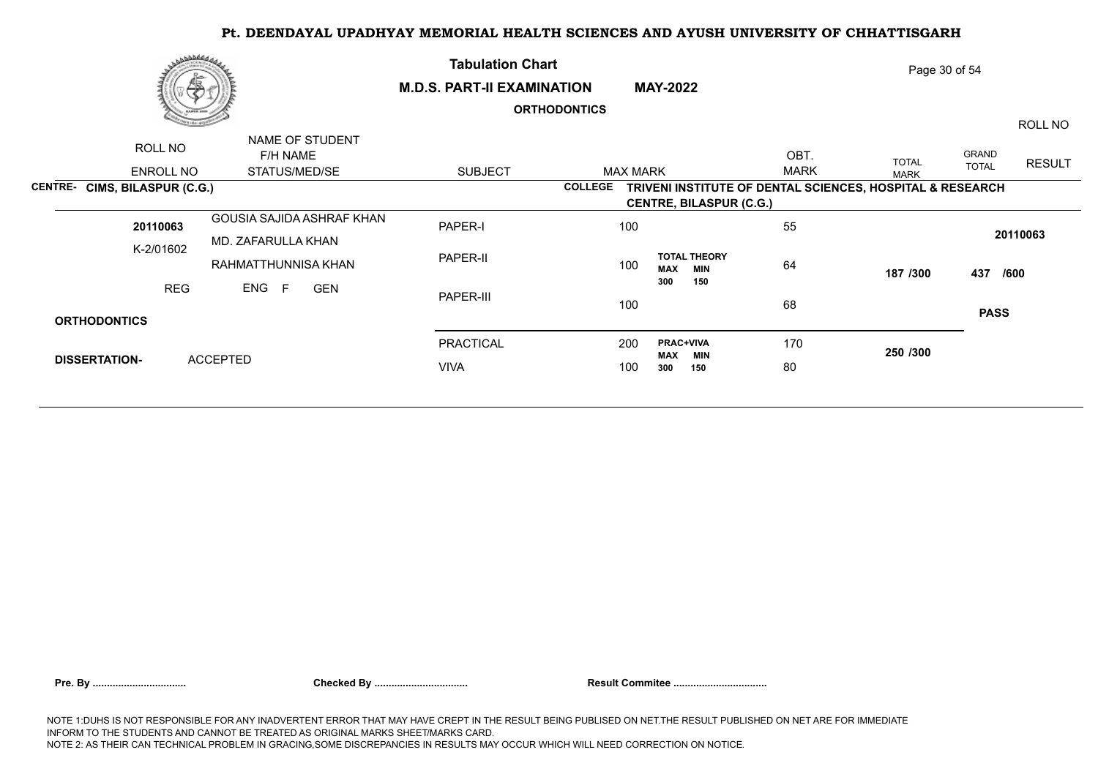|                      | ى ئەلەللىقى بى<br>偽           |                                                 | <b>Tabulation Chart</b><br><b>M.D.S. PART-II EXAMINATION</b> |                     | <b>MAY-2022</b>                                           |                     | Page 30 of 54 |                       |               |
|----------------------|-------------------------------|-------------------------------------------------|--------------------------------------------------------------|---------------------|-----------------------------------------------------------|---------------------|---------------|-----------------------|---------------|
|                      |                               |                                                 |                                                              | <b>ORTHODONTICS</b> |                                                           |                     |               |                       | ROLL NO       |
|                      | ROLL NO<br>ENROLL NO          | NAME OF STUDENT<br>F/H NAME<br>STATUS/MED/SE    | <b>SUBJECT</b>                                               | <b>MAX MARK</b>     |                                                           | OBT.<br><b>MARK</b> | <b>TOTAL</b>  | GRAND<br><b>TOTAL</b> | <b>RESULT</b> |
|                      | CENTRE- CIMS, BILASPUR (C.G.) |                                                 |                                                              | <b>COLLEGE</b>      | TRIVENI INSTITUTE OF DENTAL SCIENCES, HOSPITAL & RESEARCH |                     | <b>MARK</b>   |                       |               |
|                      |                               |                                                 |                                                              |                     | <b>CENTRE, BILASPUR (C.G.)</b>                            |                     |               |                       |               |
|                      | 20110063                      | GOUSIA SAJIDA ASHRAF KHAN<br>MD. ZAFARULLA KHAN | PAPER-I                                                      | 100                 |                                                           | 55                  |               |                       | 20110063      |
|                      | K-2/01602                     | RAHMATTHUNNISA KHAN                             | PAPER-II                                                     | 100                 | <b>TOTAL THEORY</b><br><b>MAX</b><br><b>MIN</b>           | 64                  | 187 /300      | 437 /600              |               |
|                      | <b>REG</b>                    | ENG F<br><b>GEN</b>                             | PAPER-III                                                    | 100                 | 300<br>150                                                | 68                  |               | <b>PASS</b>           |               |
| <b>ORTHODONTICS</b>  |                               |                                                 |                                                              |                     |                                                           |                     |               |                       |               |
|                      |                               |                                                 | <b>PRACTICAL</b>                                             | 200                 | <b>PRAC+VIVA</b><br><b>MAX</b><br>MIN                     | 170                 | 250 /300      |                       |               |
| <b>DISSERTATION-</b> |                               | <b>ACCEPTED</b>                                 | <b>VIVA</b>                                                  | 100                 | 300<br>150                                                | 80                  |               |                       |               |
|                      |                               |                                                 |                                                              |                     |                                                           |                     |               |                       |               |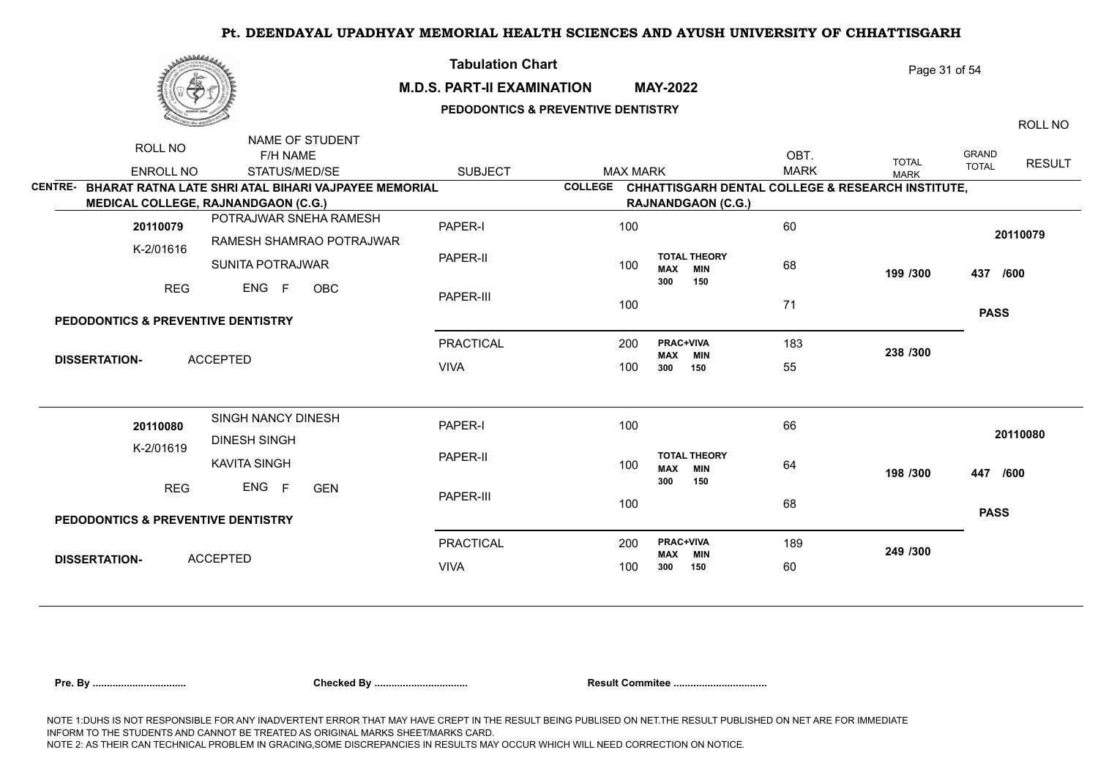|--|

## **M.D.S. PART-II EXAMINATION MAY-2022**

**Tabulation Chart** 

# **PEDODONTICS & PREVENTIVE DENTISTRY**

ROLL NO

Page 31 of 54

|                | ROLL NO                                       | NAME OF STUDENT                                      |                  |                 |                                                 |                                                           |              |                               |
|----------------|-----------------------------------------------|------------------------------------------------------|------------------|-----------------|-------------------------------------------------|-----------------------------------------------------------|--------------|-------------------------------|
|                |                                               | F/H NAME                                             |                  |                 |                                                 | OBT.                                                      | <b>TOTAL</b> | <b>GRAND</b><br><b>RESULT</b> |
|                | <b>ENROLL NO</b>                              | STATUS/MED/SE                                        | <b>SUBJECT</b>   | <b>MAX MARK</b> |                                                 | <b>MARK</b>                                               | <b>MARK</b>  | <b>TOTAL</b>                  |
| <b>CENTRE-</b> |                                               | BHARAT RATNA LATE SHRI ATAL BIHARI VAJPAYEE MEMORIAL |                  |                 |                                                 | COLLEGE CHHATTISGARH DENTAL COLLEGE & RESEARCH INSTITUTE, |              |                               |
|                |                                               | <b>MEDICAL COLLEGE, RAJNANDGAON (C.G.)</b>           |                  |                 | <b>RAJNANDGAON (C.G.)</b>                       |                                                           |              |                               |
|                | 20110079                                      | POTRAJWAR SNEHA RAMESH                               | PAPER-I          | 100             |                                                 | 60                                                        |              | 20110079                      |
|                | K-2/01616                                     | RAMESH SHAMRAO POTRAJWAR                             |                  |                 |                                                 |                                                           |              |                               |
|                |                                               | SUNITA POTRAJWAR                                     | PAPER-II         | 100             | <b>TOTAL THEORY</b><br><b>MAX</b><br><b>MIN</b> | 68                                                        | 199 /300     | 437 /600                      |
|                | <b>REG</b>                                    | ENG F<br><b>OBC</b>                                  |                  |                 | 300<br>150                                      |                                                           |              |                               |
|                |                                               |                                                      | PAPER-III        | 100             |                                                 | 71                                                        |              |                               |
|                | PEDODONTICS & PREVENTIVE DENTISTRY            |                                                      |                  |                 |                                                 |                                                           |              | <b>PASS</b>                   |
|                |                                               |                                                      | <b>PRACTICAL</b> | 200             | PRAC+VIVA<br><b>MAX MIN</b>                     | 183                                                       | 238 /300     |                               |
|                | <b>DISSERTATION-</b>                          | <b>ACCEPTED</b>                                      | <b>VIVA</b>      | 100             | 300<br>150                                      | 55                                                        |              |                               |
|                |                                               |                                                      |                  |                 |                                                 |                                                           |              |                               |
|                | 20110080                                      | SINGH NANCY DINESH                                   | PAPER-I          | 100             |                                                 | 66                                                        |              | 20110080                      |
|                | K-2/01619                                     | <b>DINESH SINGH</b>                                  |                  |                 |                                                 |                                                           |              |                               |
|                |                                               | <b>KAVITA SINGH</b>                                  | PAPER-II         | 100             | <b>TOTAL THEORY</b><br><b>MAX</b><br><b>MIN</b> | 64                                                        | 198 /300     | 447 /600                      |
|                | <b>REG</b>                                    | ENG F<br><b>GEN</b>                                  | PAPER-III        | 100             | 300<br>150                                      | 68                                                        |              |                               |
|                | <b>PEDODONTICS &amp; PREVENTIVE DENTISTRY</b> |                                                      |                  |                 |                                                 |                                                           |              | <b>PASS</b>                   |
|                |                                               |                                                      | <b>PRACTICAL</b> | 200             | <b>PRAC+VIVA</b><br><b>MAX MIN</b>              | 189                                                       | 249 /300     |                               |
|                | <b>DISSERTATION-</b>                          | <b>ACCEPTED</b>                                      | <b>VIVA</b>      | 100             | 300<br>150                                      | 60                                                        |              |                               |
|                |                                               |                                                      |                  |                 |                                                 |                                                           |              |                               |

| Pre. Bv |  |  |  |
|---------|--|--|--|
|         |  |  |  |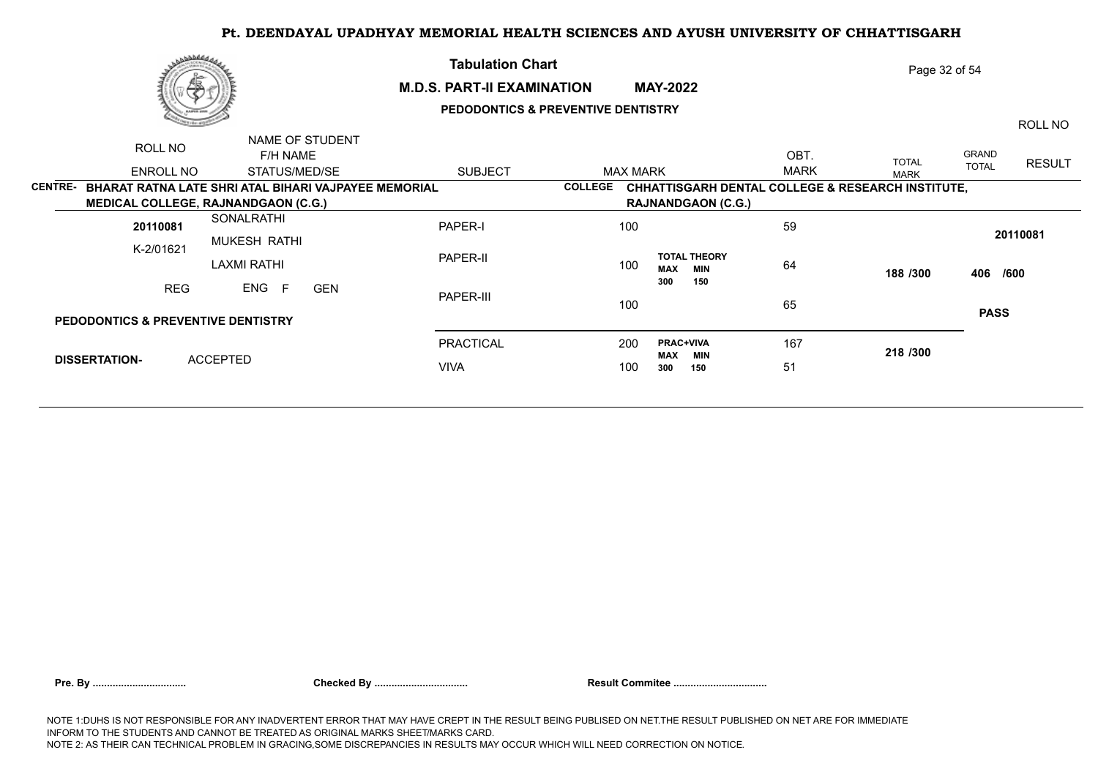

# **Tabulation Chart M.D.S. PART-II EXAMINATION MAY-2022 PEDODONTICS & PREVENTIVE DENTISTRY**

ROLL NO

Page 32 of 54

|                | ROLL NO                                              |                    | NAME OF STUDENT |                |                |                                          |             |                                                              |              |               |
|----------------|------------------------------------------------------|--------------------|-----------------|----------------|----------------|------------------------------------------|-------------|--------------------------------------------------------------|--------------|---------------|
|                |                                                      | F/H NAME           |                 |                |                |                                          | OBT.        | <b>TOTAL</b>                                                 | GRAND        | <b>RESULT</b> |
|                | ENROLL NO                                            | STATUS/MED/SE      |                 | <b>SUBJECT</b> | MAX MARK       |                                          | <b>MARK</b> | <b>MARK</b>                                                  | <b>TOTAL</b> |               |
| <b>CENTRE-</b> | BHARAT RATNA LATE SHRI ATAL BIHARI VAJPAYEE MEMORIAL |                    |                 |                | <b>COLLEGE</b> |                                          |             | <b>CHHATTISGARH DENTAL COLLEGE &amp; RESEARCH INSTITUTE,</b> |              |               |
|                | <b>MEDICAL COLLEGE, RAJNANDGAON (C.G.)</b>           |                    |                 |                |                | <b>RAJNANDGAON (C.G.)</b>                |             |                                                              |              |               |
|                | 20110081                                             | SONALRATHI         |                 | PAPER-I        | 100            |                                          | 59          |                                                              |              | 20110081      |
|                | K-2/01621                                            | MUKESH RATHI       |                 |                |                |                                          |             |                                                              |              |               |
|                |                                                      | <b>LAXMI RATHI</b> |                 | PAPER-II       | 100            | <b>TOTAL THEORY</b><br><b>MAX</b><br>MIN | 64          | 188 /300                                                     |              | 406 /600      |
|                | <b>REG</b>                                           | ENG F              | <b>GEN</b>      | PAPER-III      |                | 300<br>150                               |             |                                                              |              |               |
|                | <b>PEDODONTICS &amp; PREVENTIVE DENTISTRY</b>        |                    |                 |                | 100            |                                          | 65          |                                                              |              | <b>PASS</b>   |
|                |                                                      |                    |                 |                |                |                                          |             |                                                              |              |               |
|                |                                                      |                    |                 | PRACTICAL      | 200            | <b>PRAC+VIVA</b><br><b>MAX</b><br>MIN    | 167         | 218 / 300                                                    |              |               |
|                | <b>DISSERTATION-</b>                                 | ACCEPTED           |                 | <b>VIVA</b>    | 100            | 300<br>150                               | 51          |                                                              |              |               |
|                |                                                      |                    |                 |                |                |                                          |             |                                                              |              |               |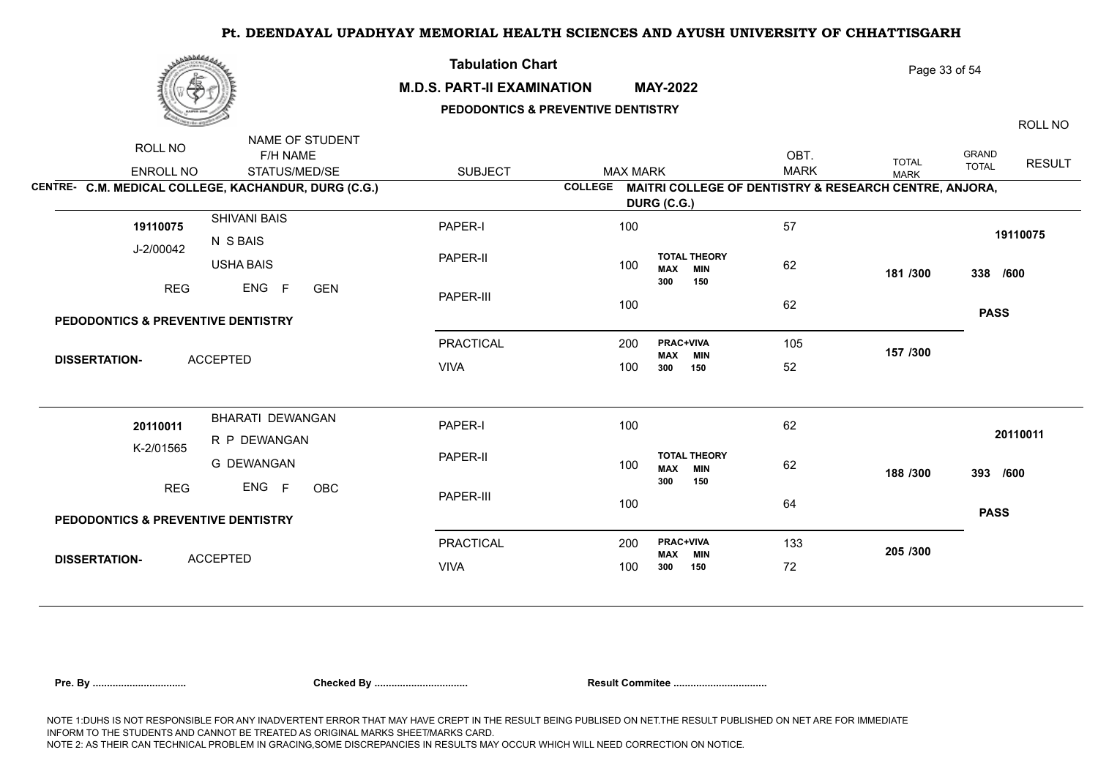

## **M.D.S. PART-II EXAMINATION MAY-2022**

**Tabulation Chart** 

## **PEDODONTICS & PREVENTIVE DENTISTRY**

Page 33 of 54

ENROLL NO STATUS/MED/SE SUBJECT ROLL NO **F/H NAME** NAME OF STUDENT GRAND TOTAL RESULT OBT. MAX MARK IOIAL TOTAL ROLL NO TOTAL MARK **CENTRE- C.M. MEDICAL COLLEGE, KACHANDUR, DURG (C.G.) COLLEGE MAITRI COLLEGE OF DENTISTRY & RESEARCH CENTRE, ANJORA, DURG (C.G.)** J-2/00042 SHIVANI BAIS N S BAIS USHA BAIS REG ENG F GEN PAPER-I PAPER-II PAPER-III PRACTICAL 200 VIVA 57 62 and 191 in 192 in 193 in 194 in 195 in 196 in 196 in 196 in 196 in 196 in 196 in 196 in 196 in 196 in 196 i 62 105 **157 /300** 52 **181 /300 338 /600 PASS 100** 19110075 200 **PRAC+VIVA** 100 300 **MAX MIN**<br>300 150 52 **300 150 TOTAL THEORY**  100 **MAX MIN** 62 **300 150** GEN **PEDODONTICS & PREVENTIVE DENTISTRY DISSERTATION-** ACCEPTED **19110075** 100 K-2/01565 BHARATI DEWANGAN R P DEWANGAN G DEWANGAN RFG ENG F ORC PAPER-I PAPER-II PAPER-III PRACTICAL 200 VIVA 62 62 and 199.19 64 133 72 **188 /300 393 /600 205 /300 PASS <sup>20110011</sup>** <sup>100</sup> 200 **PRAC+VIVA** 100 300 **MAX MIN 300 150 TOTAL THEORY**  100 **MAX MIN** 62 **300 150** OBC **PEDODONTICS & PREVENTIVE DENTISTRY DISSERTATION-** ACCEPTED **20110011** 100

| Pre. Bv |  |  |  |
|---------|--|--|--|
|         |  |  |  |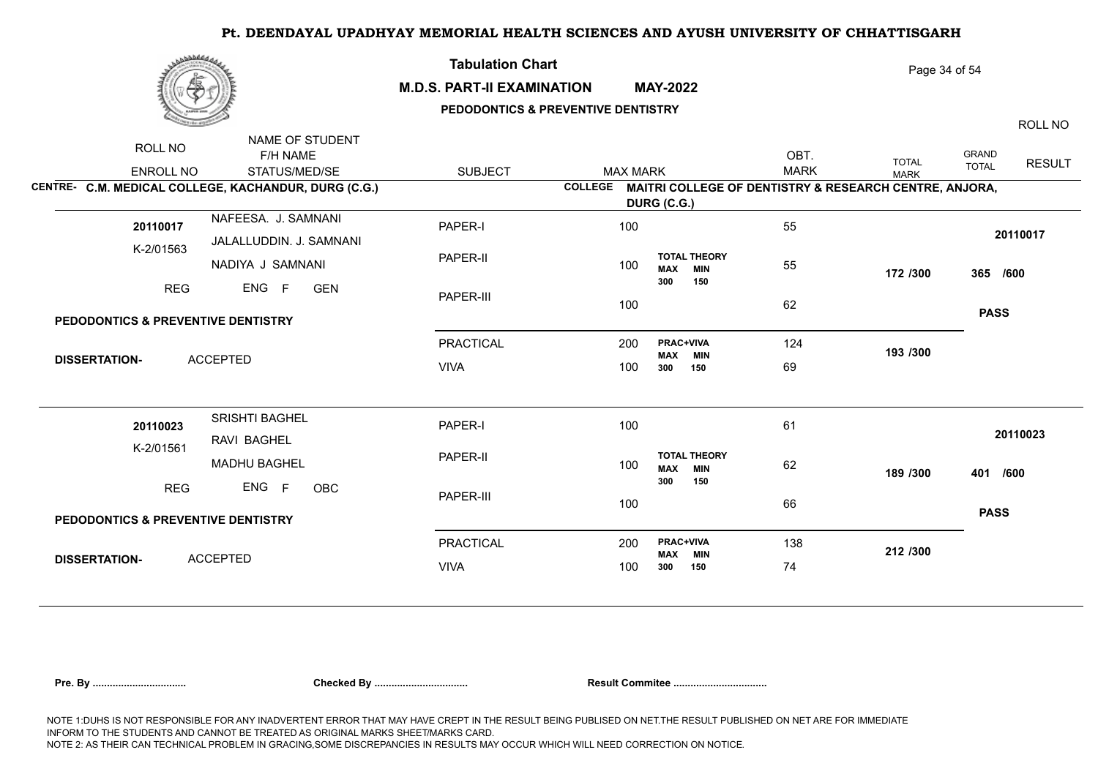

## **M.D.S. PART-II EXAMINATION MAY-2022**

**Tabulation Chart** 

# **PEDODONTICS & PREVENTIVE DENTISTRY**

Page 34 of 54

ROLL NO

|                                                      | NAME OF STUDENT         |                  |                 |                                                                |             |              |              |               |
|------------------------------------------------------|-------------------------|------------------|-----------------|----------------------------------------------------------------|-------------|--------------|--------------|---------------|
| ROLL NO                                              | F/H NAME                |                  |                 |                                                                | OBT.        | <b>TOTAL</b> | GRAND        | <b>RESULT</b> |
| <b>ENROLL NO</b>                                     | STATUS/MED/SE           | <b>SUBJECT</b>   | <b>MAX MARK</b> |                                                                | <b>MARK</b> | <b>MARK</b>  | <b>TOTAL</b> |               |
| CENTRE- C.M. MEDICAL COLLEGE, KACHANDUR, DURG (C.G.) |                         |                  |                 | COLLEGE MAITRI COLLEGE OF DENTISTRY & RESEARCH CENTRE, ANJORA, |             |              |              |               |
|                                                      |                         |                  |                 | DURG (C.G.)                                                    |             |              |              |               |
| 20110017                                             | NAFEESA. J. SAMNANI     | PAPER-I          | 100             |                                                                | 55          |              |              |               |
| K-2/01563                                            | JALALLUDDIN. J. SAMNANI |                  |                 |                                                                |             |              | 20110017     |               |
|                                                      | NADIYA J SAMNANI        | PAPER-II         | 100             | <b>TOTAL THEORY</b><br><b>MAX MIN</b>                          | 55          | 172 /300     | 365 /600     |               |
| <b>REG</b>                                           | ENG F<br><b>GEN</b>     |                  |                 | 300<br>150                                                     |             |              |              |               |
|                                                      |                         | PAPER-III        | 100             |                                                                | 62          |              |              |               |
| PEDODONTICS & PREVENTIVE DENTISTRY                   |                         |                  |                 |                                                                |             |              | <b>PASS</b>  |               |
|                                                      |                         | PRACTICAL        | 200             | PRAC+VIVA<br><b>MAX MIN</b>                                    | 124         | 193 /300     |              |               |
| <b>ACCEPTED</b><br><b>DISSERTATION-</b>              |                         | <b>VIVA</b>      | 100             | 300<br>150                                                     | 69          |              |              |               |
|                                                      |                         |                  |                 |                                                                |             |              |              |               |
| 20110023                                             | SRISHTI BAGHEL          | PAPER-I          | 100             |                                                                | 61          |              | 20110023     |               |
| K-2/01561                                            | RAVI BAGHEL             |                  |                 |                                                                |             |              |              |               |
|                                                      | <b>MADHU BAGHEL</b>     | PAPER-II         | 100             | <b>TOTAL THEORY</b><br><b>MAX MIN</b>                          | 62          | 189 /300     | 401 /600     |               |
| <b>REG</b>                                           | ENG F<br>OBC            | PAPER-III        | 100             | 300<br>150                                                     | 66          |              |              |               |
| PEDODONTICS & PREVENTIVE DENTISTRY                   |                         |                  |                 |                                                                |             |              | <b>PASS</b>  |               |
|                                                      |                         | <b>PRACTICAL</b> | 200             | <b>PRAC+VIVA</b>                                               | 138         | 212 /300     |              |               |
| <b>ACCEPTED</b><br><b>DISSERTATION-</b>              |                         | <b>VIVA</b>      | 100             | <b>MAX MIN</b><br>300<br>150                                   | 74          |              |              |               |
|                                                      |                         |                  |                 |                                                                |             |              |              |               |

| Pre. Bv |  |
|---------|--|
|         |  |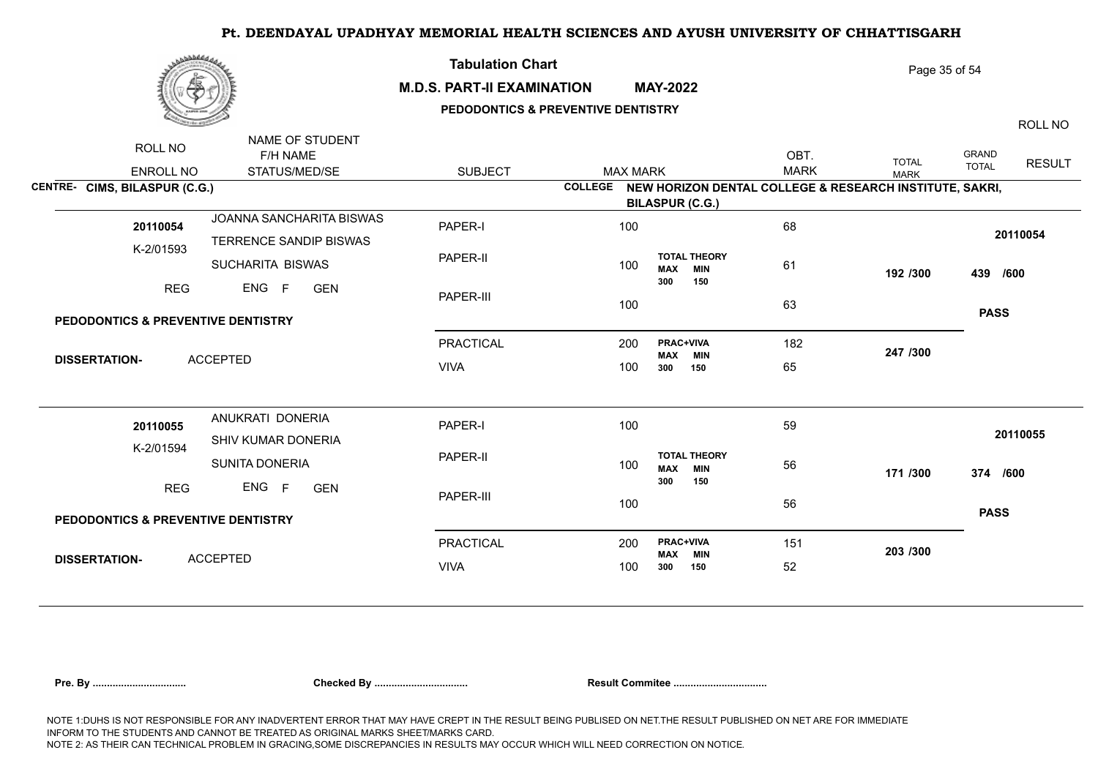|--|

## **M.D.S. PART-II EXAMINATION MAY-2022**

**Tabulation Chart** 

## **PEDODONTICS & PREVENTIVE DENTISTRY**

Page 35 of 54

ROLL NO

| ROLL NO<br>ENROLL NO<br>CENTRE- CIMS, BILASPUR (C.G.) | NAME OF STUDENT<br>F/H NAME<br>STATUS/MED/SE | <b>SUBJECT</b> | <b>MAX MARK</b> | COLLEGE NEW HORIZON DENTAL COLLEGE & RESEARCH INSTITUTE, SAKRI, | OBT.<br><b>MARK</b> | <b>TOTAL</b><br><b>MARK</b> | <b>GRAND</b><br><b>RESULT</b><br><b>TOTAL</b> |
|-------------------------------------------------------|----------------------------------------------|----------------|-----------------|-----------------------------------------------------------------|---------------------|-----------------------------|-----------------------------------------------|
|                                                       |                                              |                |                 | <b>BILASPUR (C.G.)</b>                                          |                     |                             |                                               |
| 20110054                                              | JOANNA SANCHARITA BISWAS                     | PAPER-I        | 100             |                                                                 | 68                  |                             | 20110054                                      |
| K-2/01593                                             | TERRENCE SANDIP BISWAS                       |                |                 |                                                                 |                     |                             |                                               |
|                                                       | SUCHARITA BISWAS                             | PAPER-II       | 100             | <b>TOTAL THEORY</b><br><b>MAX MIN</b>                           | 61                  | 192 /300                    | 439 /600                                      |
| <b>REG</b>                                            | ENG<br>F<br><b>GEN</b>                       |                |                 | 300<br>150                                                      |                     |                             |                                               |
|                                                       |                                              | PAPER-III      | 100             |                                                                 | 63                  |                             |                                               |
| <b>PEDODONTICS &amp; PREVENTIVE DENTISTRY</b>         |                                              |                |                 |                                                                 |                     |                             | <b>PASS</b>                                   |
|                                                       |                                              | PRACTICAL      | 200             | <b>PRAC+VIVA</b>                                                | 182                 | 247 /300                    |                                               |
| <b>DISSERTATION-</b>                                  | <b>ACCEPTED</b>                              | <b>VIVA</b>    | 100             | <b>MAX MIN</b><br>150<br>300                                    | 65                  |                             |                                               |
|                                                       | ANUKRATI DONERIA                             | PAPER-I        | 100             |                                                                 | 59                  |                             |                                               |
| 20110055                                              | SHIV KUMAR DONERIA                           |                |                 |                                                                 |                     |                             | 20110055                                      |
| K-2/01594                                             | SUNITA DONERIA                               | PAPER-II       | 100             | <b>TOTAL THEORY</b><br><b>MAX</b><br><b>MIN</b>                 | 56                  | 171 /300                    | 374 /600                                      |
| <b>REG</b>                                            | ENG F<br><b>GEN</b>                          | PAPER-III      | 100             | 300<br>150                                                      | 56                  |                             |                                               |
| <b>PEDODONTICS &amp; PREVENTIVE DENTISTRY</b>         |                                              |                |                 |                                                                 |                     |                             | <b>PASS</b>                                   |
|                                                       |                                              | PRACTICAL      | 200             | PRAC+VIVA<br><b>MAX MIN</b>                                     | 151                 | 203 /300                    |                                               |
| <b>DISSERTATION-</b>                                  | <b>ACCEPTED</b>                              | <b>VIVA</b>    | 100             | 150<br>300                                                      | 52                  |                             |                                               |
|                                                       |                                              |                |                 |                                                                 |                     |                             |                                               |

|  | re. Bv |
|--|--------|
|--|--------|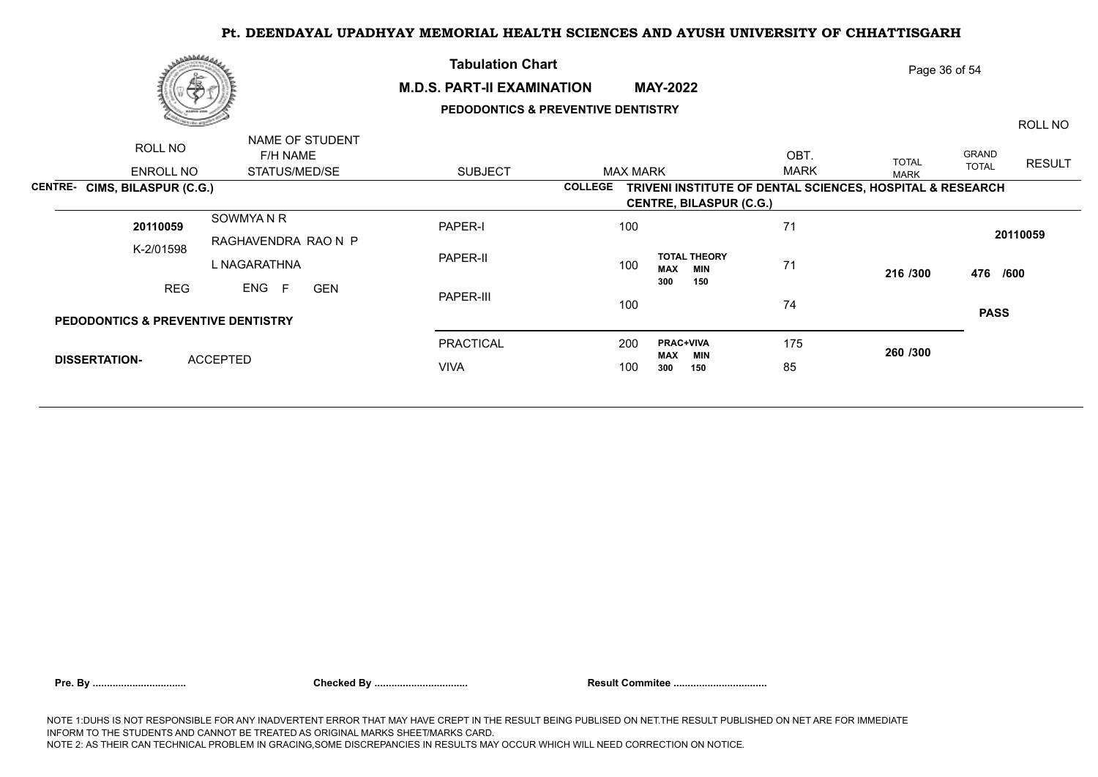

## **M.D.S. PART-II EXAMINATION MAY-2022**

**Tabulation Chart** 

# **PEDODONTICS & PREVENTIVE DENTISTRY**

Page 36 of 54

ROLL NO

| ROLL NO                                       | NAME OF STUDENT<br>F/H NAME |                  |                                                                             | OBT.        |                             | <b>GRAND</b>                  |
|-----------------------------------------------|-----------------------------|------------------|-----------------------------------------------------------------------------|-------------|-----------------------------|-------------------------------|
| ENROLL NO                                     | STATUS/MED/SE               | <b>SUBJECT</b>   | MAX MARK                                                                    | <b>MARK</b> | <b>TOTAL</b><br><b>MARK</b> | <b>RESULT</b><br><b>TOTAL</b> |
| CENTRE- CIMS, BILASPUR (C.G.)                 |                             |                  | TRIVENI INSTITUTE OF DENTAL SCIENCES, HOSPITAL & RESEARCH<br><b>COLLEGE</b> |             |                             |                               |
|                                               |                             |                  | <b>CENTRE, BILASPUR (C.G.)</b>                                              |             |                             |                               |
| 20110059                                      | SOWMYAN R                   | PAPER-I          | 100                                                                         | 71          |                             |                               |
| K-2/01598                                     | RAGHAVENDRA RAO N P         |                  |                                                                             |             |                             | 20110059                      |
|                                               | L NAGARATHNA                | PAPER-II         | <b>TOTAL THEORY</b><br>100<br><b>MAX</b><br>MIN                             | 71          | 216 /300                    | 476 /600                      |
| <b>REG</b>                                    | ENG F<br><b>GEN</b>         |                  | 300<br>150                                                                  |             |                             |                               |
|                                               |                             | PAPER-III        | 100                                                                         | 74          |                             | <b>PASS</b>                   |
| <b>PEDODONTICS &amp; PREVENTIVE DENTISTRY</b> |                             |                  |                                                                             |             |                             |                               |
|                                               |                             | <b>PRACTICAL</b> | <b>PRAC+VIVA</b><br>200<br>MAX<br>MIN                                       | 175         | 260 /300                    |                               |
| <b>DISSERTATION-</b>                          | <b>ACCEPTED</b>             | <b>VIVA</b>      | 100<br>300<br>150                                                           | 85          |                             |                               |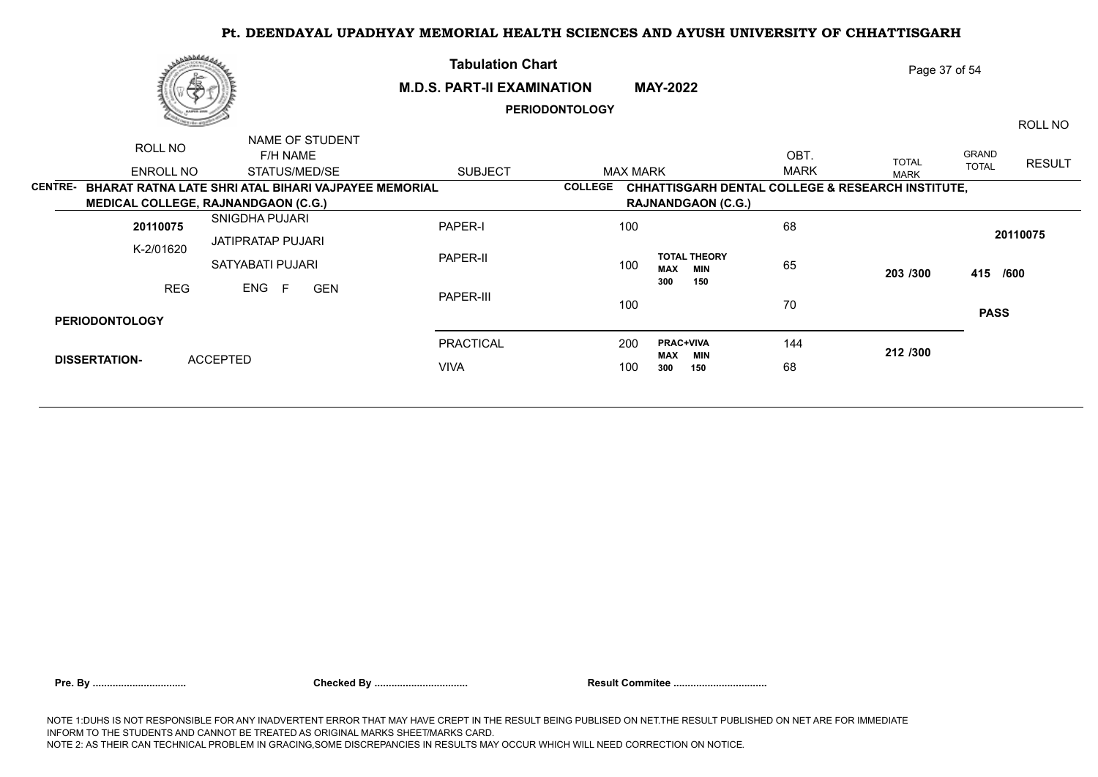|                | م كالملاطحين          |                                                             | <b>Tabulation Chart</b>           |                       |                                                              | Page 37 of 54 |              |              |               |
|----------------|-----------------------|-------------------------------------------------------------|-----------------------------------|-----------------------|--------------------------------------------------------------|---------------|--------------|--------------|---------------|
|                |                       | 學                                                           | <b>M.D.S. PART-II EXAMINATION</b> |                       | <b>MAY-2022</b>                                              |               |              |              |               |
|                |                       |                                                             |                                   | <b>PERIODONTOLOGY</b> |                                                              |               |              |              | ROLL NO       |
|                | ROLL NO               | NAME OF STUDENT<br>F/H NAME                                 |                                   |                       |                                                              | OBT.          | <b>TOTAL</b> | GRAND        |               |
|                | ENROLL NO             | STATUS/MED/SE                                               | <b>SUBJECT</b>                    |                       | <b>MAX MARK</b>                                              | <b>MARK</b>   | <b>MARK</b>  | <b>TOTAL</b> | <b>RESULT</b> |
| <b>CENTRE-</b> |                       | <b>BHARAT RATNA LATE SHRI ATAL BIHARI VAJPAYEE MEMORIAL</b> |                                   | <b>COLLEGE</b>        | <b>CHHATTISGARH DENTAL COLLEGE &amp; RESEARCH INSTITUTE,</b> |               |              |              |               |
|                |                       | MEDICAL COLLEGE, RAJNANDGAON (C.G.)                         |                                   |                       | <b>RAJNANDGAON (C.G.)</b>                                    |               |              |              |               |
|                | 20110075              | SNIGDHA PUJARI                                              | PAPER-I                           | 100                   |                                                              | 68            |              |              | 20110075      |
|                | K-2/01620             | JATIPRATAP PUJARI<br>SATYABATI PUJARI                       | PAPER-II                          | 100                   | <b>TOTAL THEORY</b><br><b>MAX</b><br><b>MIN</b>              | 65            | 203 /300     | 415 /600     |               |
|                | <b>REG</b>            | ENG<br>F<br><b>GEN</b>                                      | PAPER-III                         | 100                   | 150<br>300                                                   | 70            |              | <b>PASS</b>  |               |
|                | <b>PERIODONTOLOGY</b> |                                                             |                                   |                       |                                                              |               |              |              |               |
|                |                       |                                                             | <b>PRACTICAL</b>                  | 200                   | <b>PRAC+VIVA</b><br><b>MAX</b><br>MIN                        | 144           | 212 /300     |              |               |
|                | <b>DISSERTATION-</b>  | <b>ACCEPTED</b>                                             | <b>VIVA</b>                       | 100                   | 300<br>150                                                   | 68            |              |              |               |
|                |                       |                                                             |                                   |                       |                                                              |               |              |              |               |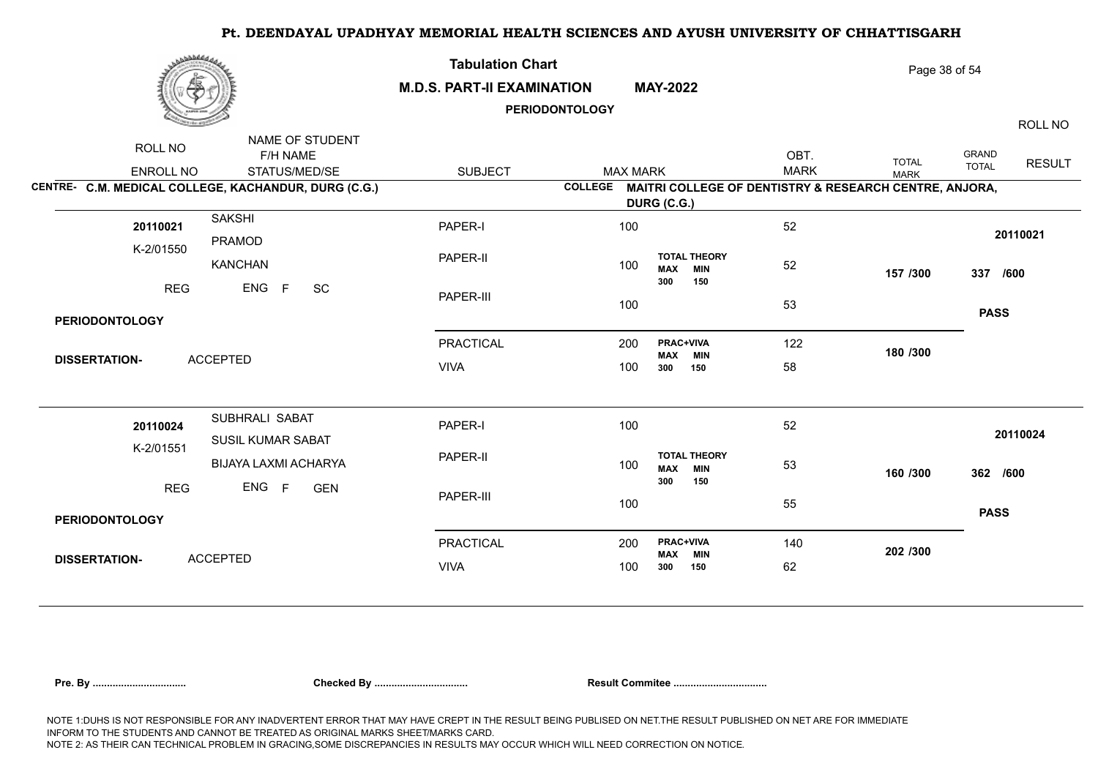| برىقىلىلى                                                                                                                    | <b>Tabulation Chart</b><br><b>M.D.S. PART-II EXAMINATION</b> | <b>PERIODONTOLOGY</b> | <b>MAY-2022</b>                                                | Page 38 of 54       |                             |                                                          |  |
|------------------------------------------------------------------------------------------------------------------------------|--------------------------------------------------------------|-----------------------|----------------------------------------------------------------|---------------------|-----------------------------|----------------------------------------------------------|--|
| NAME OF STUDENT<br>ROLL NO<br>F/H NAME<br>STATUS/MED/SE<br>ENROLL NO<br>CENTRE- C.M. MEDICAL COLLEGE, KACHANDUR, DURG (C.G.) | <b>SUBJECT</b>                                               | <b>MAX MARK</b>       | COLLEGE MAITRI COLLEGE OF DENTISTRY & RESEARCH CENTRE, ANJORA, | OBT.<br><b>MARK</b> | <b>TOTAL</b><br><b>MARK</b> | ROLL NO<br><b>GRAND</b><br><b>RESULT</b><br><b>TOTAL</b> |  |
| <b>SAKSHI</b><br>20110021<br>PRAMOD                                                                                          | PAPER-I                                                      | 100                   | DURG (C.G.)                                                    | 52                  |                             | 20110021                                                 |  |
| K-2/01550<br><b>KANCHAN</b>                                                                                                  | PAPER-II                                                     | 100                   | <b>TOTAL THEORY</b><br><b>MIN</b><br><b>MAX</b><br>150<br>300  | 52                  | 157 /300                    | 337 /600                                                 |  |
| ENG<br><b>REG</b><br>$-F$<br><b>PERIODONTOLOGY</b>                                                                           | SC<br>PAPER-III                                              | 100                   |                                                                | 53                  |                             | <b>PASS</b>                                              |  |
| <b>ACCEPTED</b><br><b>DISSERTATION-</b>                                                                                      | <b>PRACTICAL</b><br><b>VIVA</b>                              | 200<br>100            | <b>PRAC+VIVA</b><br>MAX MIN<br>300<br>150                      | 122<br>58           | 180 /300                    |                                                          |  |
| SUBHRALI SABAT<br>20110024<br>SUSIL KUMAR SABAT<br>K-2/01551                                                                 | PAPER-I                                                      | 100                   |                                                                | 52                  |                             | 20110024                                                 |  |
| BIJAYA LAXMI ACHARYA<br>ENG F<br><b>REG</b>                                                                                  | PAPER-II                                                     | 100                   | <b>TOTAL THEORY</b><br><b>MAX</b><br><b>MIN</b><br>300<br>150  | 53                  | 160 /300                    | 362 /600                                                 |  |
| <b>PERIODONTOLOGY</b>                                                                                                        | <b>GEN</b><br>PAPER-III                                      | 100                   |                                                                | 55                  |                             | <b>PASS</b>                                              |  |
| <b>ACCEPTED</b><br><b>DISSERTATION-</b>                                                                                      | PRACTICAL<br><b>VIVA</b>                                     | 200<br>100            | <b>PRAC+VIVA</b><br><b>MIN</b><br>MAX<br>300<br>150            | 140<br>62           | 202 /300                    |                                                          |  |

|  | Pre. By |
|--|---------|
|--|---------|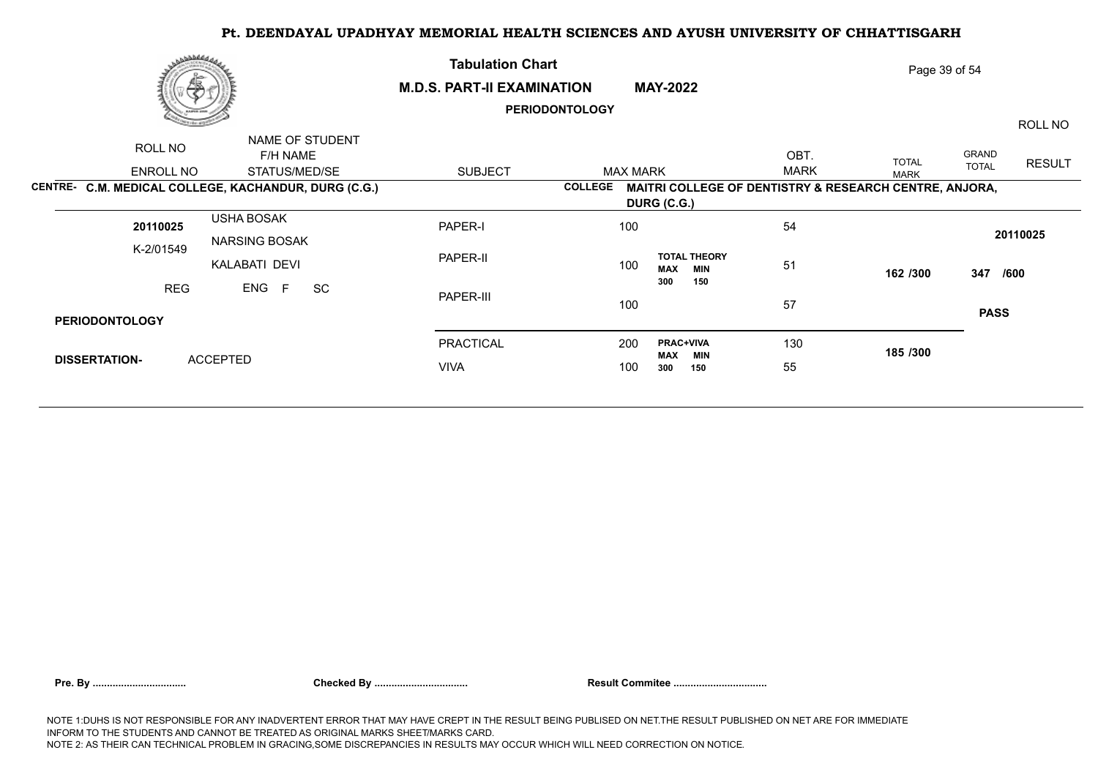|                       | م كالملائي الم<br>偽                                  | <b>Tabulation Chart</b><br><b>M.D.S. PART-II EXAMINATION</b> | Page 39 of 54         |                                                        |             |              |              |               |
|-----------------------|------------------------------------------------------|--------------------------------------------------------------|-----------------------|--------------------------------------------------------|-------------|--------------|--------------|---------------|
|                       |                                                      |                                                              | <b>PERIODONTOLOGY</b> |                                                        |             |              |              | ROLL NO       |
| ROLL NO               | NAME OF STUDENT<br>F/H NAME                          |                                                              |                       |                                                        | OBT.        | <b>TOTAL</b> | GRAND        | <b>RESULT</b> |
| ENROLL NO             | STATUS/MED/SE                                        | <b>SUBJECT</b>                                               | <b>MAX MARK</b>       |                                                        | <b>MARK</b> | <b>MARK</b>  | <b>TOTAL</b> |               |
|                       | CENTRE- C.M. MEDICAL COLLEGE, KACHANDUR, DURG (C.G.) |                                                              | <b>COLLEGE</b>        | MAITRI COLLEGE OF DENTISTRY & RESEARCH CENTRE, ANJORA, |             |              |              |               |
|                       |                                                      |                                                              |                       | DURG (C.G.)                                            |             |              |              |               |
| 20110025              | <b>USHA BOSAK</b>                                    | PAPER-I                                                      | 100                   |                                                        | 54          |              |              | 20110025      |
| K-2/01549             | <b>NARSING BOSAK</b><br>KALABATI DEVI                | PAPER-II                                                     | 100                   | <b>TOTAL THEORY</b><br><b>MAX</b><br><b>MIN</b>        | 51          | 162 /300     | 347          | /600          |
| <b>REG</b>            | ENG<br>SC<br>F                                       | PAPER-III                                                    | 100                   | 300<br>150                                             | 57          |              |              |               |
| <b>PERIODONTOLOGY</b> |                                                      |                                                              |                       |                                                        |             |              | <b>PASS</b>  |               |
|                       |                                                      | PRACTICAL                                                    | 200                   | <b>PRAC+VIVA</b><br>MAX<br>MIN                         | 130         | 185 /300     |              |               |
| <b>DISSERTATION-</b>  | <b>ACCEPTED</b>                                      | <b>VIVA</b>                                                  | 100                   | 300<br>150                                             | 55          |              |              |               |
|                       |                                                      |                                                              |                       |                                                        |             |              |              |               |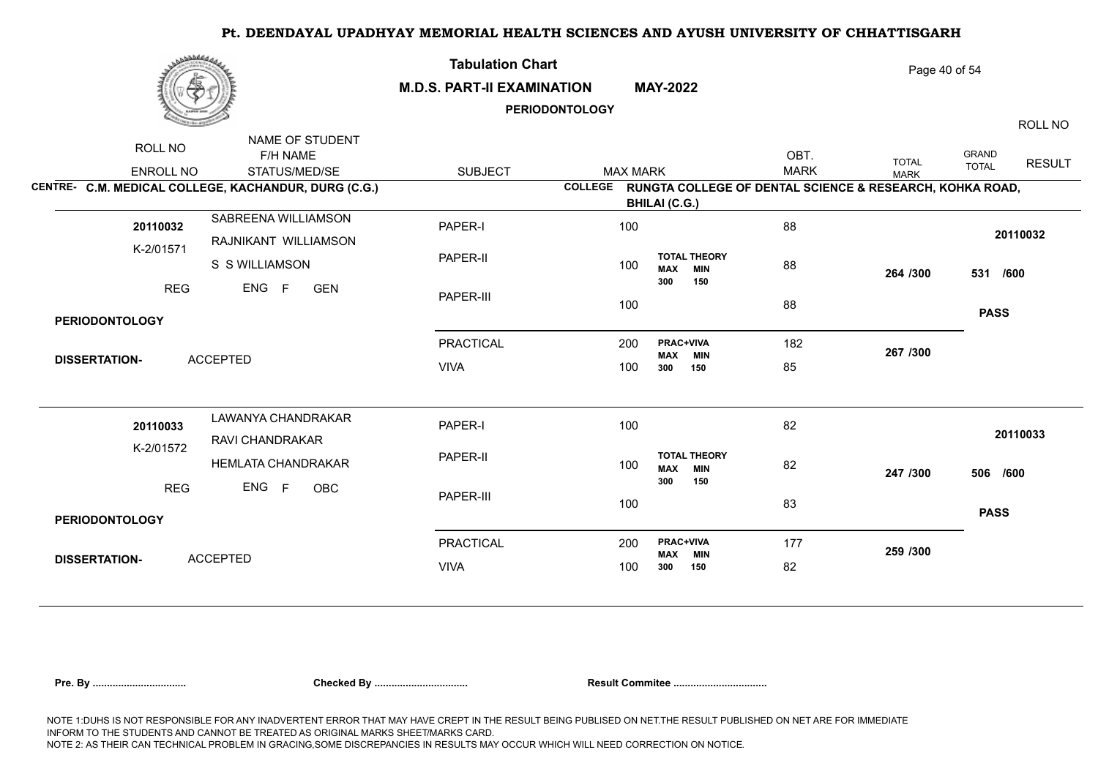| بروفاطهن                                                                                                                     | <b>Tabulation Chart</b><br><b>M.D.S. PART-II EXAMINATION</b><br><b>PERIODONTOLOGY</b> |                                   | <b>MAY-2022</b>                                 |                                                                                 | Page 40 of 54<br>ROLL NO    |                                        |  |  |
|------------------------------------------------------------------------------------------------------------------------------|---------------------------------------------------------------------------------------|-----------------------------------|-------------------------------------------------|---------------------------------------------------------------------------------|-----------------------------|----------------------------------------|--|--|
| NAME OF STUDENT<br>ROLL NO<br>F/H NAME<br>STATUS/MED/SE<br>ENROLL NO<br>CENTRE- C.M. MEDICAL COLLEGE, KACHANDUR, DURG (C.G.) | <b>SUBJECT</b>                                                                        | <b>MAX MARK</b><br><b>COLLEGE</b> |                                                 | OBT.<br><b>MARK</b><br>RUNGTA COLLEGE OF DENTAL SCIENCE & RESEARCH, KOHKA ROAD, | <b>TOTAL</b><br><b>MARK</b> | GRAND<br><b>RESULT</b><br><b>TOTAL</b> |  |  |
|                                                                                                                              |                                                                                       |                                   | <b>BHILAI (C.G.)</b>                            |                                                                                 |                             |                                        |  |  |
| SABREENA WILLIAMSON<br>20110032<br>RAJNIKANT WILLIAMSON<br>K-2/01571                                                         | PAPER-I                                                                               | 100                               |                                                 | 88                                                                              |                             | 20110032                               |  |  |
| S S WILLIAMSON                                                                                                               | PAPER-II                                                                              | 100                               | <b>TOTAL THEORY</b><br><b>MIN</b><br><b>MAX</b> | 88                                                                              | 264 /300                    | 531 /600                               |  |  |
| ENG<br><b>REG</b><br>F<br><b>GEN</b>                                                                                         | PAPER-III                                                                             | 100                               | 150<br>300                                      | 88                                                                              |                             | <b>PASS</b>                            |  |  |
| <b>PERIODONTOLOGY</b>                                                                                                        |                                                                                       |                                   |                                                 |                                                                                 |                             |                                        |  |  |
|                                                                                                                              | <b>PRACTICAL</b>                                                                      | 200                               | PRAC+VIVA<br><b>MAX</b><br><b>MIN</b>           | 182                                                                             | 267 /300                    |                                        |  |  |
| <b>ACCEPTED</b><br><b>DISSERTATION-</b>                                                                                      | <b>VIVA</b>                                                                           | 100                               | 150<br>300                                      | 85                                                                              |                             |                                        |  |  |
| LAWANYA CHANDRAKAR<br>20110033<br>RAVI CHANDRAKAR                                                                            | PAPER-I                                                                               | 100                               |                                                 | 82                                                                              |                             | 20110033                               |  |  |
| K-2/01572<br><b>HEMLATA CHANDRAKAR</b>                                                                                       | PAPER-II                                                                              | 100                               | <b>TOTAL THEORY</b><br><b>MIN</b><br><b>MAX</b> | 82                                                                              | 247 /300                    | 506 /600                               |  |  |
| ENG F<br><b>REG</b><br>OBC                                                                                                   | PAPER-III                                                                             | 100                               | 300<br>150                                      | 83                                                                              |                             | <b>PASS</b>                            |  |  |
| <b>PERIODONTOLOGY</b>                                                                                                        |                                                                                       |                                   |                                                 |                                                                                 |                             |                                        |  |  |
| <b>ACCEPTED</b>                                                                                                              | <b>PRACTICAL</b>                                                                      | 200                               | <b>PRAC+VIVA</b><br><b>MAX</b><br><b>MIN</b>    | 177                                                                             | 259 /300                    |                                        |  |  |
| <b>DISSERTATION-</b>                                                                                                         | <b>VIVA</b>                                                                           | 100                               | 300<br>150                                      | 82                                                                              |                             |                                        |  |  |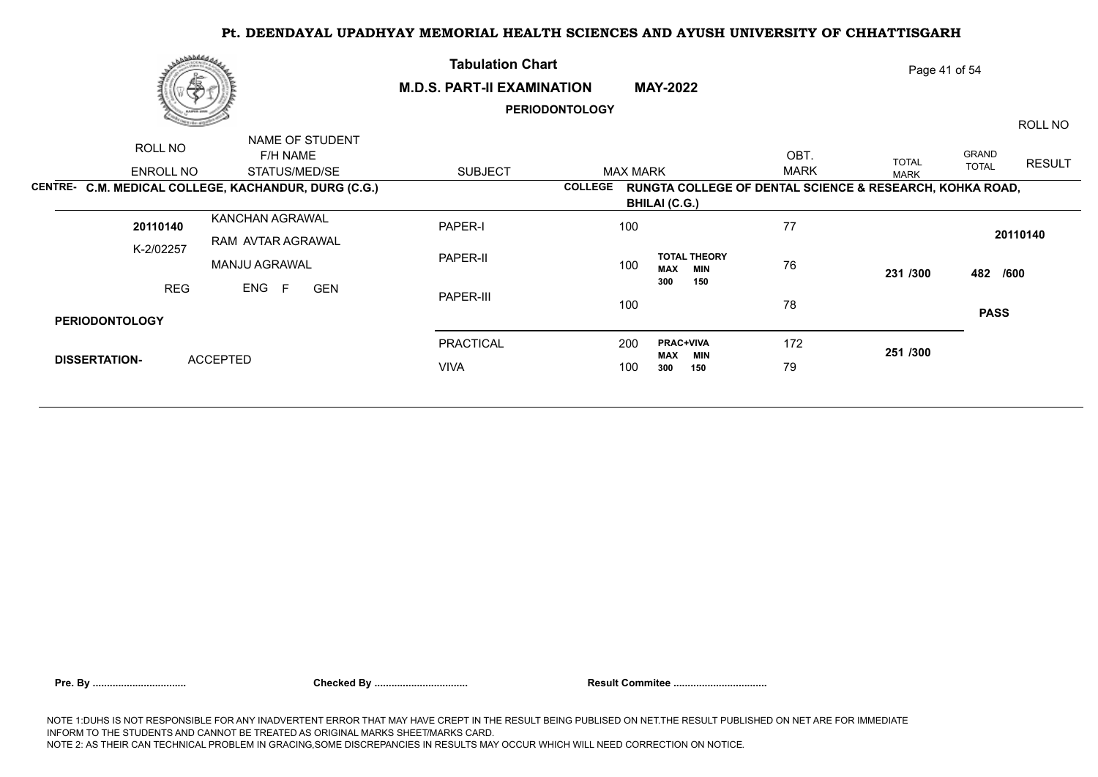| رى ئەلەققىلىق         | Æ.                                                   | <b>Tabulation Chart</b><br><b>M.D.S. PART-II EXAMINATION</b> | Page 41 of 54         |                                                          |             |              |              |               |
|-----------------------|------------------------------------------------------|--------------------------------------------------------------|-----------------------|----------------------------------------------------------|-------------|--------------|--------------|---------------|
|                       |                                                      |                                                              | <b>PERIODONTOLOGY</b> |                                                          |             |              |              | ROLL NO       |
| ROLL NO               | NAME OF STUDENT<br>F/H NAME                          |                                                              |                       |                                                          | OBT.        | <b>TOTAL</b> | GRAND        | <b>RESULT</b> |
| ENROLL NO             | STATUS/MED/SE                                        | <b>SUBJECT</b>                                               | <b>MAX MARK</b>       |                                                          | <b>MARK</b> | <b>MARK</b>  | <b>TOTAL</b> |               |
|                       | CENTRE- C.M. MEDICAL COLLEGE, KACHANDUR, DURG (C.G.) |                                                              | <b>COLLEGE</b>        | RUNGTA COLLEGE OF DENTAL SCIENCE & RESEARCH, KOHKA ROAD, |             |              |              |               |
|                       |                                                      |                                                              |                       | <b>BHILAI (C.G.)</b>                                     |             |              |              |               |
| 20110140              | KANCHAN AGRAWAL                                      | PAPER-I                                                      | 100                   |                                                          | 77          |              |              | 20110140      |
| K-2/02257             | RAM AVTAR AGRAWAL<br><b>MANJU AGRAWAL</b>            | PAPER-II                                                     | 100                   | <b>TOTAL THEORY</b><br><b>MAX</b><br><b>MIN</b>          | 76          | 231 /300     | 482 /600     |               |
| <b>REG</b>            | ENG<br>E<br><b>GEN</b>                               | PAPER-III                                                    | 100                   | 150<br>300                                               | 78          |              | <b>PASS</b>  |               |
| <b>PERIODONTOLOGY</b> |                                                      |                                                              |                       |                                                          |             |              |              |               |
|                       |                                                      | PRACTICAL                                                    | 200                   | <b>PRAC+VIVA</b><br>MAX<br>MIN                           | 172         | 251 /300     |              |               |
| <b>DISSERTATION-</b>  | <b>ACCEPTED</b>                                      | <b>VIVA</b>                                                  | 100                   | 300<br>150                                               | 79          |              |              |               |
|                       |                                                      |                                                              |                       |                                                          |             |              |              |               |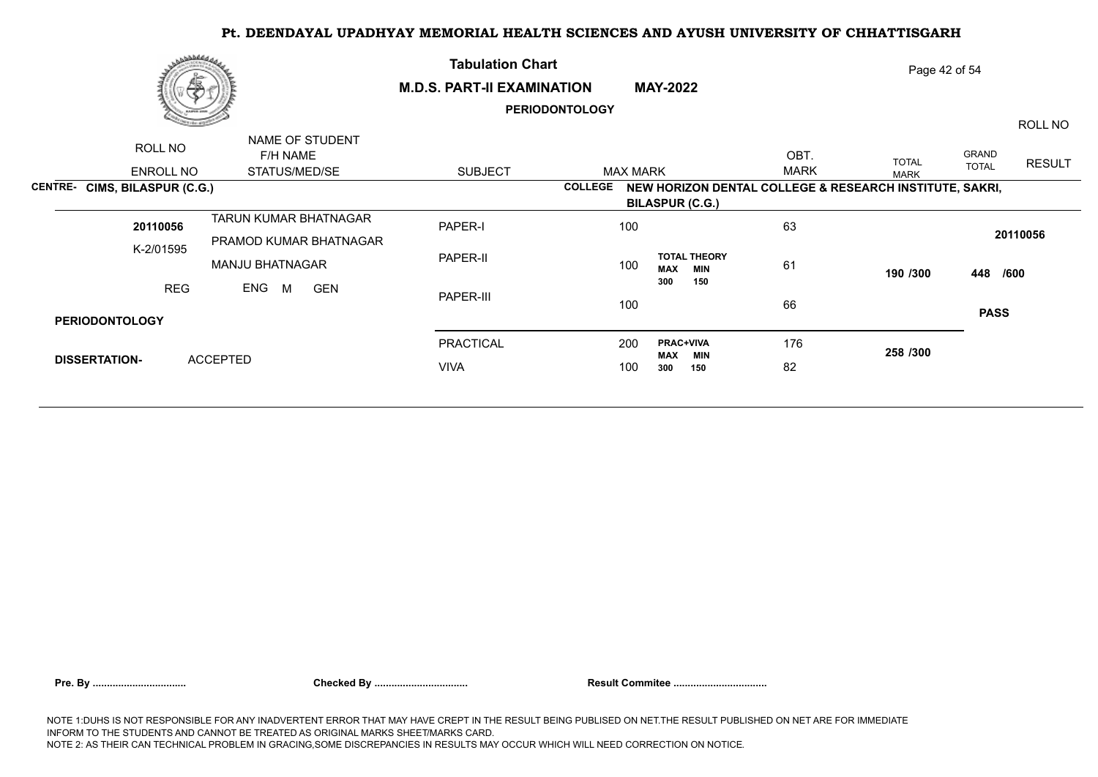|                       | مصطططم                               |                                                        | <b>Tabulation Chart</b>           |                       |                                                                                   |             | Page 42 of 54 |                       |               |  |  |  |
|-----------------------|--------------------------------------|--------------------------------------------------------|-----------------------------------|-----------------------|-----------------------------------------------------------------------------------|-------------|---------------|-----------------------|---------------|--|--|--|
|                       | 晶                                    |                                                        | <b>M.D.S. PART-II EXAMINATION</b> | <b>PERIODONTOLOGY</b> | <b>MAY-2022</b>                                                                   |             |               |                       | ROLL NO       |  |  |  |
|                       | ROLL NO                              | NAME OF STUDENT<br>F/H NAME                            |                                   |                       |                                                                                   | OBT.        | <b>TOTAL</b>  | GRAND<br><b>TOTAL</b> | <b>RESULT</b> |  |  |  |
|                       | ENROLL NO                            | STATUS/MED/SE                                          | <b>SUBJECT</b>                    | <b>COLLEGE</b>        | <b>MAX MARK</b>                                                                   | <b>MARK</b> | <b>MARK</b>   |                       |               |  |  |  |
|                       | <b>CENTRE- CIMS, BILASPUR (C.G.)</b> |                                                        |                                   |                       | NEW HORIZON DENTAL COLLEGE & RESEARCH INSTITUTE, SAKRI,<br><b>BILASPUR (C.G.)</b> |             |               |                       |               |  |  |  |
|                       | 20110056                             | <b>TARUN KUMAR BHATNAGAR</b><br>PRAMOD KUMAR BHATNAGAR | PAPER-I                           | 100                   |                                                                                   | 63          |               |                       | 20110056      |  |  |  |
|                       | K-2/01595                            | <b>MANJU BHATNAGAR</b>                                 | PAPER-II                          | 100                   | <b>TOTAL THEORY</b><br><b>MAX</b><br><b>MIN</b>                                   | 61          | 190 /300      | 448 /600              |               |  |  |  |
|                       | <b>REG</b>                           | ENG<br><b>GEN</b><br>M                                 | PAPER-III                         | 100                   | 150<br>300                                                                        | 66          |               |                       |               |  |  |  |
| <b>PERIODONTOLOGY</b> |                                      |                                                        |                                   |                       |                                                                                   |             |               | <b>PASS</b>           |               |  |  |  |
|                       |                                      |                                                        | PRACTICAL                         | 200                   | <b>PRAC+VIVA</b><br>MAX<br>MIN                                                    | 176         | 258 /300      |                       |               |  |  |  |
| <b>DISSERTATION-</b>  |                                      | <b>ACCEPTED</b>                                        | <b>VIVA</b>                       | 100                   | 300<br>150                                                                        | 82          |               |                       |               |  |  |  |
|                       |                                      |                                                        |                                   |                       |                                                                                   |             |               |                       |               |  |  |  |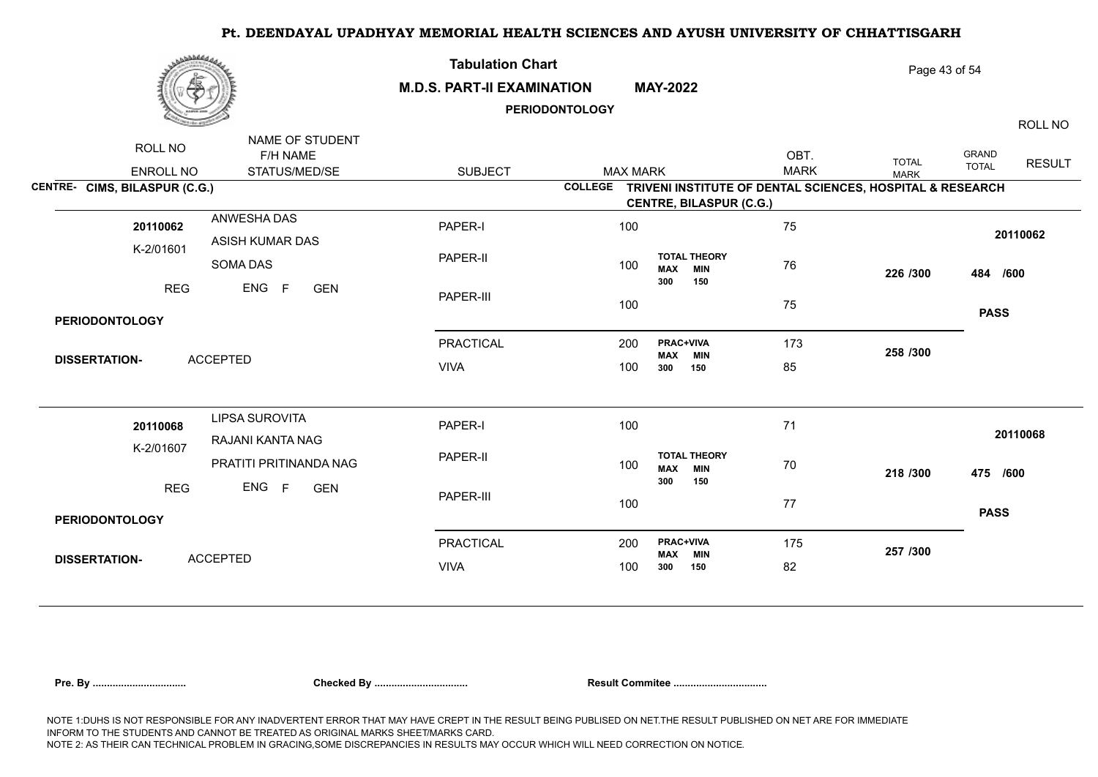| برهانا فاخترى                 |                                              | <b>Tabulation Chart</b><br><b>M.D.S. PART-II EXAMINATION</b> | <b>PERIODONTOLOGY</b> | <b>MAY-2022</b>   |                                          |                     | Page 43 of 54                                             |                              | ROLL NO       |
|-------------------------------|----------------------------------------------|--------------------------------------------------------------|-----------------------|-------------------|------------------------------------------|---------------------|-----------------------------------------------------------|------------------------------|---------------|
| ROLL NO<br>ENROLL NO          | NAME OF STUDENT<br>F/H NAME<br>STATUS/MED/SE | <b>SUBJECT</b>                                               | <b>MAX MARK</b>       |                   |                                          | OBT.<br><b>MARK</b> | <b>TOTAL</b><br><b>MARK</b>                               | <b>GRAND</b><br><b>TOTAL</b> | <b>RESULT</b> |
| CENTRE- CIMS, BILASPUR (C.G.) |                                              |                                                              | <b>COLLEGE</b>        |                   | <b>CENTRE, BILASPUR (C.G.)</b>           |                     | TRIVENI INSTITUTE OF DENTAL SCIENCES, HOSPITAL & RESEARCH |                              |               |
| 20110062                      | ANWESHA DAS<br>ASISH KUMAR DAS               | PAPER-I                                                      | 100                   |                   |                                          | 75                  |                                                           |                              | 20110062      |
| K-2/01601                     | SOMA DAS                                     | PAPER-II                                                     | 100                   | <b>MAX</b><br>300 | <b>TOTAL THEORY</b><br><b>MIN</b><br>150 | 76                  | 226 /300                                                  | 484 /600                     |               |
| <b>REG</b>                    | ENG<br>F<br><b>GEN</b>                       | PAPER-III                                                    | 100                   |                   |                                          | 75                  |                                                           | <b>PASS</b>                  |               |
| <b>PERIODONTOLOGY</b>         |                                              |                                                              |                       |                   |                                          |                     |                                                           |                              |               |
| <b>DISSERTATION-</b>          | <b>ACCEPTED</b>                              | <b>PRACTICAL</b>                                             | 200                   | MAX               | <b>PRAC+VIVA</b><br><b>MIN</b>           | 173                 | 258 /300                                                  |                              |               |
|                               |                                              | <b>VIVA</b>                                                  | 100                   | 300               | 150                                      | 85                  |                                                           |                              |               |
| 20110068                      | <b>LIPSA SUROVITA</b><br>RAJANI KANTA NAG    | PAPER-I                                                      | 100                   |                   |                                          | 71                  |                                                           |                              | 20110068      |
| K-2/01607                     | PRATITI PRITINANDA NAG                       | PAPER-II                                                     | 100                   | <b>MAX</b><br>300 | <b>TOTAL THEORY</b><br><b>MIN</b><br>150 | 70                  | 218 /300                                                  | 475 /600                     |               |
| <b>REG</b>                    | ENG F<br><b>GEN</b>                          | PAPER-III                                                    | 100                   |                   |                                          | 77                  |                                                           | <b>PASS</b>                  |               |
| <b>PERIODONTOLOGY</b>         |                                              |                                                              |                       |                   |                                          |                     |                                                           |                              |               |
| <b>DISSERTATION-</b>          | <b>ACCEPTED</b>                              | <b>PRACTICAL</b>                                             | 200                   | <b>MAX</b>        | <b>PRAC+VIVA</b><br><b>MIN</b>           | 175                 | 257 /300                                                  |                              |               |
|                               |                                              | <b>VIVA</b>                                                  | 100                   | 300               | 150                                      | 82                  |                                                           |                              |               |
|                               |                                              |                                                              |                       |                   |                                          |                     |                                                           |                              |               |

|  |  | Pre. Bv |
|--|--|---------|
|--|--|---------|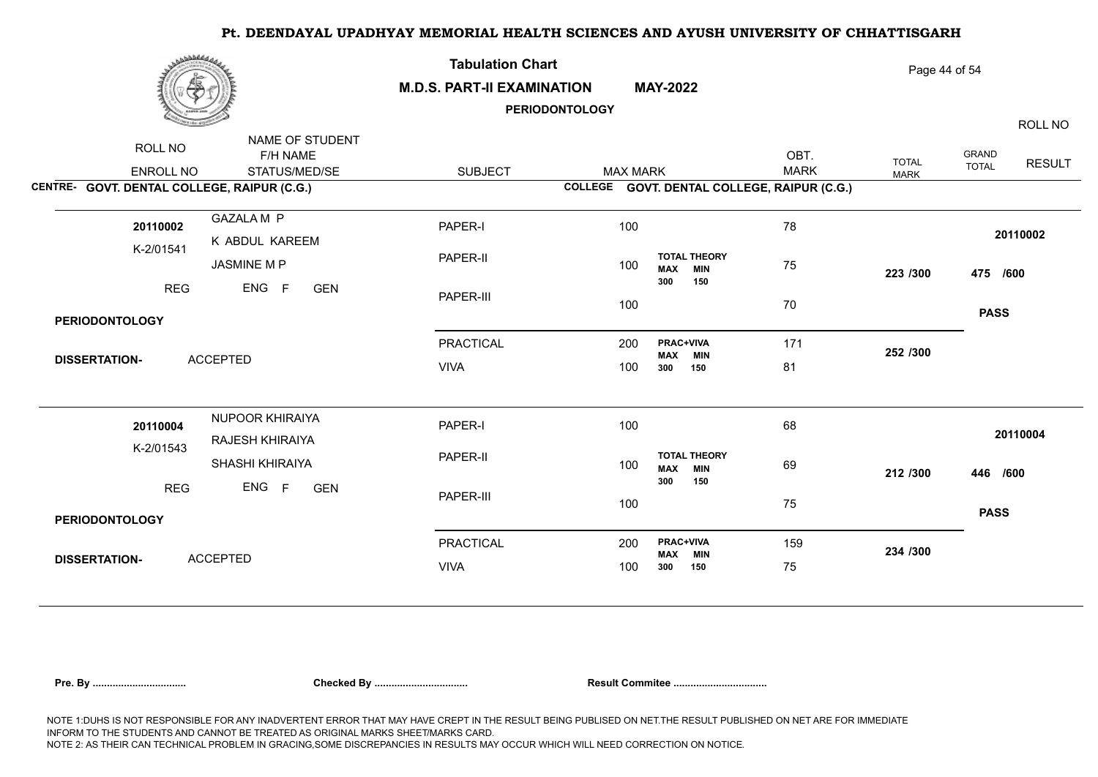| مهابا فالمقاطين                                                     |                                              | <b>Tabulation Chart</b><br><b>M.D.S. PART-II EXAMINATION</b><br><b>PERIODONTOLOGY</b> |     |                 | <b>MAY-2022</b>                                               |                     | Page 44 of 54<br>ROLL NO    |                       |               |  |
|---------------------------------------------------------------------|----------------------------------------------|---------------------------------------------------------------------------------------|-----|-----------------|---------------------------------------------------------------|---------------------|-----------------------------|-----------------------|---------------|--|
| ROLL NO<br>ENROLL NO<br>CENTRE- GOVT. DENTAL COLLEGE, RAIPUR (C.G.) | NAME OF STUDENT<br>F/H NAME<br>STATUS/MED/SE | <b>SUBJECT</b>                                                                        |     | <b>MAX MARK</b> | COLLEGE GOVT. DENTAL COLLEGE, RAIPUR (C.G.)                   | OBT.<br><b>MARK</b> | <b>TOTAL</b><br><b>MARK</b> | GRAND<br><b>TOTAL</b> | <b>RESULT</b> |  |
| 20110002<br>K-2/01541                                               | <b>GAZALA M P</b><br>K ABDUL KAREEM          | PAPER-I                                                                               |     | 100             | <b>TOTAL THEORY</b>                                           | 78                  |                             |                       | 20110002      |  |
| <b>REG</b>                                                          | JASMINE M P<br>ENG F<br><b>GEN</b>           | PAPER-II<br>PAPER-III                                                                 | 100 | 100             | <b>MIN</b><br><b>MAX</b><br>300<br>150                        | 75<br>70            | 223 /300                    | 475 /600              |               |  |
| <b>PERIODONTOLOGY</b>                                               |                                              |                                                                                       |     |                 |                                                               |                     |                             | <b>PASS</b>           |               |  |
| <b>DISSERTATION-</b>                                                | <b>ACCEPTED</b>                              | <b>PRACTICAL</b><br><b>VIVA</b>                                                       |     | 200<br>100      | PRAC+VIVA<br><b>MAX</b><br><b>MIN</b><br>300<br>150           | 171<br>81           | 252 /300                    |                       |               |  |
| 20110004<br>K-2/01543                                               | NUPOOR KHIRAIYA<br>RAJESH KHIRAIYA           | PAPER-I                                                                               |     | 100             |                                                               | 68                  |                             |                       | 20110004      |  |
| <b>REG</b>                                                          | SHASHI KHIRAIYA<br>ENG F<br><b>GEN</b>       | PAPER-II                                                                              | 100 |                 | <b>TOTAL THEORY</b><br><b>MIN</b><br><b>MAX</b><br>300<br>150 | 69                  | 212 /300                    | 446 /600              |               |  |
| <b>PERIODONTOLOGY</b>                                               |                                              | PAPER-III                                                                             | 100 |                 |                                                               | 75                  |                             | <b>PASS</b>           |               |  |
|                                                                     |                                              | <b>PRACTICAL</b>                                                                      | 200 |                 | <b>PRAC+VIVA</b><br><b>MAX</b><br><b>MIN</b>                  | 159                 | 234 /300                    |                       |               |  |
| <b>DISSERTATION-</b>                                                | <b>ACCEPTED</b>                              | <b>VIVA</b>                                                                           |     | 100             | 150<br>300                                                    | 75                  |                             |                       |               |  |
|                                                                     |                                              |                                                                                       |     |                 |                                                               |                     |                             |                       |               |  |

|  |  | Pre. Bv |
|--|--|---------|
|  |  |         |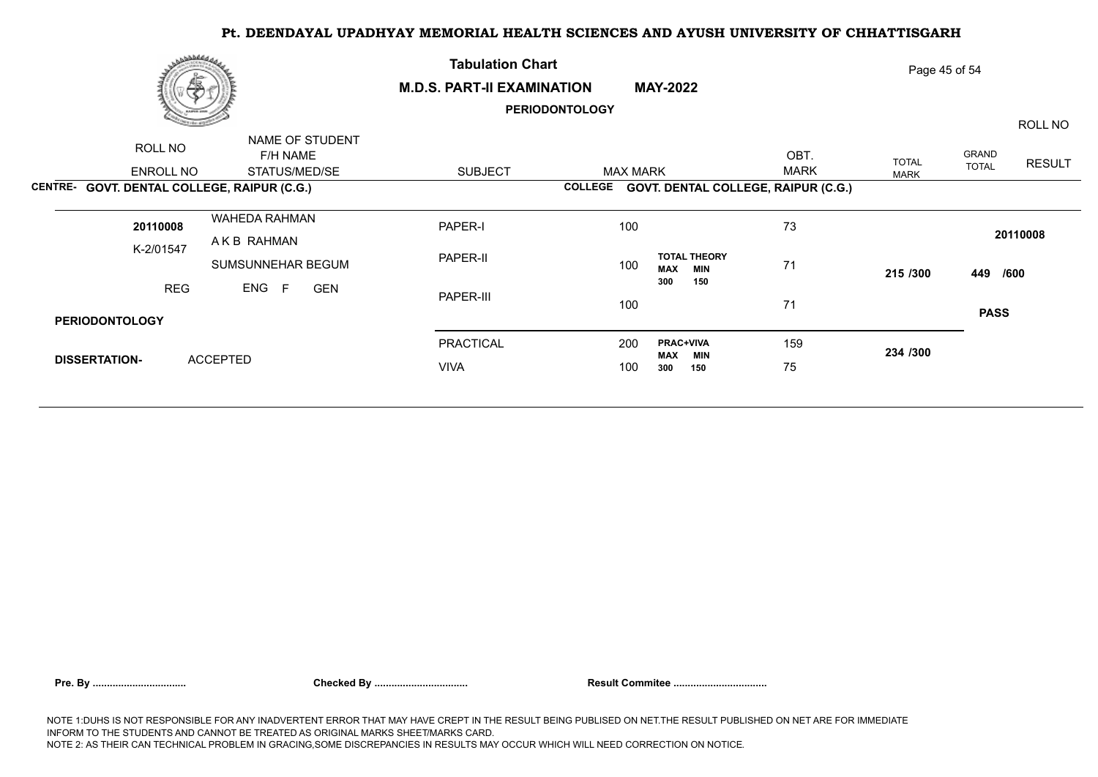|                      | مەلەللاھى<br>傪        |                                             | <b>Tabulation Chart</b><br><b>M.D.S. PART-II EXAMINATION</b><br><b>MAY-2022</b> |                       |                                                 | Page 45 of 54 |              |                       |               |  |
|----------------------|-----------------------|---------------------------------------------|---------------------------------------------------------------------------------|-----------------------|-------------------------------------------------|---------------|--------------|-----------------------|---------------|--|
|                      |                       |                                             |                                                                                 | <b>PERIODONTOLOGY</b> |                                                 |               |              |                       | ROLL NO       |  |
|                      | ROLL NO               | NAME OF STUDENT<br>F/H NAME                 |                                                                                 |                       |                                                 | OBT.          | <b>TOTAL</b> | GRAND<br><b>TOTAL</b> | <b>RESULT</b> |  |
|                      | ENROLL NO             | STATUS/MED/SE                               | <b>SUBJECT</b>                                                                  | <b>MAX MARK</b>       |                                                 | <b>MARK</b>   | <b>MARK</b>  |                       |               |  |
|                      |                       | CENTRE- GOVT. DENTAL COLLEGE, RAIPUR (C.G.) |                                                                                 | <b>COLLEGE</b>        | <b>GOVT. DENTAL COLLEGE, RAIPUR (C.G.)</b>      |               |              |                       |               |  |
|                      | 20110008              | WAHEDA RAHMAN                               | PAPER-I                                                                         | 100                   |                                                 | 73            |              |                       | 20110008      |  |
|                      | K-2/01547             | AKB RAHMAN                                  |                                                                                 |                       |                                                 |               |              |                       |               |  |
|                      |                       | SUMSUNNEHAR BEGUM                           | PAPER-II                                                                        | 100                   | <b>TOTAL THEORY</b><br><b>MAX</b><br><b>MIN</b> | 71            | 215 /300     | 449 /600              |               |  |
|                      | <b>REG</b>            | ENG F<br><b>GEN</b>                         | PAPER-III                                                                       |                       | 150<br>300                                      |               |              |                       |               |  |
|                      | <b>PERIODONTOLOGY</b> |                                             |                                                                                 | 100                   |                                                 | 71            |              | <b>PASS</b>           |               |  |
|                      |                       |                                             | <b>PRACTICAL</b>                                                                | 200                   | <b>PRAC+VIVA</b>                                | 159           |              |                       |               |  |
| <b>DISSERTATION-</b> |                       | <b>ACCEPTED</b>                             |                                                                                 |                       | <b>MAX</b><br>MIN                               |               | 234 /300     |                       |               |  |
|                      |                       |                                             | <b>VIVA</b>                                                                     | 100                   | 300<br>150                                      | 75            |              |                       |               |  |
|                      |                       |                                             |                                                                                 |                       |                                                 |               |              |                       |               |  |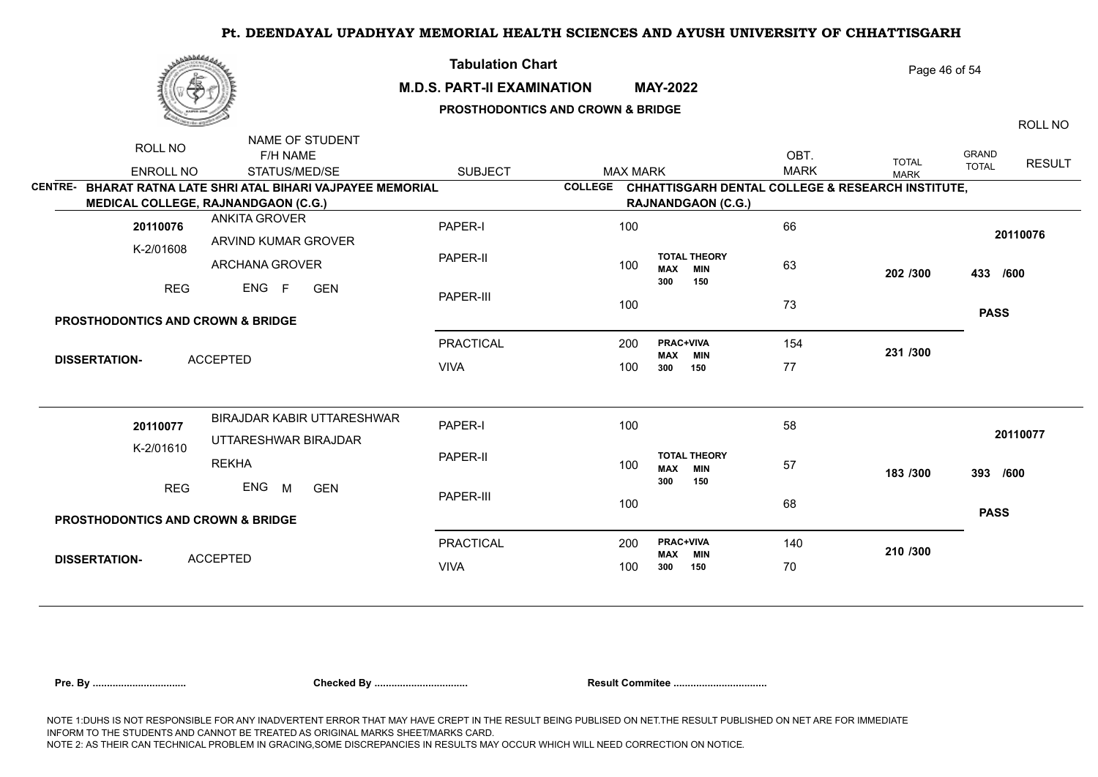| مهلهفهي                                                                                     |                                                    | <b>Tabulation Chart</b><br><b>M.D.S. PART-II EXAMINATION</b><br><b>MAY-2022</b><br>PROSTHODONTICS AND CROWN & BRIDGE |                |                 |                                | Page 46 of 54<br>ROLL NO                 |                                                                          |                             |                       |               |
|---------------------------------------------------------------------------------------------|----------------------------------------------------|----------------------------------------------------------------------------------------------------------------------|----------------|-----------------|--------------------------------|------------------------------------------|--------------------------------------------------------------------------|-----------------------------|-----------------------|---------------|
| ROLL NO<br><b>ENROLL NO</b><br>CENTRE- BHARAT RATNA LATE SHRI ATAL BIHARI VAJPAYEE MEMORIAL | NAME OF STUDENT<br>F/H NAME<br>STATUS/MED/SE       | <b>SUBJECT</b>                                                                                                       | <b>COLLEGE</b> | <b>MAX MARK</b> |                                |                                          | OBT.<br><b>MARK</b><br>CHHATTISGARH DENTAL COLLEGE & RESEARCH INSTITUTE, | <b>TOTAL</b><br><b>MARK</b> | GRAND<br><b>TOTAL</b> | <b>RESULT</b> |
| <b>MEDICAL COLLEGE, RAJNANDGAON (C.G.)</b>                                                  |                                                    |                                                                                                                      |                |                 |                                | <b>RAJNANDGAON (C.G.)</b>                |                                                                          |                             |                       |               |
| <b>ANKITA GROVER</b><br>20110076                                                            | ARVIND KUMAR GROVER                                | PAPER-I                                                                                                              |                | 100             |                                |                                          | 66                                                                       |                             |                       | 20110076      |
| K-2/01608                                                                                   | <b>ARCHANA GROVER</b>                              | PAPER-II                                                                                                             |                | 100             | <b>MAX</b>                     | <b>TOTAL THEORY</b><br><b>MIN</b>        | 63                                                                       | 202 /300                    | 433 /600              |               |
| <b>REG</b>                                                                                  | ENG F<br><b>GEN</b>                                | PAPER-III                                                                                                            |                | 100             | 300                            | 150                                      | 73                                                                       |                             |                       |               |
| PROSTHODONTICS AND CROWN & BRIDGE                                                           |                                                    |                                                                                                                      |                |                 |                                |                                          |                                                                          |                             | <b>PASS</b>           |               |
| <b>ACCEPTED</b><br><b>DISSERTATION-</b>                                                     |                                                    | PRACTICAL                                                                                                            |                | 200             | <b>PRAC+VIVA</b><br><b>MAX</b> | <b>MIN</b>                               | 154                                                                      | 231 /300                    |                       |               |
|                                                                                             |                                                    | <b>VIVA</b>                                                                                                          |                | 100             | 300                            | 150                                      | 77                                                                       |                             |                       |               |
| 20110077<br>K-2/01610                                                                       | BIRAJDAR KABIR UTTARESHWAR<br>UTTARESHWAR BIRAJDAR | PAPER-I                                                                                                              |                | 100             |                                |                                          | 58                                                                       |                             |                       | 20110077      |
| <b>REKHA</b>                                                                                |                                                    | PAPER-II                                                                                                             |                | 100             | <b>MAX</b><br>300              | <b>TOTAL THEORY</b><br><b>MIN</b><br>150 | 57                                                                       | 183 /300                    | 393 /600              |               |
| <b>REG</b><br>ENG                                                                           | M<br><b>GEN</b>                                    | PAPER-III                                                                                                            |                | 100             |                                |                                          | 68                                                                       |                             | <b>PASS</b>           |               |
| PROSTHODONTICS AND CROWN & BRIDGE                                                           |                                                    |                                                                                                                      |                |                 |                                |                                          |                                                                          |                             |                       |               |
| <b>ACCEPTED</b><br><b>DISSERTATION-</b>                                                     |                                                    | <b>PRACTICAL</b>                                                                                                     |                | 200             | <b>PRAC+VIVA</b><br><b>MAX</b> | <b>MIN</b>                               | 140                                                                      | 210 /300                    |                       |               |
|                                                                                             |                                                    | <b>VIVA</b>                                                                                                          |                | 100             | 300                            | 150                                      | 70                                                                       |                             |                       |               |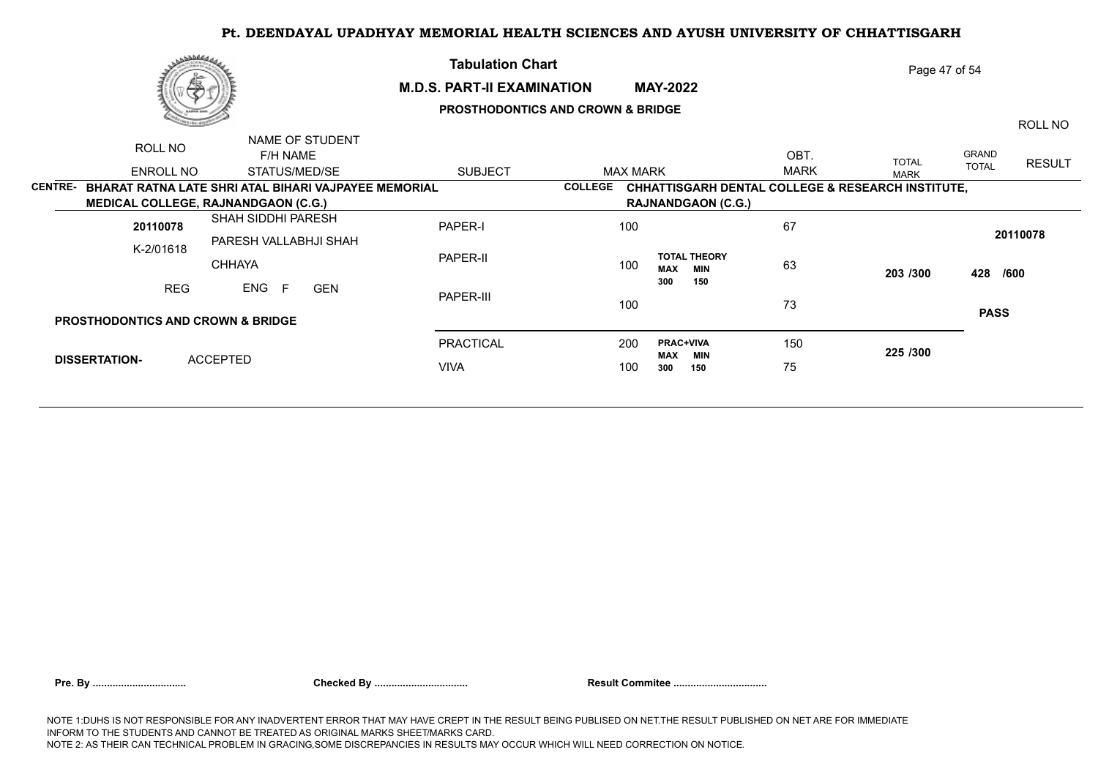|                | رەھەممەر<br>æ                                                                                             |                                        |                                              | <b>Tabulation Chart</b><br><b>M.D.S. PART-II EXAMINATION</b> |                 | <b>MAY-2022</b>                                 |                     | Page 47 of 54                                                |                       |               |
|----------------|-----------------------------------------------------------------------------------------------------------|----------------------------------------|----------------------------------------------|--------------------------------------------------------------|-----------------|-------------------------------------------------|---------------------|--------------------------------------------------------------|-----------------------|---------------|
|                |                                                                                                           |                                        |                                              | <b>PROSTHODONTICS AND CROWN &amp; BRIDGE</b>                 |                 |                                                 |                     |                                                              |                       | ROLL NO       |
|                | ROLL NO<br>ENROLL NO                                                                                      |                                        | NAME OF STUDENT<br>F/H NAME<br>STATUS/MED/SE | <b>SUBJECT</b>                                               | <b>MAX MARK</b> |                                                 | OBT.<br><b>MARK</b> | <b>TOTAL</b><br><b>MARK</b>                                  | GRAND<br><b>TOTAL</b> | <b>RESULT</b> |
| <b>CENTRE-</b> | <b>BHARAT RATNA LATE SHRI ATAL BIHARI VAJPAYEE MEMORIAL</b><br><b>MEDICAL COLLEGE, RAJNANDGAON (C.G.)</b> |                                        |                                              |                                                              | <b>COLLEGE</b>  | <b>RAJNANDGAON (C.G.)</b>                       |                     | <b>CHHATTISGARH DENTAL COLLEGE &amp; RESEARCH INSTITUTE,</b> |                       |               |
|                | 20110078                                                                                                  | SHAH SIDDHI PARESH                     |                                              | PAPER-I                                                      | 100             |                                                 | 67                  |                                                              |                       | 20110078      |
|                | K-2/01618                                                                                                 | PARESH VALLABHJI SHAH<br><b>CHHAYA</b> |                                              | PAPER-II                                                     | 100             | <b>TOTAL THEORY</b><br><b>MAX</b><br><b>MIN</b> | 63                  | 203 /300                                                     | 428 /600              |               |
|                | <b>REG</b>                                                                                                | ENG<br>-F                              | <b>GEN</b>                                   | PAPER-III                                                    | 100             | 300<br>150                                      | 73                  |                                                              |                       |               |
|                | <b>PROSTHODONTICS AND CROWN &amp; BRIDGE</b>                                                              |                                        |                                              |                                                              |                 |                                                 |                     |                                                              | <b>PASS</b>           |               |
|                |                                                                                                           |                                        |                                              | PRACTICAL                                                    | 200             | <b>PRAC+VIVA</b><br><b>MAX</b><br><b>MIN</b>    | 150                 | 225 /300                                                     |                       |               |
|                | <b>DISSERTATION-</b>                                                                                      | <b>ACCEPTED</b>                        |                                              | <b>VIVA</b>                                                  | 100             | 150<br>300                                      | 75                  |                                                              |                       |               |
|                |                                                                                                           |                                        |                                              |                                                              |                 |                                                 |                     |                                                              |                       |               |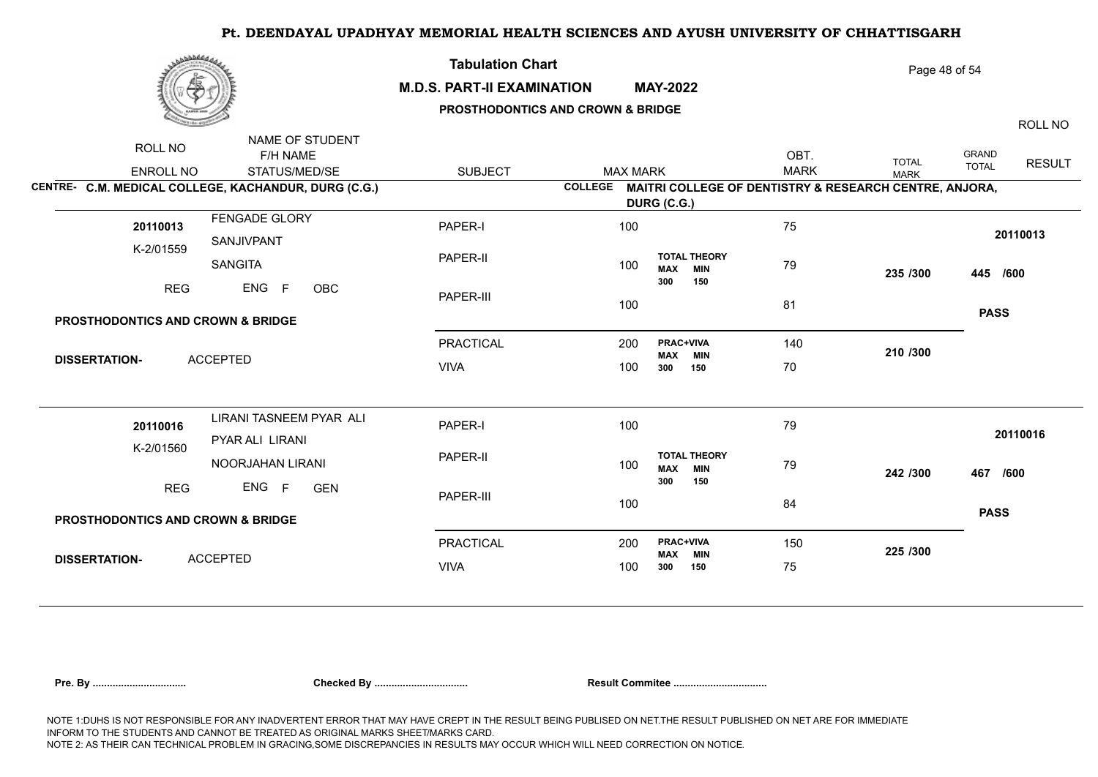

### **M.D.S. PART-II EXAMINATION MAY-2022**

**Tabulation Chart** 

## **PROSTHODONTICS AND CROWN & BRIDGE**

Page 48 of 54

ROLL NO

|                                                              | ROLL NO                                      | NAME OF STUDENT                                      |                  |                                    |                                                                |                     |                             |                       |               |
|--------------------------------------------------------------|----------------------------------------------|------------------------------------------------------|------------------|------------------------------------|----------------------------------------------------------------|---------------------|-----------------------------|-----------------------|---------------|
|                                                              | <b>ENROLL NO</b>                             | F/H NAME<br>STATUS/MED/SE                            | <b>SUBJECT</b>   | <b>MAX MARK</b>                    |                                                                | OBT.<br><b>MARK</b> | <b>TOTAL</b><br><b>MARK</b> | GRAND<br><b>TOTAL</b> | <b>RESULT</b> |
|                                                              |                                              | CENTRE- C.M. MEDICAL COLLEGE, KACHANDUR, DURG (C.G.) |                  |                                    | COLLEGE MAITRI COLLEGE OF DENTISTRY & RESEARCH CENTRE, ANJORA, |                     |                             |                       |               |
|                                                              |                                              |                                                      |                  |                                    | DURG (C.G.)                                                    |                     |                             |                       |               |
|                                                              | 20110013                                     | FENGADE GLORY<br>SANJIVPANT                          | PAPER-I          | 100                                |                                                                | 75                  |                             | 20110013              |               |
| K-2/01559<br>SANGITA<br>ENG<br>F<br><b>REG</b><br><b>OBC</b> |                                              |                                                      | PAPER-II         | 100                                | <b>TOTAL THEORY</b><br><b>MAX MIN</b>                          | 79                  | 235 /300                    | 445 /600              |               |
|                                                              |                                              |                                                      | PAPER-III        | 100                                | 300<br>150                                                     | 81                  |                             |                       |               |
|                                                              | <b>PROSTHODONTICS AND CROWN &amp; BRIDGE</b> |                                                      |                  |                                    |                                                                |                     |                             | <b>PASS</b>           |               |
| <b>ACCEPTED</b><br><b>DISSERTATION-</b>                      |                                              | <b>PRACTICAL</b>                                     | 200              | <b>PRAC+VIVA</b><br><b>MAX MIN</b> | 140                                                            | 210 /300            |                             |                       |               |
|                                                              |                                              | <b>VIVA</b>                                          | 100              | 300<br>150                         | 70                                                             |                     |                             |                       |               |
|                                                              |                                              | LIRANI TASNEEM PYAR ALI                              |                  |                                    |                                                                |                     |                             |                       |               |
| 20110016<br>K-2/01560                                        | PYAR ALI LIRANI                              | PAPER-I                                              | 100              |                                    | 79                                                             | 242 /300            | 20110016                    |                       |               |
|                                                              |                                              | NOORJAHAN LIRANI                                     | PAPER-II         | 100                                | <b>TOTAL THEORY</b><br><b>MAX MIN</b>                          |                     | 79                          | 467 /600              |               |
|                                                              | <b>REG</b>                                   | ENG F<br><b>GEN</b>                                  | PAPER-III        | 100                                | 300<br>150                                                     | 84                  |                             |                       |               |
|                                                              | <b>PROSTHODONTICS AND CROWN &amp; BRIDGE</b> |                                                      |                  |                                    |                                                                |                     |                             | <b>PASS</b>           |               |
|                                                              |                                              |                                                      | <b>PRACTICAL</b> | 200                                | <b>PRAC+VIVA</b><br><b>MAX MIN</b>                             | 150                 | 225 /300                    |                       |               |
|                                                              | <b>DISSERTATION-</b>                         | <b>ACCEPTED</b>                                      |                  | 100                                | 300<br>150                                                     | 75                  |                             |                       |               |
|                                                              |                                              |                                                      |                  |                                    |                                                                |                     |                             |                       |               |

| Pre. By |  |  |  |  |
|---------|--|--|--|--|
|         |  |  |  |  |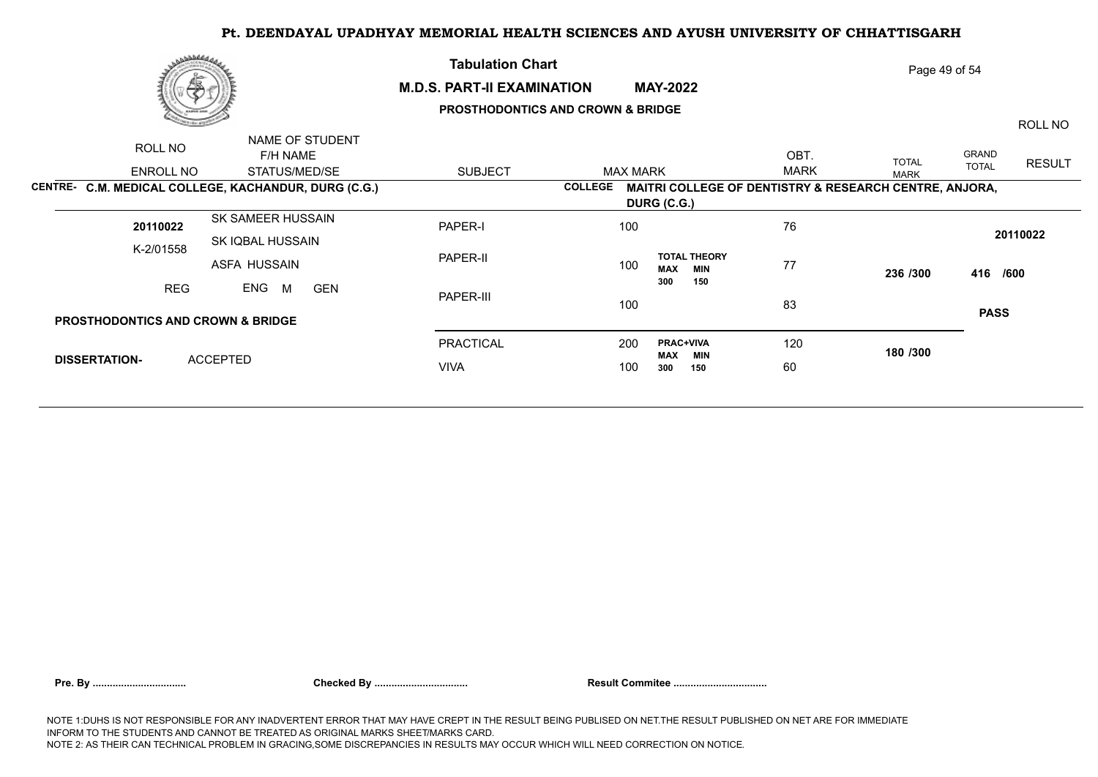### **M.D.S. PART-II EXAMINATION MAY-2022**

**Tabulation Chart** 

## **PROSTHODONTICS AND CROWN & BRIDGE**

Page 49 of 54

ROLL NO

ENROLL NO STATUS/MED/SE SUBJECT ROLL NO F/H NAME NAME OF STUDENT GRAND TOTAL RESULT OBT. MAX MARK <sup>IOTAL</sup> TOTAL TOTAL MARK **CENTRE- C.M. MEDICAL COLLEGE, KACHANDUR, DURG (C.G.) COLLEGE MAITRI COLLEGE OF DENTISTRY & RESEARCH CENTRE, ANJORA, DURG (C.G.)** K-2/01558 SK SAMEER HUSSAIN SK IQBAL HUSSAIN ASFA HUSSAIN REG ENG M GEN PAPER-I PAPER-II PAPER-III PRACTICAL VIVA 76 77 236 /300 83 and the set of the set of the set of the set of the set of the set of the set of the set of the set of the 120 **180 /300** 60 **236 /300 416 /600 PASS <sup>20110022</sup>** <sup>100</sup> 200 **PRAC+VIVA** 100 300 **MAX MIN**<br>300 150 60 **300 150 TOTAL THEORY**  100 **MAX MIN** 77 **300 150** GEN **PROSTHODONTICS AND CROWN & BRIDGE DISSERTATION-** ACCEPTED **20110022** 100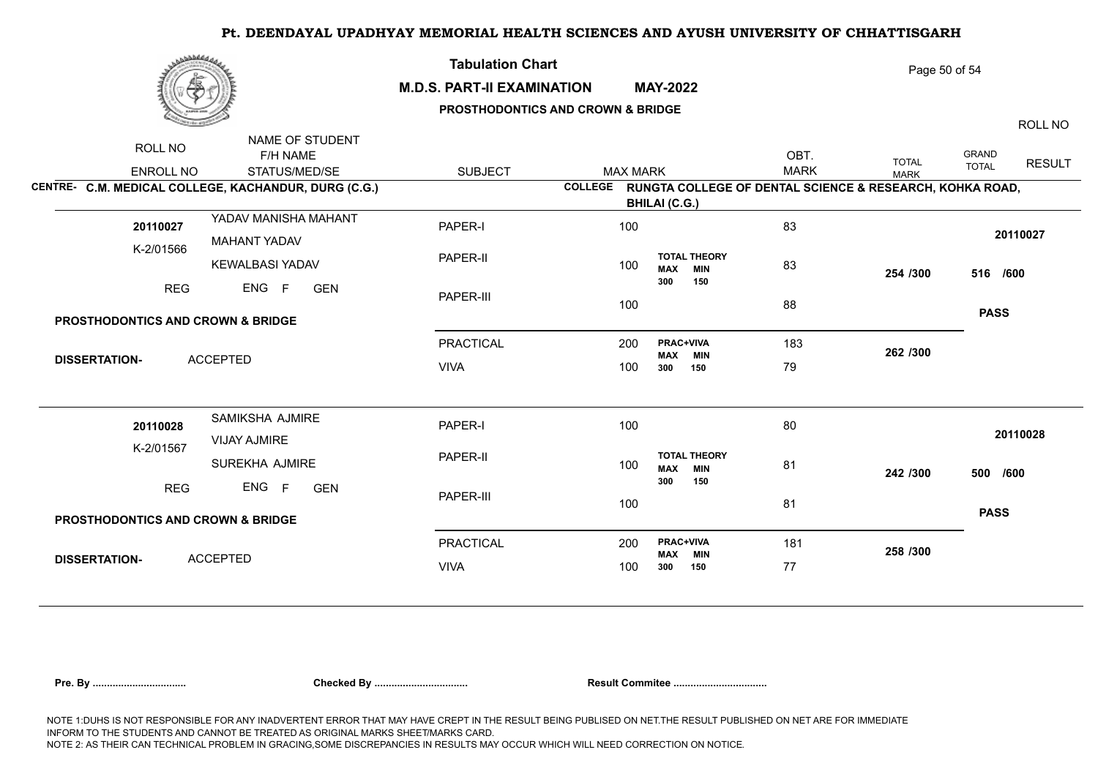|--|

### **M.D.S. PART-II EXAMINATION MAY-2022**

**Tabulation Chart** 

## **PROSTHODONTICS AND CROWN & BRIDGE**

Page 50 of 54

ROLL NO

| ROLL NO<br>ENROLL NO                         | NAME OF STUDENT<br>F/H NAME<br>STATUS/MED/SE         | <b>SUBJECT</b>   | <b>MAX MARK</b> |                                                                  | OBT.<br><b>MARK</b> | <b>TOTAL</b><br><b>MARK</b> | GRAND<br><b>RESULT</b><br><b>TOTAL</b> |  |
|----------------------------------------------|------------------------------------------------------|------------------|-----------------|------------------------------------------------------------------|---------------------|-----------------------------|----------------------------------------|--|
|                                              | CENTRE- C.M. MEDICAL COLLEGE, KACHANDUR, DURG (C.G.) |                  |                 | COLLEGE RUNGTA COLLEGE OF DENTAL SCIENCE & RESEARCH, KOHKA ROAD, |                     |                             |                                        |  |
|                                              |                                                      |                  |                 | <b>BHILAI (C.G.)</b>                                             |                     |                             |                                        |  |
| 20110027                                     | YADAV MANISHA MAHANT                                 | PAPER-I          | 100             |                                                                  | 83                  |                             |                                        |  |
|                                              | <b>MAHANT YADAV</b>                                  |                  |                 |                                                                  |                     |                             | 20110027                               |  |
| K-2/01566                                    | <b>KEWALBASI YADAV</b>                               | PAPER-II         | 100             | <b>TOTAL THEORY</b><br><b>MAX</b><br><b>MIN</b>                  | 83                  | 254 /300                    | 516 /600                               |  |
| <b>REG</b>                                   | ENG F<br><b>GEN</b>                                  |                  |                 | 300<br>150                                                       |                     |                             |                                        |  |
|                                              |                                                      | PAPER-III        | 100             |                                                                  | 88                  |                             |                                        |  |
| <b>PROSTHODONTICS AND CROWN &amp; BRIDGE</b> |                                                      |                  |                 |                                                                  |                     |                             | <b>PASS</b>                            |  |
|                                              |                                                      | <b>PRACTICAL</b> | 200             | <b>PRAC+VIVA</b>                                                 | 183                 |                             |                                        |  |
| <b>ACCEPTED</b><br><b>DISSERTATION-</b>      |                                                      |                  |                 | <b>MAX MIN</b>                                                   |                     | 262 /300                    |                                        |  |
|                                              |                                                      | <b>VIVA</b>      | 100             | 150<br>300                                                       | 79                  |                             |                                        |  |
| 20110028                                     | SAMIKSHA AJMIRE                                      | PAPER-I          | 100             |                                                                  | 80                  |                             |                                        |  |
|                                              | VIJAY AJMIRE                                         |                  |                 |                                                                  | 81                  |                             | 20110028                               |  |
| K-2/01567                                    | <b>SUREKHA AJMIRE</b>                                | PAPER-II         | 100             | <b>TOTAL THEORY</b><br><b>MAX MIN</b>                            |                     | 242 /300                    | 500 /600                               |  |
| <b>REG</b>                                   | ENG F<br><b>GEN</b>                                  | PAPER-III        | 100             | 300<br>150                                                       | 81                  |                             |                                        |  |
| <b>PROSTHODONTICS AND CROWN &amp; BRIDGE</b> |                                                      |                  |                 |                                                                  |                     |                             | <b>PASS</b>                            |  |
|                                              |                                                      | <b>PRACTICAL</b> | 200             | <b>PRAC+VIVA</b>                                                 | 181                 | 258 /300                    |                                        |  |
| <b>DISSERTATION-</b>                         | <b>ACCEPTED</b>                                      | <b>VIVA</b>      | 100             | <b>MAX MIN</b><br>150<br>300                                     | 77                  |                             |                                        |  |
|                                              |                                                      |                  |                 |                                                                  |                     |                             |                                        |  |

|  | Pre. By |
|--|---------|
|  |         |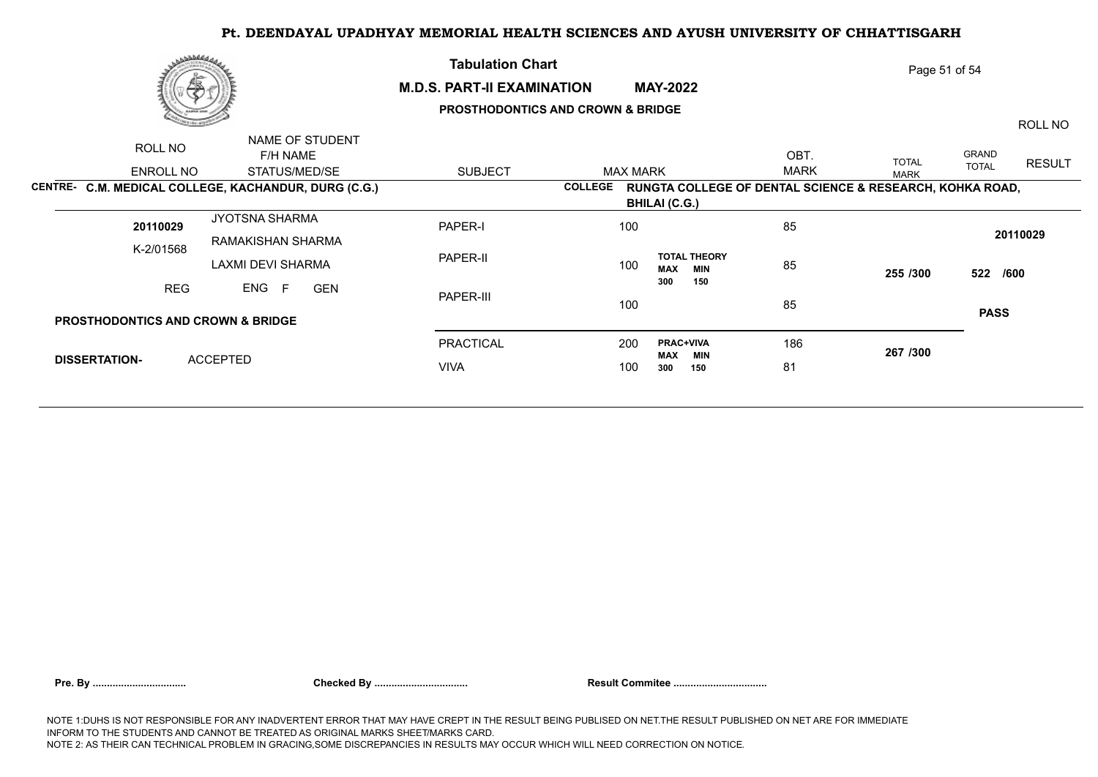### **M.D.S. PART-II EXAMINATION MAY-2022**

**Tabulation Chart** 

## **PROSTHODONTICS AND CROWN & BRIDGE**

ROLL NO

Page 51 of 54

| ROLL NO                                              | NAME OF STUDENT |                                     |               |  |                  |                |                 |                                   |             |                                                          |              |               |  |
|------------------------------------------------------|-----------------|-------------------------------------|---------------|--|------------------|----------------|-----------------|-----------------------------------|-------------|----------------------------------------------------------|--------------|---------------|--|
|                                                      |                 | F/H NAME                            |               |  |                  |                |                 |                                   | OBT.        | <b>TOTAL</b>                                             | GRAND        | <b>RESULT</b> |  |
|                                                      | ENROLL NO       |                                     | STATUS/MED/SE |  | <b>SUBJECT</b>   |                | <b>MAX MARK</b> |                                   | <b>MARK</b> | <b>MARK</b>                                              | <b>TOTAL</b> |               |  |
| CENTRE- C.M. MEDICAL COLLEGE, KACHANDUR, DURG (C.G.) |                 |                                     |               |  |                  | <b>COLLEGE</b> |                 |                                   |             | RUNGTA COLLEGE OF DENTAL SCIENCE & RESEARCH, KOHKA ROAD, |              |               |  |
|                                                      |                 |                                     |               |  |                  |                |                 | <b>BHILAI (C.G.)</b>              |             |                                                          |              |               |  |
| 20110029                                             |                 | JYOTSNA SHARMA<br>RAMAKISHAN SHARMA |               |  | PAPER-I          |                | 100             |                                   | 85          |                                                          |              |               |  |
| K-2/01568                                            |                 |                                     |               |  |                  |                |                 |                                   |             | 20110029                                                 |              |               |  |
|                                                      |                 | LAXMI DEVI SHARMA                   |               |  | PAPER-II         |                | 100             | <b>TOTAL THEORY</b><br>MAX<br>MIN | 85          | 255 /300                                                 |              |               |  |
|                                                      | <b>REG</b>      | ENG<br><b>GEN</b><br>- F            |               |  |                  |                | 300<br>150      |                                   |             | 522 /600                                                 |              |               |  |
|                                                      |                 |                                     |               |  | PAPER-III        | 100            |                 |                                   | 85          |                                                          |              |               |  |
| <b>PROSTHODONTICS AND CROWN &amp; BRIDGE</b>         |                 |                                     |               |  |                  |                |                 |                                   |             |                                                          | <b>PASS</b>  |               |  |
|                                                      |                 |                                     |               |  | <b>PRACTICAL</b> |                | 200             | <b>PRAC+VIVA</b>                  | 186         | 267 /300                                                 |              |               |  |
| <b>DISSERTATION-</b>                                 |                 | <b>ACCEPTED</b>                     |               |  | <b>VIVA</b>      |                | 100             | MAX<br><b>MIN</b><br>150<br>300   | 81          |                                                          |              |               |  |
|                                                      |                 |                                     |               |  |                  |                |                 |                                   |             |                                                          |              |               |  |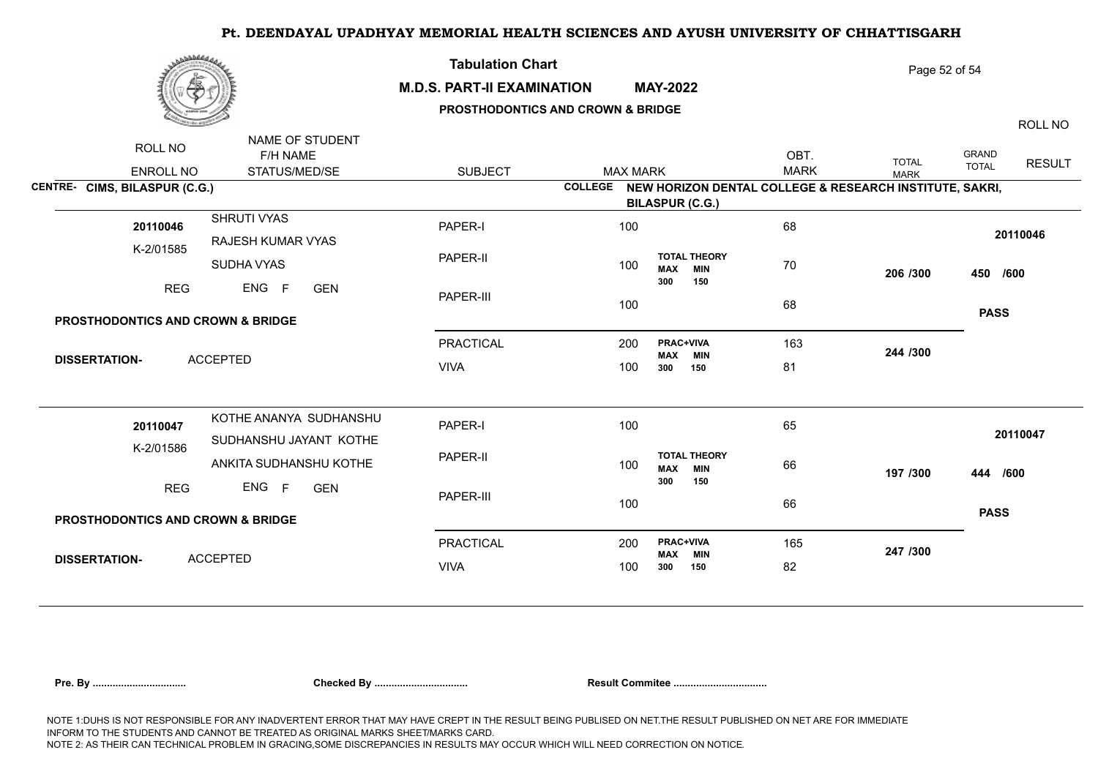

### **M.D.S. PART-II EXAMINATION MAY-2022**

**Tabulation Chart** 

## **PROSTHODONTICS AND CROWN & BRIDGE**

ROLL NO

Page 52 of 54

|                                              | NAME OF STUDENT          |                  |                 |                                       |                                                                 |                |              |               |  |
|----------------------------------------------|--------------------------|------------------|-----------------|---------------------------------------|-----------------------------------------------------------------|----------------|--------------|---------------|--|
| ROLL NO                                      | F/H NAME                 |                  |                 |                                       | OBT.                                                            | <b>TOTAL</b>   | GRAND        | <b>RESULT</b> |  |
| ENROLL NO                                    | STATUS/MED/SE            | <b>SUBJECT</b>   | <b>MAX MARK</b> |                                       | <b>MARK</b>                                                     | <b>MARK</b>    | <b>TOTAL</b> |               |  |
| CENTRE- CIMS, BILASPUR (C.G.)                |                          |                  |                 |                                       | COLLEGE NEW HORIZON DENTAL COLLEGE & RESEARCH INSTITUTE, SAKRI, |                |              |               |  |
|                                              |                          |                  |                 | <b>BILASPUR (C.G.)</b>                |                                                                 |                |              |               |  |
| SHRUTI VYAS<br>20110046                      |                          | PAPER-I          | 100             |                                       | 68                                                              |                |              |               |  |
| K-2/01585                                    | <b>RAJESH KUMAR VYAS</b> |                  |                 |                                       |                                                                 |                |              | 20110046      |  |
| SUDHA VYAS                                   |                          | PAPER-II         | 100             | <b>TOTAL THEORY</b><br><b>MAX MIN</b> | 70                                                              | 206 /300       | 450 /600     |               |  |
|                                              |                          |                  |                 | 300<br>150                            |                                                                 |                |              |               |  |
| <b>REG</b>                                   | ENG F<br><b>GEN</b>      | PAPER-III        |                 |                                       |                                                                 |                |              |               |  |
| <b>PROSTHODONTICS AND CROWN &amp; BRIDGE</b> |                          |                  | 100             |                                       | 68                                                              |                | <b>PASS</b>  |               |  |
|                                              |                          |                  |                 |                                       |                                                                 |                |              |               |  |
|                                              |                          | <b>PRACTICAL</b> | 200             | <b>PRAC+VIVA</b><br><b>MAX MIN</b>    | 163                                                             | 244 /300       |              |               |  |
| <b>ACCEPTED</b><br><b>DISSERTATION-</b>      |                          | <b>VIVA</b>      | 100             | 300<br>150                            | 81                                                              |                |              |               |  |
|                                              |                          |                  |                 |                                       |                                                                 |                |              |               |  |
|                                              |                          |                  |                 |                                       |                                                                 |                |              |               |  |
| 20110047                                     | KOTHE ANANYA SUDHANSHU   | PAPER-I          | 100             |                                       | 65                                                              |                |              |               |  |
|                                              | SUDHANSHU JAYANT KOTHE   |                  |                 |                                       |                                                                 | 66<br>197 /300 |              | 20110047      |  |
| K-2/01586                                    | ANKITA SUDHANSHU KOTHE   | PAPER-II         | 100             | <b>TOTAL THEORY</b>                   |                                                                 |                |              |               |  |
|                                              |                          |                  |                 | <b>MAX MIN</b><br>300<br>150          |                                                                 |                | 444 /600     |               |  |
| <b>REG</b>                                   | ENG F<br><b>GEN</b>      | PAPER-III        |                 |                                       |                                                                 |                |              |               |  |
|                                              |                          |                  | 100             |                                       | 66                                                              |                | <b>PASS</b>  |               |  |
| <b>PROSTHODONTICS AND CROWN &amp; BRIDGE</b> |                          |                  |                 |                                       |                                                                 |                |              |               |  |
|                                              |                          | <b>PRACTICAL</b> | 200             | PRAC+VIVA                             | 165                                                             | 247 /300       |              |               |  |
| <b>ACCEPTED</b><br><b>DISSERTATION-</b>      |                          | <b>VIVA</b>      | 100             | <b>MAX MIN</b><br>300<br>150          | 82                                                              |                |              |               |  |
|                                              |                          |                  |                 |                                       |                                                                 |                |              |               |  |

|  | Pre. By |
|--|---------|
|  |         |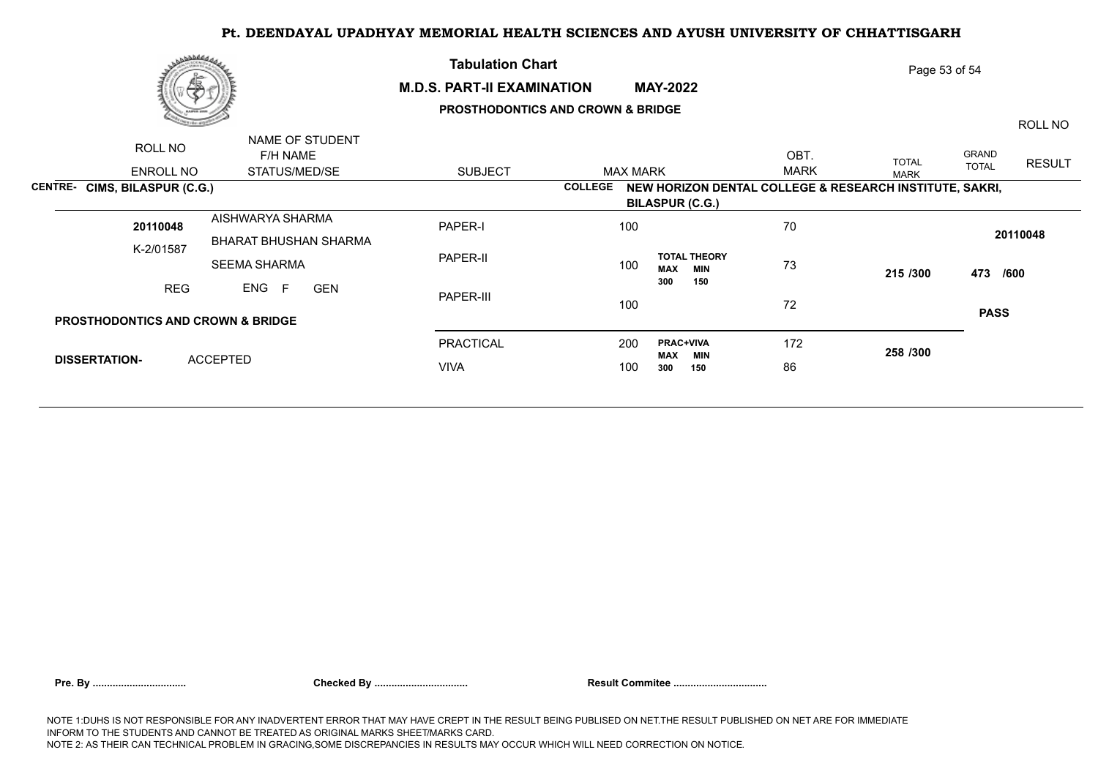

NAME OF STUDENT

#### **M.D.S. PART-II EXAMINATION MAY-2022**

**Tabulation Chart** 

## **PROSTHODONTICS AND CROWN & BRIDGE**

Page 53 of 54

ROLL NO

| ROLL NO                                      | NAME OF STUDENT<br>F/H NAME    |                |                                                                           | OBT.        | <b>TOTAL</b> | GRAND                         |  |
|----------------------------------------------|--------------------------------|----------------|---------------------------------------------------------------------------|-------------|--------------|-------------------------------|--|
| <b>ENROLL NO</b>                             | STATUS/MED/SE                  | <b>SUBJECT</b> | <b>MAX MARK</b>                                                           | <b>MARK</b> | <b>MARK</b>  | <b>RESULT</b><br><b>TOTAL</b> |  |
| CENTRE- CIMS, BILASPUR (C.G.)                |                                |                | NEW HORIZON DENTAL COLLEGE & RESEARCH INSTITUTE, SAKRI,<br><b>COLLEGE</b> |             |              |                               |  |
|                                              |                                |                | <b>BILASPUR (C.G.)</b>                                                    |             |              |                               |  |
| 20110048                                     | AISHWARYA SHARMA               | PAPER-I        | 100                                                                       | 70          |              | 20110048                      |  |
| K-2/01587                                    | <b>BHARAT BHUSHAN SHARMA</b>   |                |                                                                           |             |              |                               |  |
|                                              | <b>SEEMA SHARMA</b>            | PAPER-II       | <b>TOTAL THEORY</b><br>100<br>MAX<br><b>MIN</b>                           | 73          | 215/300      |                               |  |
| <b>REG</b>                                   | ENG F<br><b>GEN</b>            | PAPER-III      | 300<br>150                                                                | 72          |              | 473 /600                      |  |
|                                              |                                |                | 100                                                                       |             |              |                               |  |
| <b>PROSTHODONTICS AND CROWN &amp; BRIDGE</b> |                                |                |                                                                           |             |              | <b>PASS</b>                   |  |
|                                              |                                | PRACTICAL      | <b>PRAC+VIVA</b><br>200                                                   | 172         | 258 /300     |                               |  |
| <b>DISSERTATION-</b>                         | <b>ACCEPTED</b><br><b>VIVA</b> |                | <b>MAX</b><br>MIN<br>100<br>300<br>150                                    | 86          |              |                               |  |
|                                              |                                |                |                                                                           |             |              |                               |  |